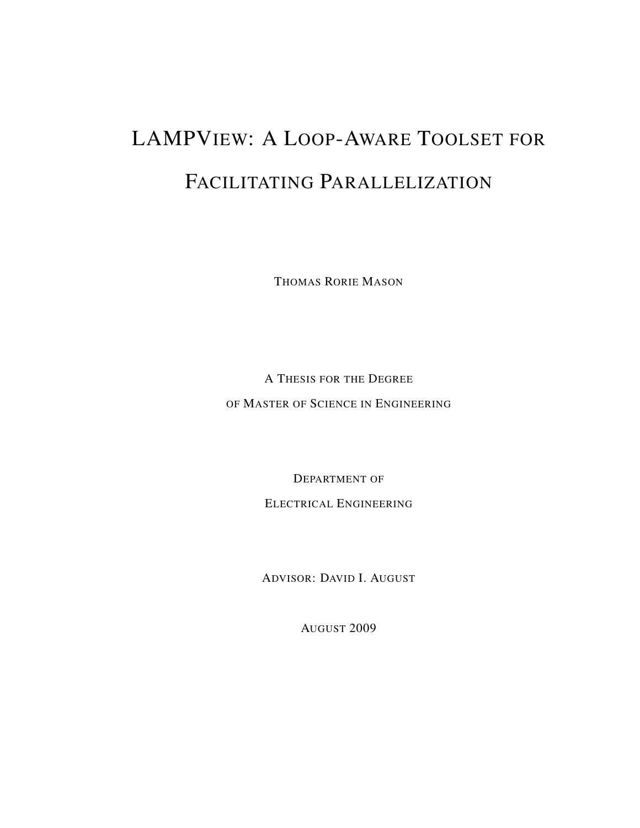# LAMPVIEW: A LOOP-AWARE TOOLSET FOR FACILITATING PARALLELIZATION

THOMAS RORIE MASON

A THESIS FOR THE DEGREE OF MASTER OF SCIENCE IN ENGINEERING

DEPARTMENT OF

ELECTRICAL ENGINEERING

ADVISOR: DAVID I. AUGUST

AUGUST 2009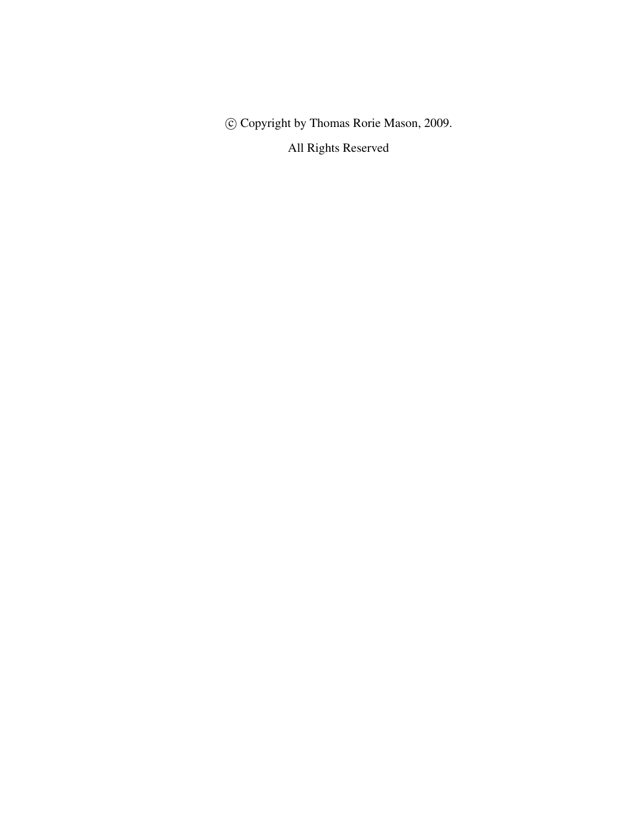c Copyright by Thomas Rorie Mason, 2009.

All Rights Reserved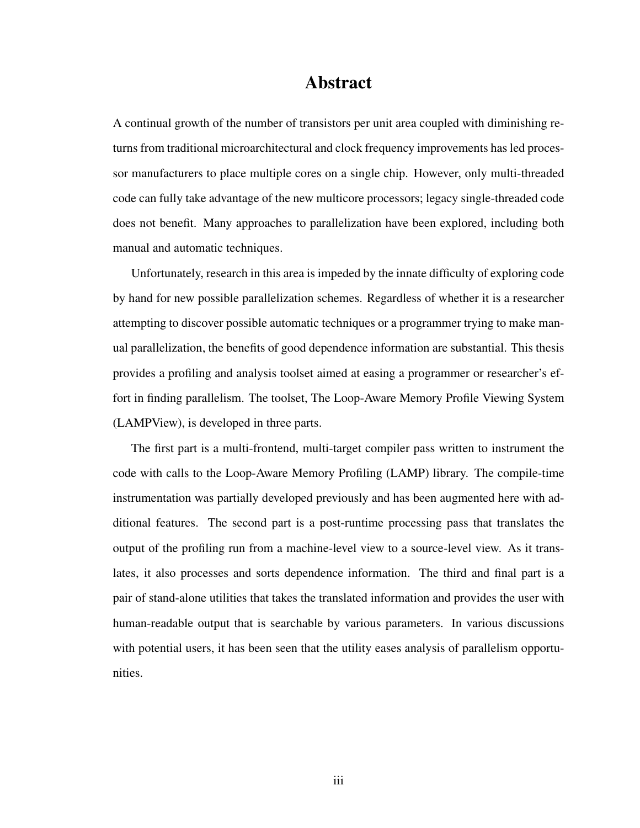### Abstract

A continual growth of the number of transistors per unit area coupled with diminishing returns from traditional microarchitectural and clock frequency improvements has led processor manufacturers to place multiple cores on a single chip. However, only multi-threaded code can fully take advantage of the new multicore processors; legacy single-threaded code does not benefit. Many approaches to parallelization have been explored, including both manual and automatic techniques.

Unfortunately, research in this area is impeded by the innate difficulty of exploring code by hand for new possible parallelization schemes. Regardless of whether it is a researcher attempting to discover possible automatic techniques or a programmer trying to make manual parallelization, the benefits of good dependence information are substantial. This thesis provides a profiling and analysis toolset aimed at easing a programmer or researcher's effort in finding parallelism. The toolset, The Loop-Aware Memory Profile Viewing System (LAMPView), is developed in three parts.

The first part is a multi-frontend, multi-target compiler pass written to instrument the code with calls to the Loop-Aware Memory Profiling (LAMP) library. The compile-time instrumentation was partially developed previously and has been augmented here with additional features. The second part is a post-runtime processing pass that translates the output of the profiling run from a machine-level view to a source-level view. As it translates, it also processes and sorts dependence information. The third and final part is a pair of stand-alone utilities that takes the translated information and provides the user with human-readable output that is searchable by various parameters. In various discussions with potential users, it has been seen that the utility eases analysis of parallelism opportunities.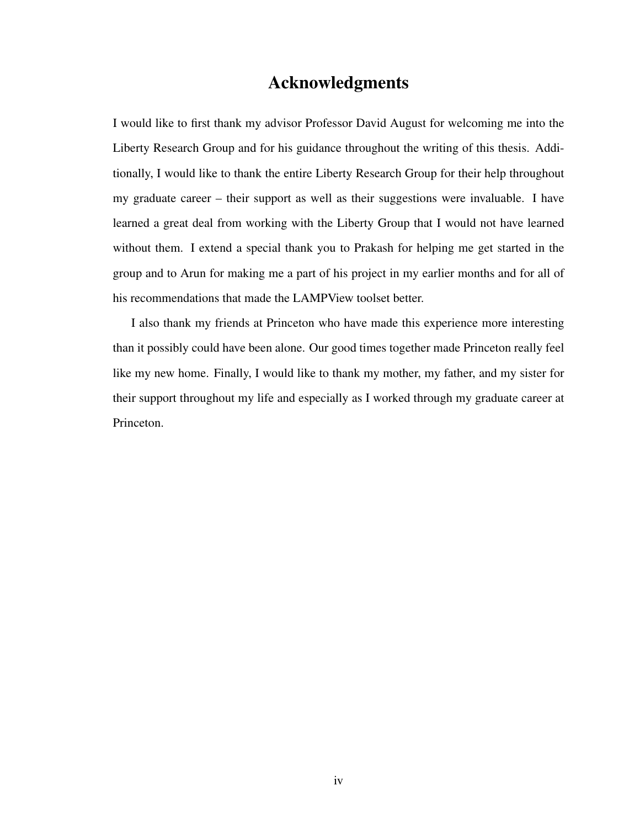### Acknowledgments

I would like to first thank my advisor Professor David August for welcoming me into the Liberty Research Group and for his guidance throughout the writing of this thesis. Additionally, I would like to thank the entire Liberty Research Group for their help throughout my graduate career – their support as well as their suggestions were invaluable. I have learned a great deal from working with the Liberty Group that I would not have learned without them. I extend a special thank you to Prakash for helping me get started in the group and to Arun for making me a part of his project in my earlier months and for all of his recommendations that made the LAMPView toolset better.

I also thank my friends at Princeton who have made this experience more interesting than it possibly could have been alone. Our good times together made Princeton really feel like my new home. Finally, I would like to thank my mother, my father, and my sister for their support throughout my life and especially as I worked through my graduate career at Princeton.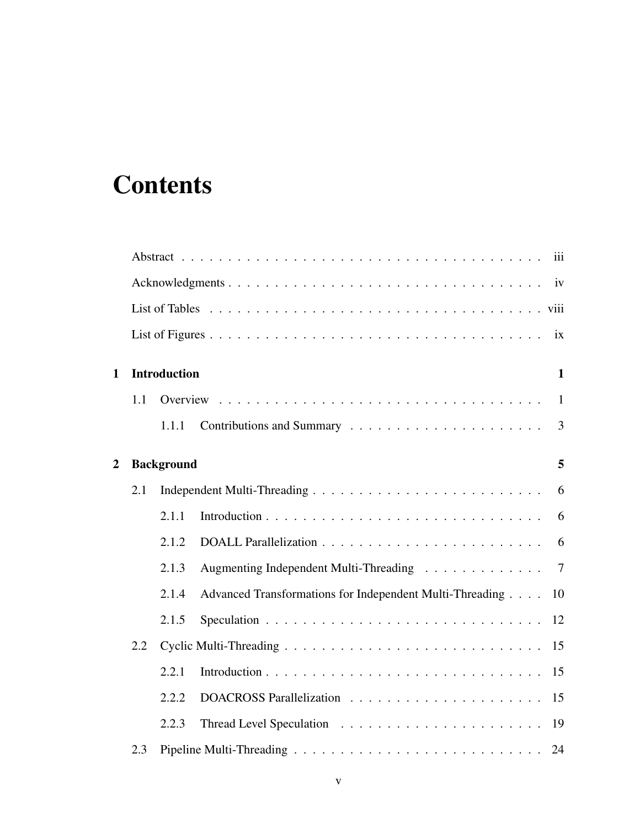# **Contents**

|                |     |                     | iii                                                            |
|----------------|-----|---------------------|----------------------------------------------------------------|
|                |     |                     | iv                                                             |
|                |     |                     |                                                                |
|                |     |                     | ix                                                             |
| $\mathbf{1}$   |     | <b>Introduction</b> | $\mathbf{1}$                                                   |
|                | 1.1 |                     | $\overline{1}$                                                 |
|                |     | 1.1.1               | 3                                                              |
| $\overline{2}$ |     | <b>Background</b>   | 5                                                              |
|                | 2.1 |                     | 6                                                              |
|                |     | 2.1.1               | 6                                                              |
|                |     | 2.1.2               | 6                                                              |
|                |     | 2.1.3               | Augmenting Independent Multi-Threading<br>$\overline{7}$       |
|                |     | 2.1.4               | Advanced Transformations for Independent Multi-Threading<br>10 |
|                |     | 2.1.5               | 12                                                             |
|                | 2.2 |                     | 15                                                             |
|                |     | 2.2.1               |                                                                |
|                |     | 2.2.2               |                                                                |
|                |     | 2.2.3               | 19                                                             |
|                | 2.3 |                     | 24                                                             |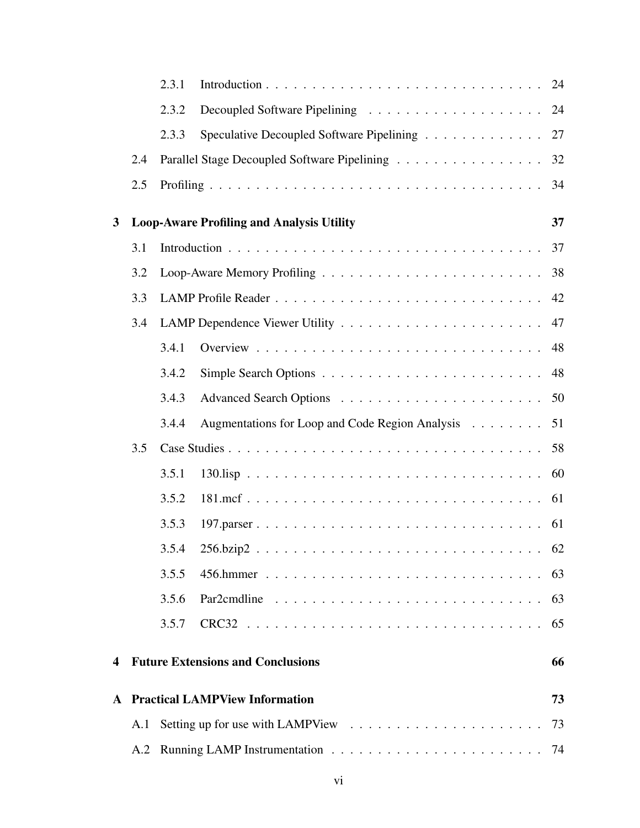|                         |     | 2.3.1 |                                                  |    |
|-------------------------|-----|-------|--------------------------------------------------|----|
|                         |     | 2.3.2 |                                                  |    |
|                         |     | 2.3.3 | Speculative Decoupled Software Pipelining 27     |    |
|                         | 2.4 |       | Parallel Stage Decoupled Software Pipelining     | 32 |
|                         | 2.5 |       |                                                  |    |
| $\mathbf{3}$            |     |       | <b>Loop-Aware Profiling and Analysis Utility</b> | 37 |
|                         | 3.1 |       |                                                  | 37 |
|                         | 3.2 |       |                                                  | 38 |
|                         | 3.3 |       |                                                  | 42 |
|                         | 3.4 |       |                                                  | 47 |
|                         |     | 3.4.1 |                                                  | 48 |
|                         |     | 3.4.2 |                                                  | 48 |
|                         |     | 3.4.3 |                                                  |    |
|                         |     | 3.4.4 | Augmentations for Loop and Code Region Analysis  | 51 |
|                         | 3.5 |       |                                                  |    |
|                         |     | 3.5.1 |                                                  | 60 |
|                         |     | 3.5.2 |                                                  | 61 |
|                         |     | 3.5.3 | 197.parser                                       | 61 |
|                         |     | 3.5.4 |                                                  | 62 |
|                         |     | 3.5.5 |                                                  | 63 |
|                         |     | 3.5.6 |                                                  | 63 |
|                         |     | 3.5.7 |                                                  | 65 |
| $\overline{\mathbf{4}}$ |     |       | <b>Future Extensions and Conclusions</b>         | 66 |
| $\mathbf{A}$            |     |       | <b>Practical LAMPView Information</b>            | 73 |
|                         | A.1 |       |                                                  | 73 |
|                         | A.2 |       |                                                  |    |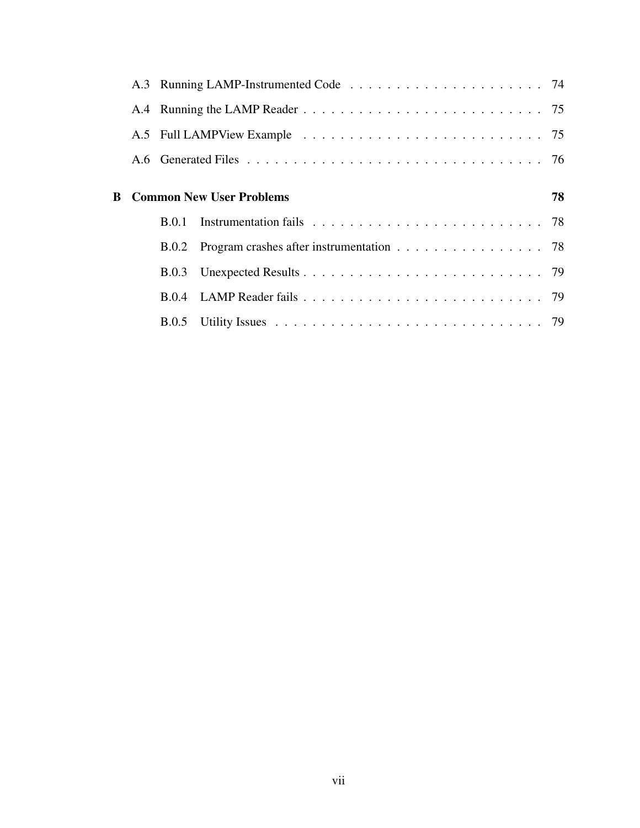|  | <b>B</b> Common New User Problems              | 78 |
|--|------------------------------------------------|----|
|  |                                                |    |
|  |                                                |    |
|  | B.0.2 Program crashes after instrumentation 78 |    |
|  |                                                |    |
|  |                                                |    |
|  |                                                |    |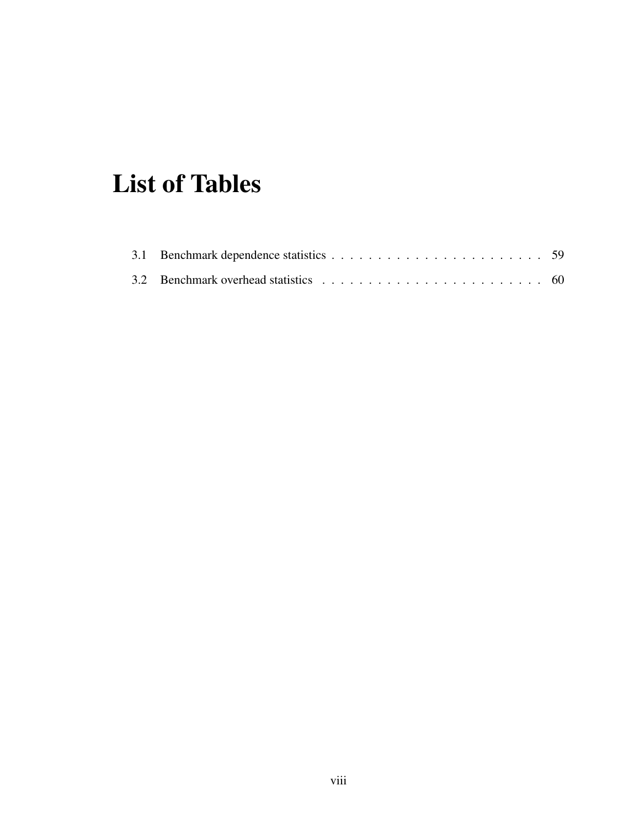# List of Tables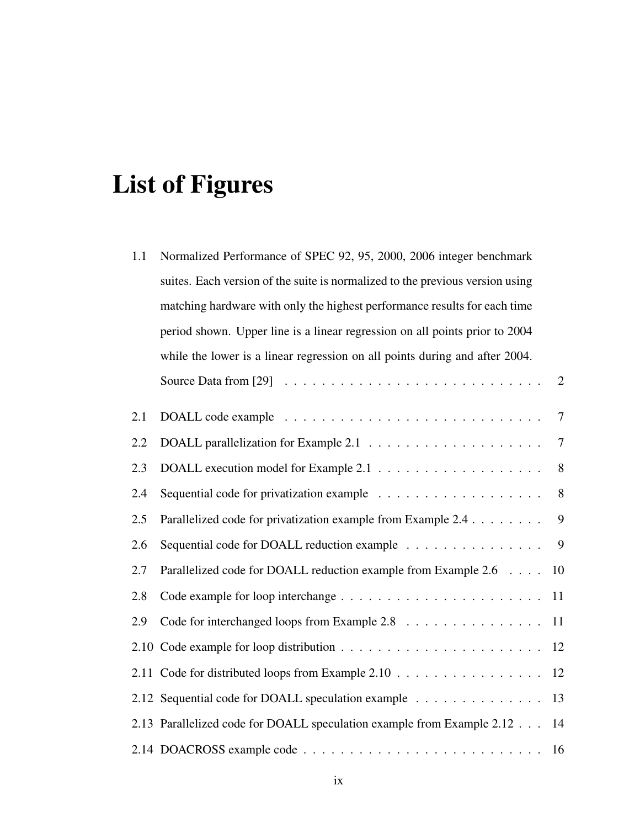# List of Figures

| 1.1 | Normalized Performance of SPEC 92, 95, 2000, 2006 integer benchmark                           |                |
|-----|-----------------------------------------------------------------------------------------------|----------------|
|     | suites. Each version of the suite is normalized to the previous version using                 |                |
|     | matching hardware with only the highest performance results for each time                     |                |
|     | period shown. Upper line is a linear regression on all points prior to 2004                   |                |
|     | while the lower is a linear regression on all points during and after 2004.                   |                |
|     | Source Data from [29] $\ldots \ldots \ldots \ldots \ldots \ldots \ldots \ldots \ldots \ldots$ | $\overline{2}$ |
| 2.1 |                                                                                               | $\overline{7}$ |
| 2.2 |                                                                                               | $\tau$         |
| 2.3 |                                                                                               | 8              |
| 2.4 |                                                                                               | 8              |
| 2.5 | Parallelized code for privatization example from Example 2.4                                  | 9              |
| 2.6 | Sequential code for DOALL reduction example                                                   | 9              |
| 2.7 | Parallelized code for DOALL reduction example from Example 2.6                                | 10             |
| 2.8 |                                                                                               | 11             |
| 2.9 | Code for interchanged loops from Example 2.8                                                  | -11            |
|     |                                                                                               | 12             |
|     | 2.11 Code for distributed loops from Example 2.10                                             | 12             |
|     | 2.12 Sequential code for DOALL speculation example                                            | 13             |
|     | 2.13 Parallelized code for DOALL speculation example from Example 2.12                        | 14             |
|     |                                                                                               | 16             |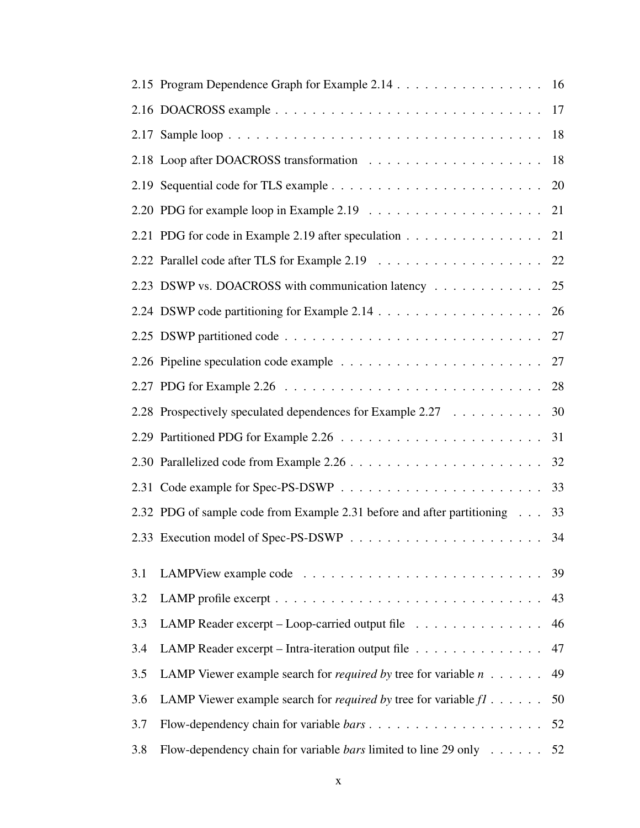|     | 2.15 Program Dependence Graph for Example 2.14 16                                     |    |
|-----|---------------------------------------------------------------------------------------|----|
|     |                                                                                       |    |
|     |                                                                                       | 18 |
|     |                                                                                       | 18 |
|     |                                                                                       | 20 |
|     |                                                                                       |    |
|     | 2.21 PDG for code in Example 2.19 after speculation 21                                |    |
|     |                                                                                       |    |
|     | 2.23 DSWP vs. DOACROSS with communication latency 25                                  |    |
|     |                                                                                       |    |
|     |                                                                                       |    |
|     |                                                                                       |    |
|     |                                                                                       | 28 |
|     | 2.28 Prospectively speculated dependences for Example 2.27                            | 30 |
|     |                                                                                       | 31 |
|     |                                                                                       | 32 |
|     |                                                                                       | 33 |
|     | 2.32 PDG of sample code from Example 2.31 before and after partitioning               | 33 |
|     |                                                                                       | 34 |
| 3.1 |                                                                                       | 39 |
| 3.2 |                                                                                       | 43 |
| 3.3 | LAMP Reader excerpt – Loop-carried output file $\dots \dots \dots \dots$              | 46 |
| 3.4 | LAMP Reader excerpt – Intra-iteration output file                                     | 47 |
| 3.5 | LAMP Viewer example search for <i>required by</i> tree for variable $n \ldots \ldots$ | 49 |
| 3.6 | LAMP Viewer example search for <i>required by</i> tree for variable $f1$              | 50 |
| 3.7 |                                                                                       |    |
| 3.8 | Flow-dependency chain for variable <i>bars</i> limited to line 29 only 52             |    |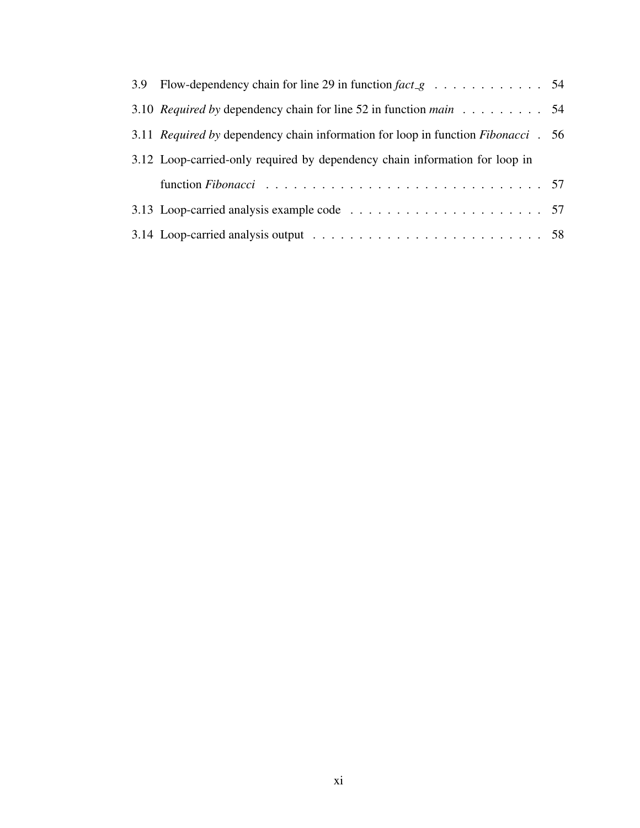| 3.9 Flow-dependency chain for line 29 in function $fact_{\mathcal{B}}$ 54                |  |
|------------------------------------------------------------------------------------------|--|
| 3.10 Required by dependency chain for line 52 in function main 54                        |  |
| 3.11 <i>Required by dependency chain information for loop in function Fibonacci</i> . 56 |  |
| 3.12 Loop-carried-only required by dependency chain information for loop in              |  |
|                                                                                          |  |
|                                                                                          |  |
|                                                                                          |  |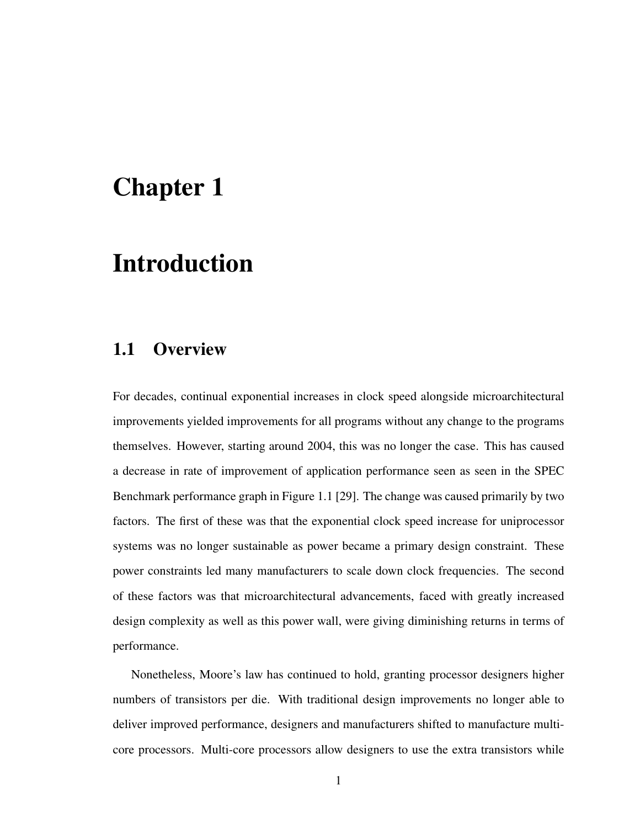# Chapter 1

# Introduction

## 1.1 Overview

For decades, continual exponential increases in clock speed alongside microarchitectural improvements yielded improvements for all programs without any change to the programs themselves. However, starting around 2004, this was no longer the case. This has caused a decrease in rate of improvement of application performance seen as seen in the SPEC Benchmark performance graph in Figure 1.1 [29]. The change was caused primarily by two factors. The first of these was that the exponential clock speed increase for uniprocessor systems was no longer sustainable as power became a primary design constraint. These power constraints led many manufacturers to scale down clock frequencies. The second of these factors was that microarchitectural advancements, faced with greatly increased design complexity as well as this power wall, were giving diminishing returns in terms of performance.

Nonetheless, Moore's law has continued to hold, granting processor designers higher numbers of transistors per die. With traditional design improvements no longer able to deliver improved performance, designers and manufacturers shifted to manufacture multicore processors. Multi-core processors allow designers to use the extra transistors while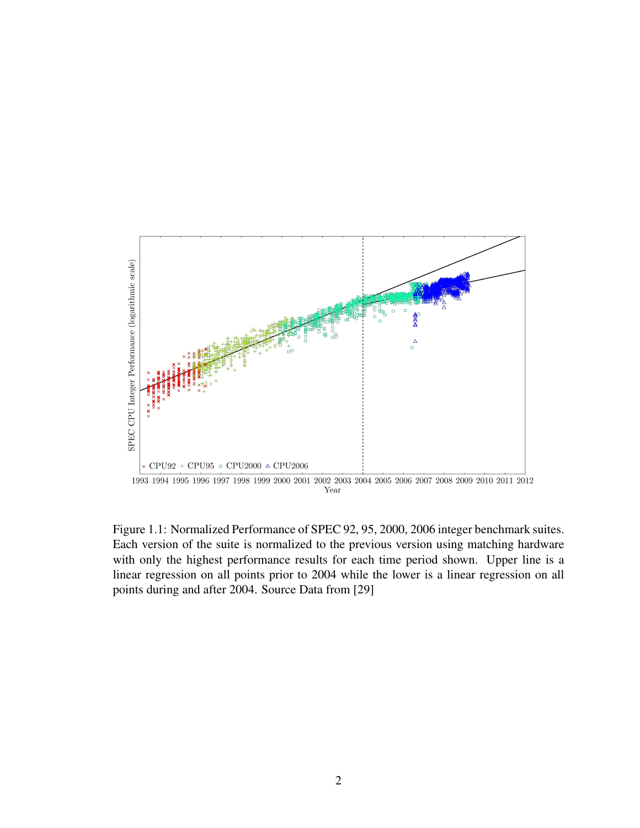

Figure 1.1: Normalized Performance of SPEC 92, 95, 2000, 2006 integer benchmark suites. Each version of the suite is normalized to the previous version using matching hardware with only the highest performance results for each time period shown. Upper line is a linear regression on all points prior to 2004 while the lower is a linear regression on all points during and after 2004. Source Data from [29]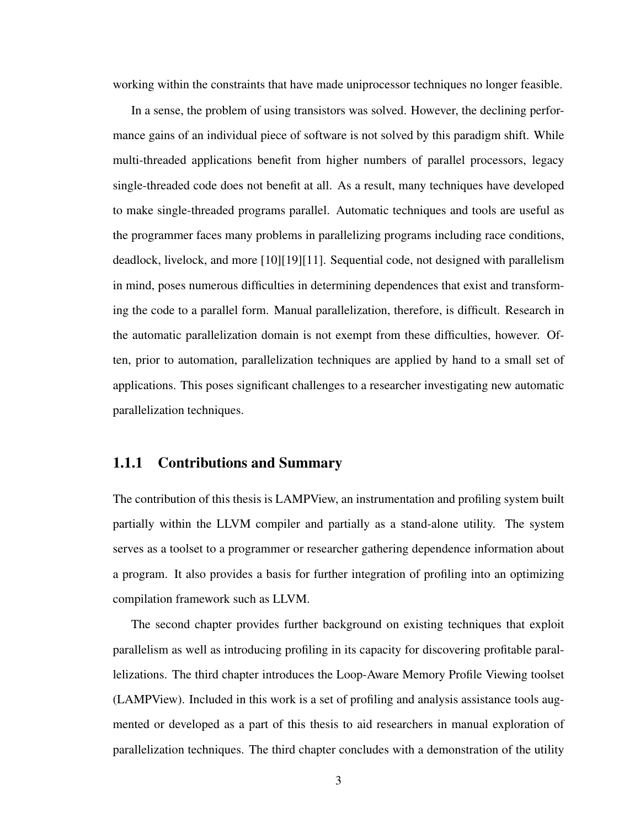working within the constraints that have made uniprocessor techniques no longer feasible.

In a sense, the problem of using transistors was solved. However, the declining performance gains of an individual piece of software is not solved by this paradigm shift. While multi-threaded applications benefit from higher numbers of parallel processors, legacy single-threaded code does not benefit at all. As a result, many techniques have developed to make single-threaded programs parallel. Automatic techniques and tools are useful as the programmer faces many problems in parallelizing programs including race conditions, deadlock, livelock, and more [10][19][11]. Sequential code, not designed with parallelism in mind, poses numerous difficulties in determining dependences that exist and transforming the code to a parallel form. Manual parallelization, therefore, is difficult. Research in the automatic parallelization domain is not exempt from these difficulties, however. Often, prior to automation, parallelization techniques are applied by hand to a small set of applications. This poses significant challenges to a researcher investigating new automatic parallelization techniques.

#### 1.1.1 Contributions and Summary

The contribution of this thesis is LAMPView, an instrumentation and profiling system built partially within the LLVM compiler and partially as a stand-alone utility. The system serves as a toolset to a programmer or researcher gathering dependence information about a program. It also provides a basis for further integration of profiling into an optimizing compilation framework such as LLVM.

The second chapter provides further background on existing techniques that exploit parallelism as well as introducing profiling in its capacity for discovering profitable parallelizations. The third chapter introduces the Loop-Aware Memory Profile Viewing toolset (LAMPView). Included in this work is a set of profiling and analysis assistance tools augmented or developed as a part of this thesis to aid researchers in manual exploration of parallelization techniques. The third chapter concludes with a demonstration of the utility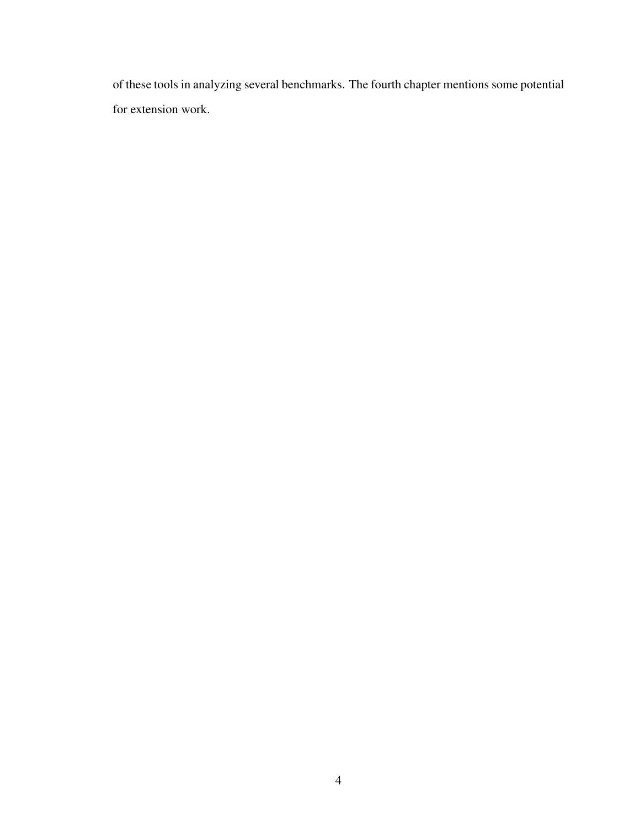of these tools in analyzing several benchmarks. The fourth chapter mentions some potential for extension work.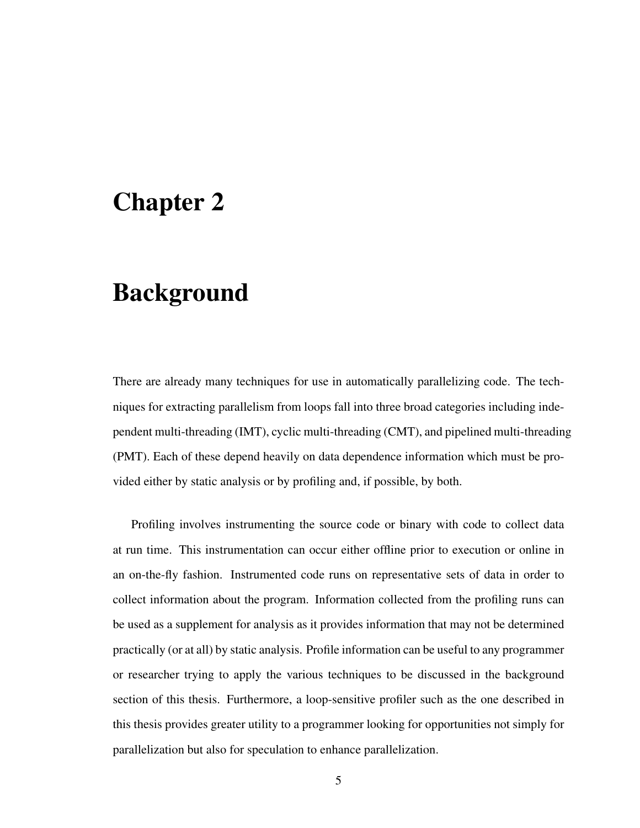## Chapter 2

## **Background**

There are already many techniques for use in automatically parallelizing code. The techniques for extracting parallelism from loops fall into three broad categories including independent multi-threading (IMT), cyclic multi-threading (CMT), and pipelined multi-threading (PMT). Each of these depend heavily on data dependence information which must be provided either by static analysis or by profiling and, if possible, by both.

Profiling involves instrumenting the source code or binary with code to collect data at run time. This instrumentation can occur either offline prior to execution or online in an on-the-fly fashion. Instrumented code runs on representative sets of data in order to collect information about the program. Information collected from the profiling runs can be used as a supplement for analysis as it provides information that may not be determined practically (or at all) by static analysis. Profile information can be useful to any programmer or researcher trying to apply the various techniques to be discussed in the background section of this thesis. Furthermore, a loop-sensitive profiler such as the one described in this thesis provides greater utility to a programmer looking for opportunities not simply for parallelization but also for speculation to enhance parallelization.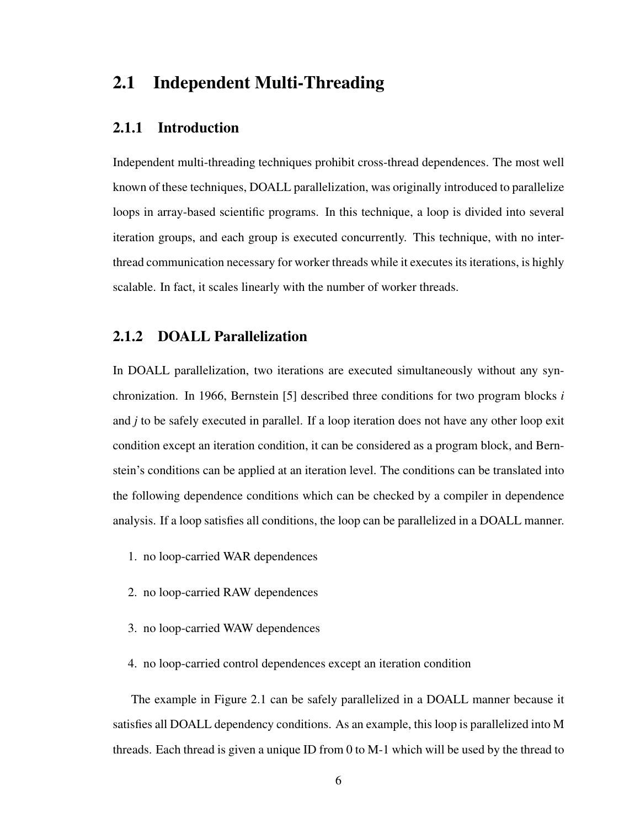### 2.1 Independent Multi-Threading

#### 2.1.1 Introduction

Independent multi-threading techniques prohibit cross-thread dependences. The most well known of these techniques, DOALL parallelization, was originally introduced to parallelize loops in array-based scientific programs. In this technique, a loop is divided into several iteration groups, and each group is executed concurrently. This technique, with no interthread communication necessary for worker threads while it executes its iterations, is highly scalable. In fact, it scales linearly with the number of worker threads.

#### 2.1.2 DOALL Parallelization

In DOALL parallelization, two iterations are executed simultaneously without any synchronization. In 1966, Bernstein [5] described three conditions for two program blocks *i* and *j* to be safely executed in parallel. If a loop iteration does not have any other loop exit condition except an iteration condition, it can be considered as a program block, and Bernstein's conditions can be applied at an iteration level. The conditions can be translated into the following dependence conditions which can be checked by a compiler in dependence analysis. If a loop satisfies all conditions, the loop can be parallelized in a DOALL manner.

- 1. no loop-carried WAR dependences
- 2. no loop-carried RAW dependences
- 3. no loop-carried WAW dependences
- 4. no loop-carried control dependences except an iteration condition

The example in Figure 2.1 can be safely parallelized in a DOALL manner because it satisfies all DOALL dependency conditions. As an example, this loop is parallelized into M threads. Each thread is given a unique ID from 0 to M-1 which will be used by the thread to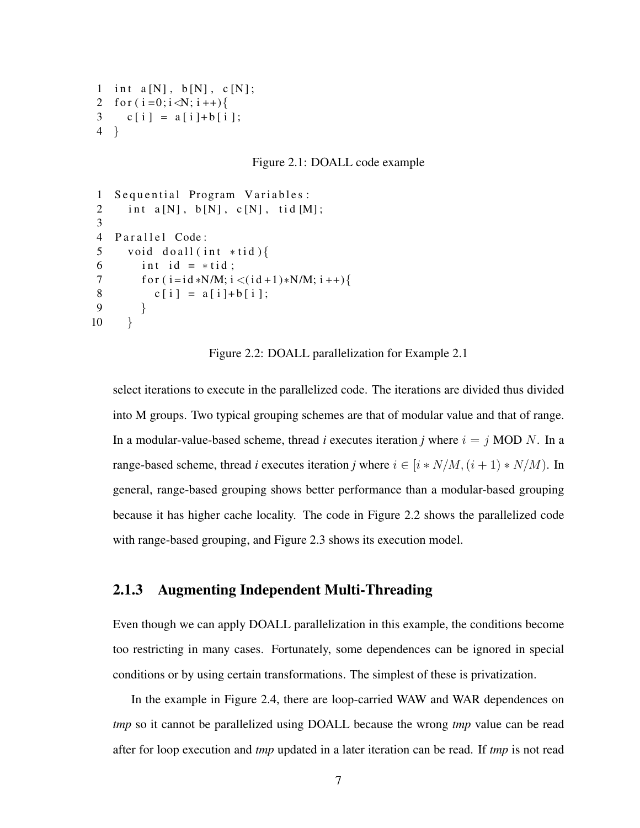```
1 int a[N], b[N], c[N];
2 for (i=0; i < N; i++)3 c[i] = a[i]+b[i];
4 }
```
Figure 2.1: DOALL code example

```
1 Sequential Program Variables:
2 int a[N], b[N], c[N], tid [M];
3
4 Parallel Code:
5 void do all (int * tid)6 int id = *tid;
7 f or (i = id * N/M; i < (id + 1) * N/M; i++)8 c [ i ] = a [ i ] + b [ i ];
9 }
10 }
```
Figure 2.2: DOALL parallelization for Example 2.1

select iterations to execute in the parallelized code. The iterations are divided thus divided into M groups. Two typical grouping schemes are that of modular value and that of range. In a modular-value-based scheme, thread *i* executes iteration *j* where  $i = j$  MOD N. In a range-based scheme, thread *i* executes iteration *j* where  $i \in [i * N/M, (i + 1) * N/M)$ . In general, range-based grouping shows better performance than a modular-based grouping because it has higher cache locality. The code in Figure 2.2 shows the parallelized code with range-based grouping, and Figure 2.3 shows its execution model.

#### 2.1.3 Augmenting Independent Multi-Threading

Even though we can apply DOALL parallelization in this example, the conditions become too restricting in many cases. Fortunately, some dependences can be ignored in special conditions or by using certain transformations. The simplest of these is privatization.

In the example in Figure 2.4, there are loop-carried WAW and WAR dependences on *tmp* so it cannot be parallelized using DOALL because the wrong *tmp* value can be read after for loop execution and *tmp* updated in a later iteration can be read. If *tmp* is not read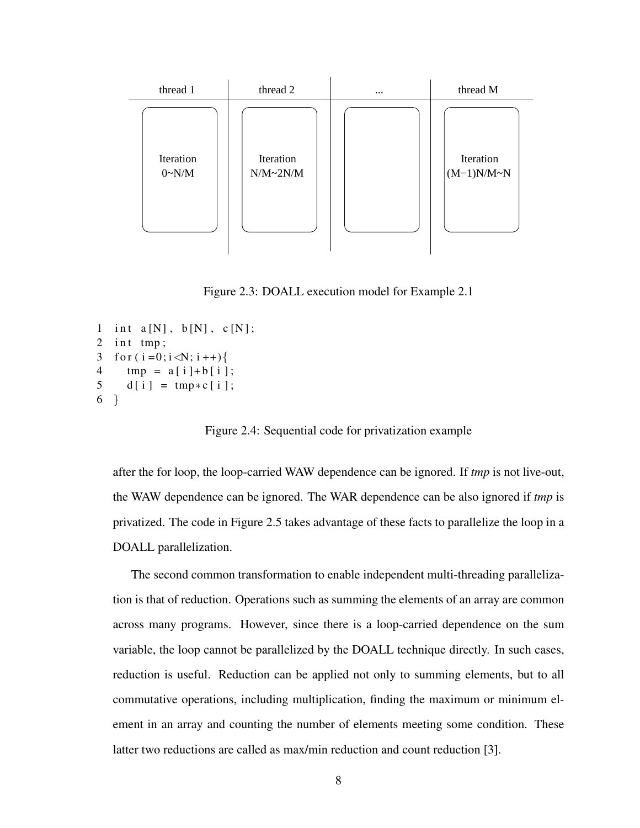

Figure 2.3: DOALL execution model for Example 2.1

```
1 int a[N], b[N], c[N];
2 int tmp;
3 for (i = 0; i < N; i++)4 tmp = a[i] + b[i];5 \text{ d} [i] = \text{tmp} * c [i];6 }
```
Figure 2.4: Sequential code for privatization example

after the for loop, the loop-carried WAW dependence can be ignored. If *tmp* is not live-out, the WAW dependence can be ignored. The WAR dependence can be also ignored if *tmp* is privatized. The code in Figure 2.5 takes advantage of these facts to parallelize the loop in a DOALL parallelization.

The second common transformation to enable independent multi-threading parallelization is that of reduction. Operations such as summing the elements of an array are common across many programs. However, since there is a loop-carried dependence on the sum variable, the loop cannot be parallelized by the DOALL technique directly. In such cases, reduction is useful. Reduction can be applied not only to summing elements, but to all commutative operations, including multiplication, finding the maximum or minimum element in an array and counting the number of elements meeting some condition. These latter two reductions are called as max/min reduction and count reduction [3].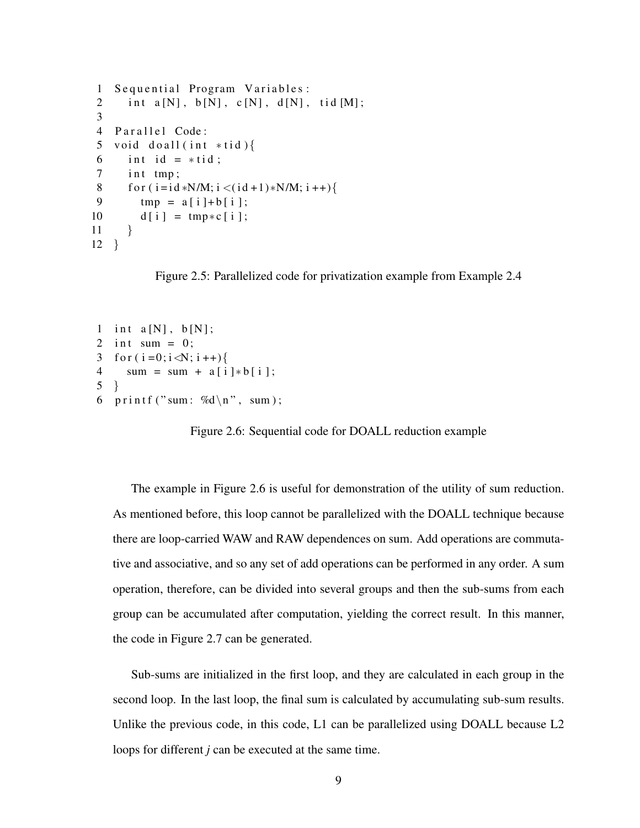```
1 Sequential Program Variables:
2 int a[N], b[N], c[N], d[N], tid [M];
3
4 Parallel Code:
5 void do all (int * tid)6 int id = *tid;
7 int tmp;
8 f or (i = id * N/M; i < (id + 1) * N/M; i++)9 tmp = a[i] + b[i];10 d [ i ] = tmp \star c [ i ];
11 }
12 }
```
Figure 2.5: Parallelized code for privatization example from Example 2.4

```
1 int a[N], b[N];
2 int sum = 0;
3 for (i=0; i\le N; i++)4 sum = sum + a[i] * b[i];5 }
6 printf ("sum: %d\n", sum);
```
Figure 2.6: Sequential code for DOALL reduction example

The example in Figure 2.6 is useful for demonstration of the utility of sum reduction. As mentioned before, this loop cannot be parallelized with the DOALL technique because there are loop-carried WAW and RAW dependences on sum. Add operations are commutative and associative, and so any set of add operations can be performed in any order. A sum operation, therefore, can be divided into several groups and then the sub-sums from each group can be accumulated after computation, yielding the correct result. In this manner, the code in Figure 2.7 can be generated.

Sub-sums are initialized in the first loop, and they are calculated in each group in the second loop. In the last loop, the final sum is calculated by accumulating sub-sum results. Unlike the previous code, in this code, L1 can be parallelized using DOALL because L2 loops for different *j* can be executed at the same time.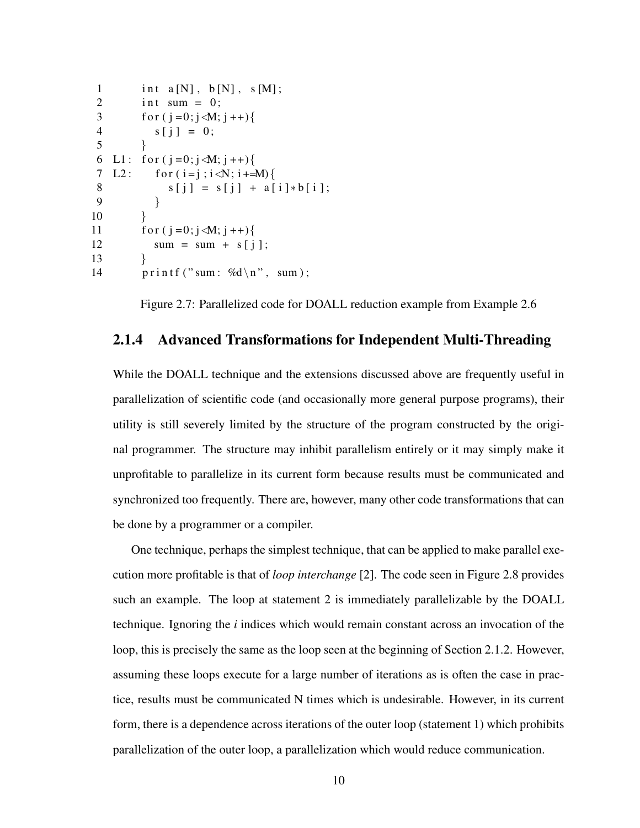```
1 int a[N], b[N], s[M];
2 int sum = 0;
3 for (j=0; j \le M; j++)4 s [j] = 0;5 }
6 L1: for (j=0; j \le M; j++)7 L2: for (i = j; i < N; i + M)8 s[j] = s[j] + a[i]*b[i];9 }
10 }
11 for (i=0; j \le M; j++)12 sum = sum + s[i];13 }
14 printf ("sum: %d\n", sum);
```
Figure 2.7: Parallelized code for DOALL reduction example from Example 2.6

#### 2.1.4 Advanced Transformations for Independent Multi-Threading

While the DOALL technique and the extensions discussed above are frequently useful in parallelization of scientific code (and occasionally more general purpose programs), their utility is still severely limited by the structure of the program constructed by the original programmer. The structure may inhibit parallelism entirely or it may simply make it unprofitable to parallelize in its current form because results must be communicated and synchronized too frequently. There are, however, many other code transformations that can be done by a programmer or a compiler.

One technique, perhaps the simplest technique, that can be applied to make parallel execution more profitable is that of *loop interchange* [2]. The code seen in Figure 2.8 provides such an example. The loop at statement 2 is immediately parallelizable by the DOALL technique. Ignoring the *i* indices which would remain constant across an invocation of the loop, this is precisely the same as the loop seen at the beginning of Section 2.1.2. However, assuming these loops execute for a large number of iterations as is often the case in practice, results must be communicated N times which is undesirable. However, in its current form, there is a dependence across iterations of the outer loop (statement 1) which prohibits parallelization of the outer loop, a parallelization which would reduce communication.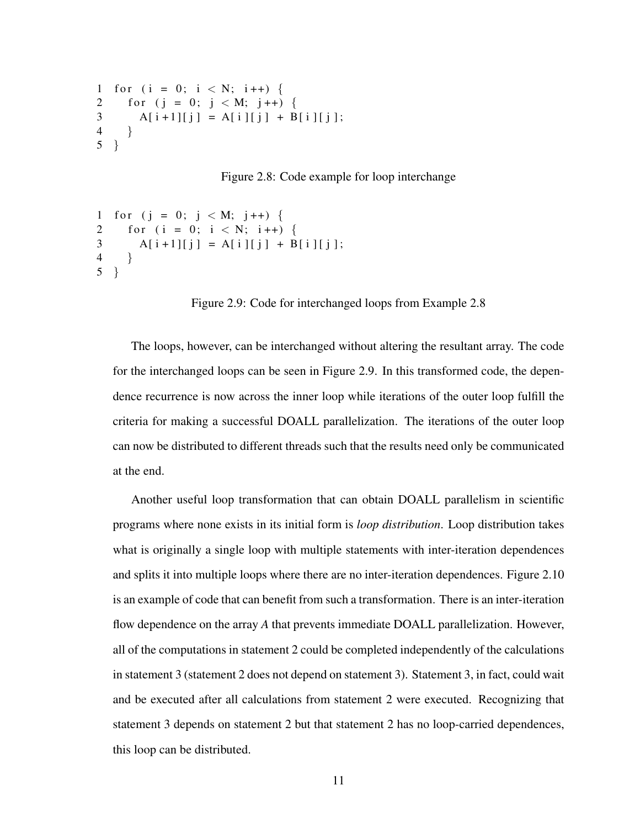```
1 for (i = 0; i < N; i++) {
2 for (j = 0; j < M; j++) {
3 A[ i + 1 ] [ j ] = A[ i ] [ j ] + B[ i ] [ j ];
4 }
5 }
```
Figure 2.8: Code example for loop interchange

```
1 for (j = 0; j < M; j++) {
2 for (i = 0; i < N; i++)3 A[ i + 1 ] [ j ] = A[ i ] [ j ] + B[ i ] [ j ];
4 }
5 }
```
Figure 2.9: Code for interchanged loops from Example 2.8

The loops, however, can be interchanged without altering the resultant array. The code for the interchanged loops can be seen in Figure 2.9. In this transformed code, the dependence recurrence is now across the inner loop while iterations of the outer loop fulfill the criteria for making a successful DOALL parallelization. The iterations of the outer loop can now be distributed to different threads such that the results need only be communicated at the end.

Another useful loop transformation that can obtain DOALL parallelism in scientific programs where none exists in its initial form is *loop distribution*. Loop distribution takes what is originally a single loop with multiple statements with inter-iteration dependences and splits it into multiple loops where there are no inter-iteration dependences. Figure 2.10 is an example of code that can benefit from such a transformation. There is an inter-iteration flow dependence on the array *A* that prevents immediate DOALL parallelization. However, all of the computations in statement 2 could be completed independently of the calculations in statement 3 (statement 2 does not depend on statement 3). Statement 3, in fact, could wait and be executed after all calculations from statement 2 were executed. Recognizing that statement 3 depends on statement 2 but that statement 2 has no loop-carried dependences, this loop can be distributed.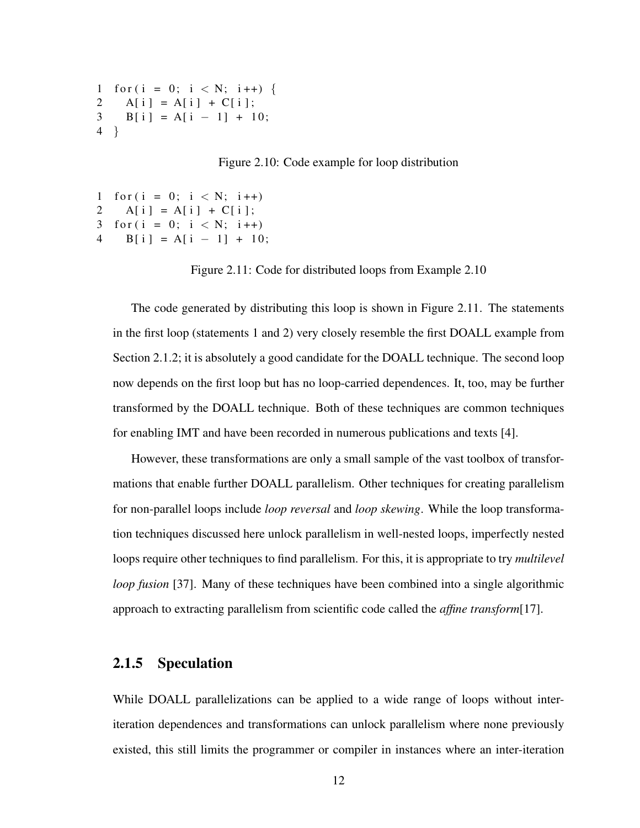```
1 for (i = 0; i < N; i++)2 A[i] = A[i] + C[i];
3 B [ i ] = A [ i - 1 ] + 10;
4 }
```
Figure 2.10: Code example for loop distribution

```
1 for (i = 0; i < N; i++)2 A[i] = A[i] + C[i];
3 for (i = 0; i < N; i++)4 B [ i ] = A [ i - 1 ] + 10;
```
Figure 2.11: Code for distributed loops from Example 2.10

The code generated by distributing this loop is shown in Figure 2.11. The statements in the first loop (statements 1 and 2) very closely resemble the first DOALL example from Section 2.1.2; it is absolutely a good candidate for the DOALL technique. The second loop now depends on the first loop but has no loop-carried dependences. It, too, may be further transformed by the DOALL technique. Both of these techniques are common techniques for enabling IMT and have been recorded in numerous publications and texts [4].

However, these transformations are only a small sample of the vast toolbox of transformations that enable further DOALL parallelism. Other techniques for creating parallelism for non-parallel loops include *loop reversal* and *loop skewing*. While the loop transformation techniques discussed here unlock parallelism in well-nested loops, imperfectly nested loops require other techniques to find parallelism. For this, it is appropriate to try *multilevel loop fusion* [37]. Many of these techniques have been combined into a single algorithmic approach to extracting parallelism from scientific code called the *affine transform*[17].

#### 2.1.5 Speculation

While DOALL parallelizations can be applied to a wide range of loops without interiteration dependences and transformations can unlock parallelism where none previously existed, this still limits the programmer or compiler in instances where an inter-iteration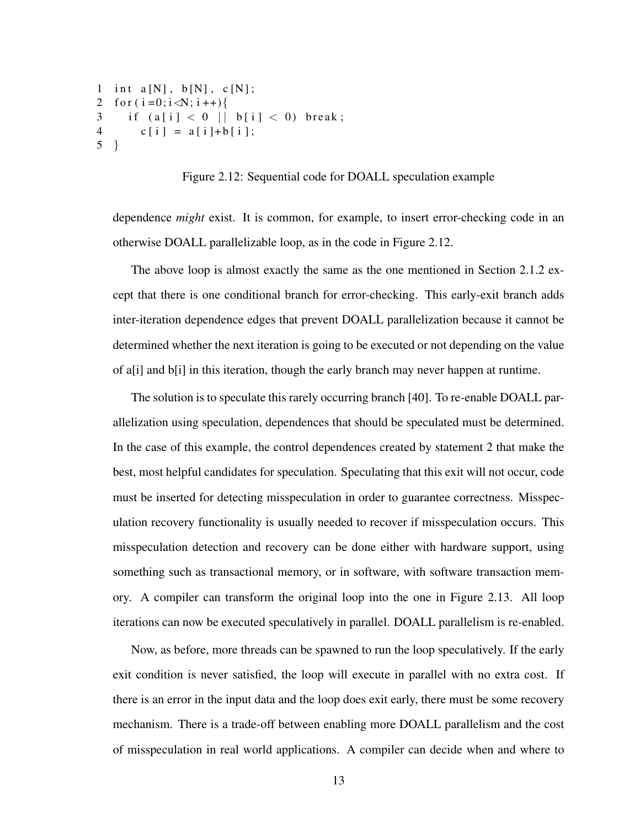```
1 int a[N], b[N], c[N];
2 for (i=0; i \le N; i++)3 if (a[i] < 0 || b[i] < 0) break;
4 c [ i ] = a [ i ] + b [ i ];
5 }
```
Figure 2.12: Sequential code for DOALL speculation example

dependence *might* exist. It is common, for example, to insert error-checking code in an otherwise DOALL parallelizable loop, as in the code in Figure 2.12.

The above loop is almost exactly the same as the one mentioned in Section 2.1.2 except that there is one conditional branch for error-checking. This early-exit branch adds inter-iteration dependence edges that prevent DOALL parallelization because it cannot be determined whether the next iteration is going to be executed or not depending on the value of a[i] and b[i] in this iteration, though the early branch may never happen at runtime.

The solution is to speculate this rarely occurring branch [40]. To re-enable DOALL parallelization using speculation, dependences that should be speculated must be determined. In the case of this example, the control dependences created by statement 2 that make the best, most helpful candidates for speculation. Speculating that this exit will not occur, code must be inserted for detecting misspeculation in order to guarantee correctness. Misspeculation recovery functionality is usually needed to recover if misspeculation occurs. This misspeculation detection and recovery can be done either with hardware support, using something such as transactional memory, or in software, with software transaction memory. A compiler can transform the original loop into the one in Figure 2.13. All loop iterations can now be executed speculatively in parallel. DOALL parallelism is re-enabled.

Now, as before, more threads can be spawned to run the loop speculatively. If the early exit condition is never satisfied, the loop will execute in parallel with no extra cost. If there is an error in the input data and the loop does exit early, there must be some recovery mechanism. There is a trade-off between enabling more DOALL parallelism and the cost of misspeculation in real world applications. A compiler can decide when and where to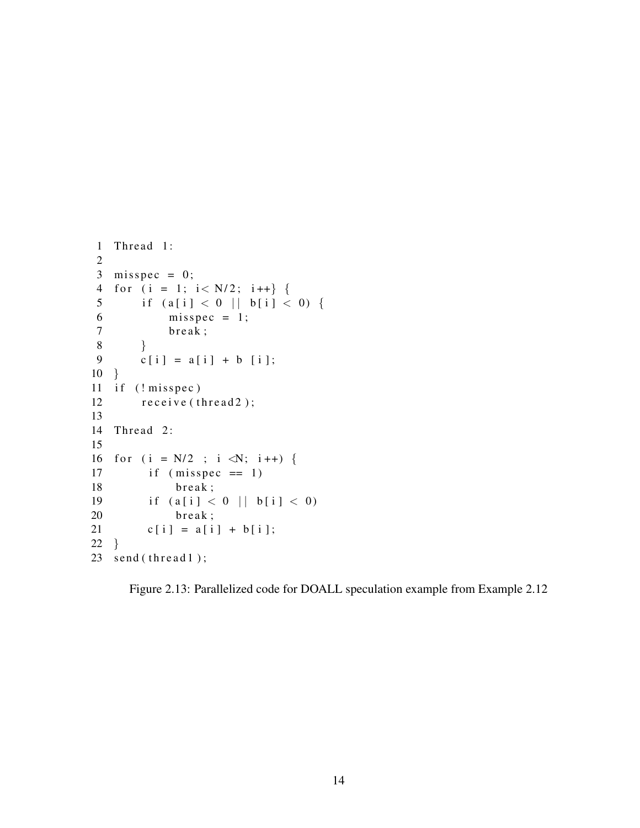```
1 Thread 1:
2
3 misspec = 0;
4 for (i = 1; i < N/2; i++) {
5 if (a[i] < 0 | | b[i] < 0) {
6 \qquad \qquad \text{misspec} = 1;
7 break;
8 }
9 c[i] = a[i] + b[i];10 }
11 if (! misspec )12 receive (thread 2);
13
14 Thread 2:
15
16 for (i = N/2 ; i \le N; i++) {
17 if (misspec == 1)18 break;
19 if (a[i] < 0 | | b[i] < 0)20 break;
21 c[i] = a[i] + b[i];22 }
23 send (thread 1);
```
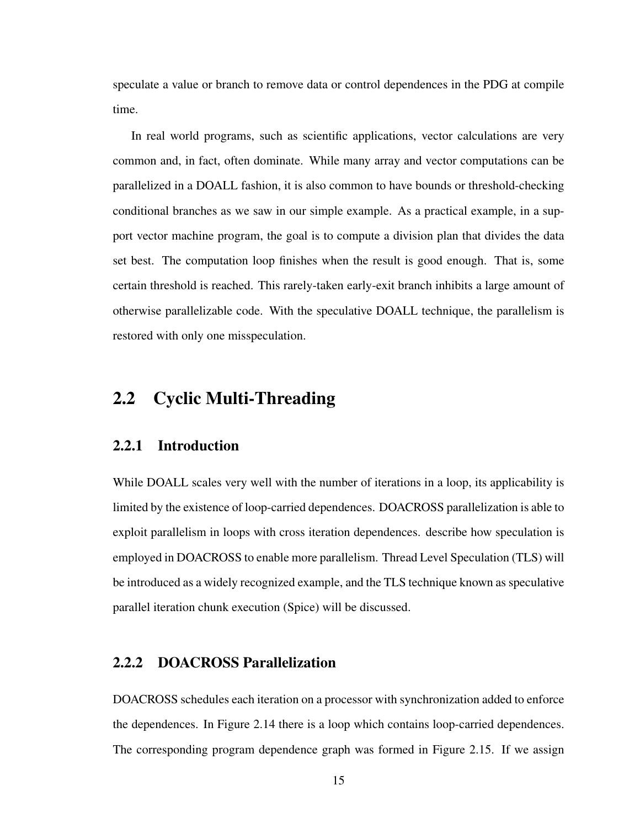speculate a value or branch to remove data or control dependences in the PDG at compile time.

In real world programs, such as scientific applications, vector calculations are very common and, in fact, often dominate. While many array and vector computations can be parallelized in a DOALL fashion, it is also common to have bounds or threshold-checking conditional branches as we saw in our simple example. As a practical example, in a support vector machine program, the goal is to compute a division plan that divides the data set best. The computation loop finishes when the result is good enough. That is, some certain threshold is reached. This rarely-taken early-exit branch inhibits a large amount of otherwise parallelizable code. With the speculative DOALL technique, the parallelism is restored with only one misspeculation.

### 2.2 Cyclic Multi-Threading

#### 2.2.1 Introduction

While DOALL scales very well with the number of iterations in a loop, its applicability is limited by the existence of loop-carried dependences. DOACROSS parallelization is able to exploit parallelism in loops with cross iteration dependences. describe how speculation is employed in DOACROSS to enable more parallelism. Thread Level Speculation (TLS) will be introduced as a widely recognized example, and the TLS technique known as speculative parallel iteration chunk execution (Spice) will be discussed.

#### 2.2.2 DOACROSS Parallelization

DOACROSS schedules each iteration on a processor with synchronization added to enforce the dependences. In Figure 2.14 there is a loop which contains loop-carried dependences. The corresponding program dependence graph was formed in Figure 2.15. If we assign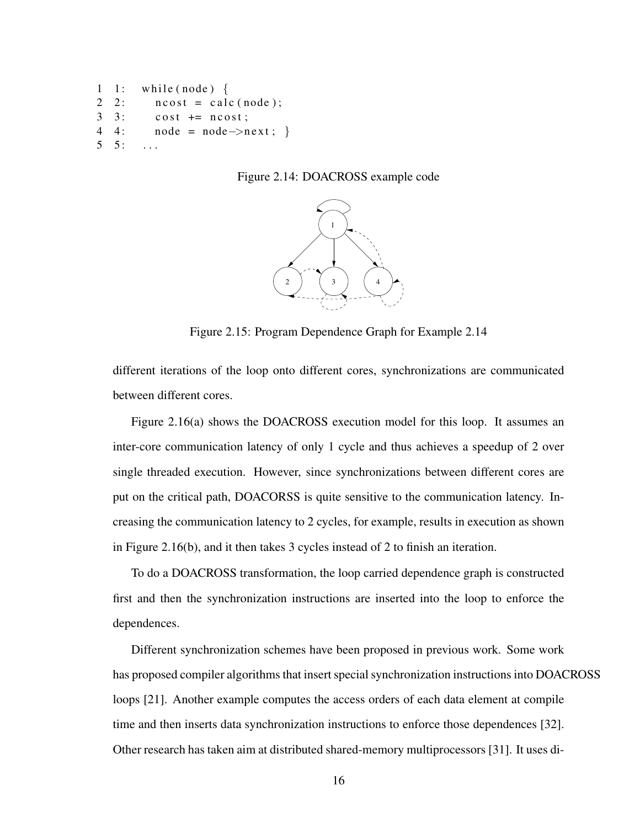```
1: while (node) {
2 \quad 2: \quad \text{ncost} = \text{calc}(\text{node});3 \quad 3: cost \pm n cost :
4 4: node = node \rightarrow next;5 \quad 5: \quad \ldots
```
Figure 2.14: DOACROSS example code



Figure 2.15: Program Dependence Graph for Example 2.14

different iterations of the loop onto different cores, synchronizations are communicated between different cores.

Figure 2.16(a) shows the DOACROSS execution model for this loop. It assumes an inter-core communication latency of only 1 cycle and thus achieves a speedup of 2 over single threaded execution. However, since synchronizations between different cores are put on the critical path, DOACORSS is quite sensitive to the communication latency. Increasing the communication latency to 2 cycles, for example, results in execution as shown in Figure 2.16(b), and it then takes 3 cycles instead of 2 to finish an iteration.

To do a DOACROSS transformation, the loop carried dependence graph is constructed first and then the synchronization instructions are inserted into the loop to enforce the dependences.

Different synchronization schemes have been proposed in previous work. Some work has proposed compiler algorithms that insert special synchronization instructions into DOACROSS loops [21]. Another example computes the access orders of each data element at compile time and then inserts data synchronization instructions to enforce those dependences [32]. Other research has taken aim at distributed shared-memory multiprocessors [31]. It uses di-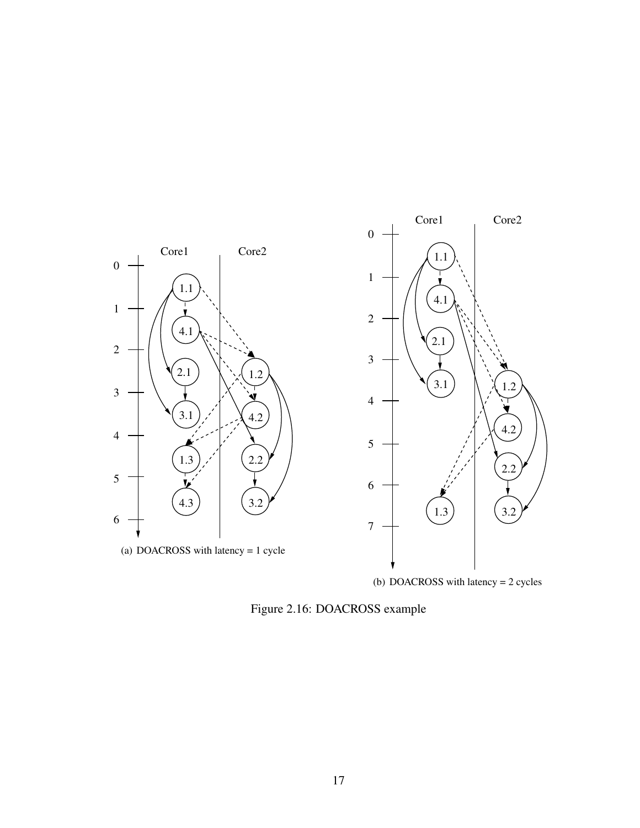

(b) DOACROSS with latency = 2 cycles

Figure 2.16: DOACROSS example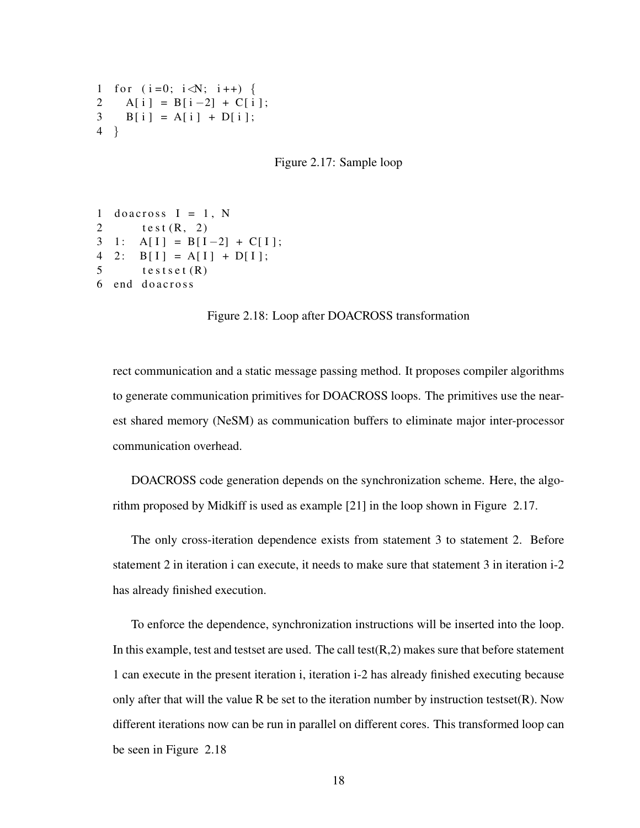```
1 for (i = 0; i < N; i + j) {
2 A[i] = B[i-2] + C[i];
3 B[i] = A[i] + D[i];4 }
```
Figure 2.17: Sample loop

```
1 do across I = 1, N
2 test (R, 2)3 1: A[I] = B[I-2] + C[I];4 2: B[I] = A[I] + D[I];5 tests et (R)6 end do across
```
Figure 2.18: Loop after DOACROSS transformation

rect communication and a static message passing method. It proposes compiler algorithms to generate communication primitives for DOACROSS loops. The primitives use the nearest shared memory (NeSM) as communication buffers to eliminate major inter-processor communication overhead.

DOACROSS code generation depends on the synchronization scheme. Here, the algorithm proposed by Midkiff is used as example [21] in the loop shown in Figure 2.17.

The only cross-iteration dependence exists from statement 3 to statement 2. Before statement 2 in iteration i can execute, it needs to make sure that statement 3 in iteration i-2 has already finished execution.

To enforce the dependence, synchronization instructions will be inserted into the loop. In this example, test and testset are used. The call test $(R, 2)$  makes sure that before statement 1 can execute in the present iteration i, iteration i-2 has already finished executing because only after that will the value R be set to the iteration number by instruction testset $(R)$ . Now different iterations now can be run in parallel on different cores. This transformed loop can be seen in Figure 2.18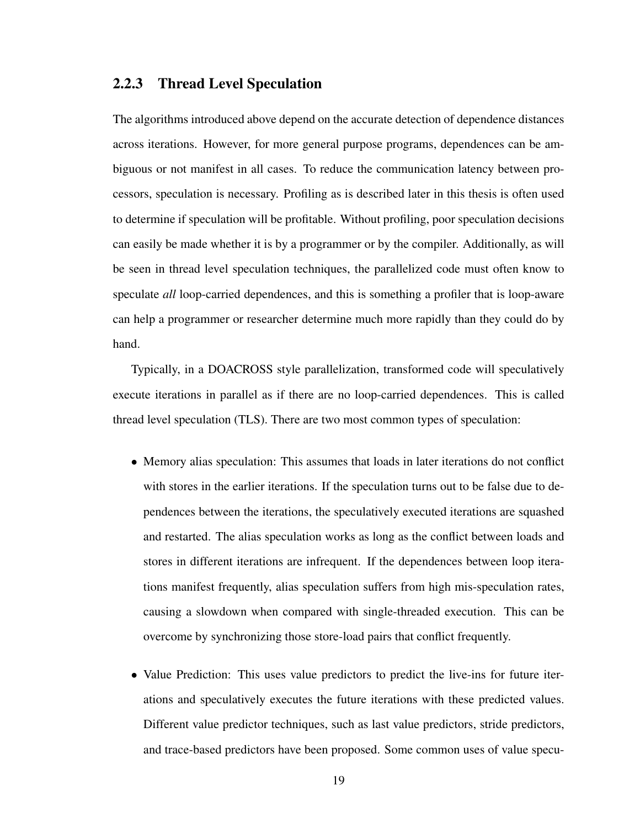#### 2.2.3 Thread Level Speculation

The algorithms introduced above depend on the accurate detection of dependence distances across iterations. However, for more general purpose programs, dependences can be ambiguous or not manifest in all cases. To reduce the communication latency between processors, speculation is necessary. Profiling as is described later in this thesis is often used to determine if speculation will be profitable. Without profiling, poor speculation decisions can easily be made whether it is by a programmer or by the compiler. Additionally, as will be seen in thread level speculation techniques, the parallelized code must often know to speculate *all* loop-carried dependences, and this is something a profiler that is loop-aware can help a programmer or researcher determine much more rapidly than they could do by hand.

Typically, in a DOACROSS style parallelization, transformed code will speculatively execute iterations in parallel as if there are no loop-carried dependences. This is called thread level speculation (TLS). There are two most common types of speculation:

- Memory alias speculation: This assumes that loads in later iterations do not conflict with stores in the earlier iterations. If the speculation turns out to be false due to dependences between the iterations, the speculatively executed iterations are squashed and restarted. The alias speculation works as long as the conflict between loads and stores in different iterations are infrequent. If the dependences between loop iterations manifest frequently, alias speculation suffers from high mis-speculation rates, causing a slowdown when compared with single-threaded execution. This can be overcome by synchronizing those store-load pairs that conflict frequently.
- Value Prediction: This uses value predictors to predict the live-ins for future iterations and speculatively executes the future iterations with these predicted values. Different value predictor techniques, such as last value predictors, stride predictors, and trace-based predictors have been proposed. Some common uses of value specu-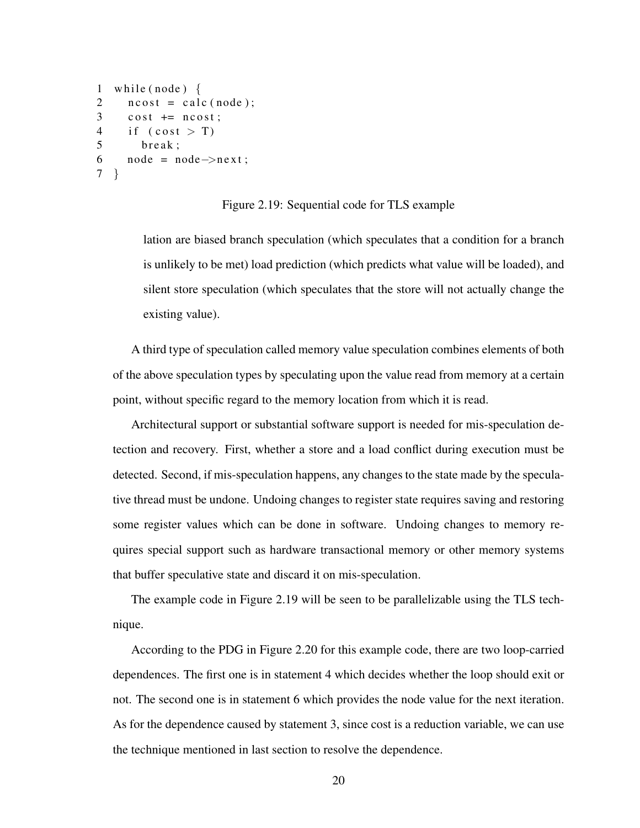```
1 while (node) \{2 \text{ ncost} = \text{calc}(\text{node});3 \cosh \theta = \text{ncost};
4 if (cost > T)5 break:
6 node = node \rightarrownext;
7 }
```
Figure 2.19: Sequential code for TLS example

lation are biased branch speculation (which speculates that a condition for a branch is unlikely to be met) load prediction (which predicts what value will be loaded), and silent store speculation (which speculates that the store will not actually change the existing value).

A third type of speculation called memory value speculation combines elements of both of the above speculation types by speculating upon the value read from memory at a certain point, without specific regard to the memory location from which it is read.

Architectural support or substantial software support is needed for mis-speculation detection and recovery. First, whether a store and a load conflict during execution must be detected. Second, if mis-speculation happens, any changes to the state made by the speculative thread must be undone. Undoing changes to register state requires saving and restoring some register values which can be done in software. Undoing changes to memory requires special support such as hardware transactional memory or other memory systems that buffer speculative state and discard it on mis-speculation.

The example code in Figure 2.19 will be seen to be parallelizable using the TLS technique.

According to the PDG in Figure 2.20 for this example code, there are two loop-carried dependences. The first one is in statement 4 which decides whether the loop should exit or not. The second one is in statement 6 which provides the node value for the next iteration. As for the dependence caused by statement 3, since cost is a reduction variable, we can use the technique mentioned in last section to resolve the dependence.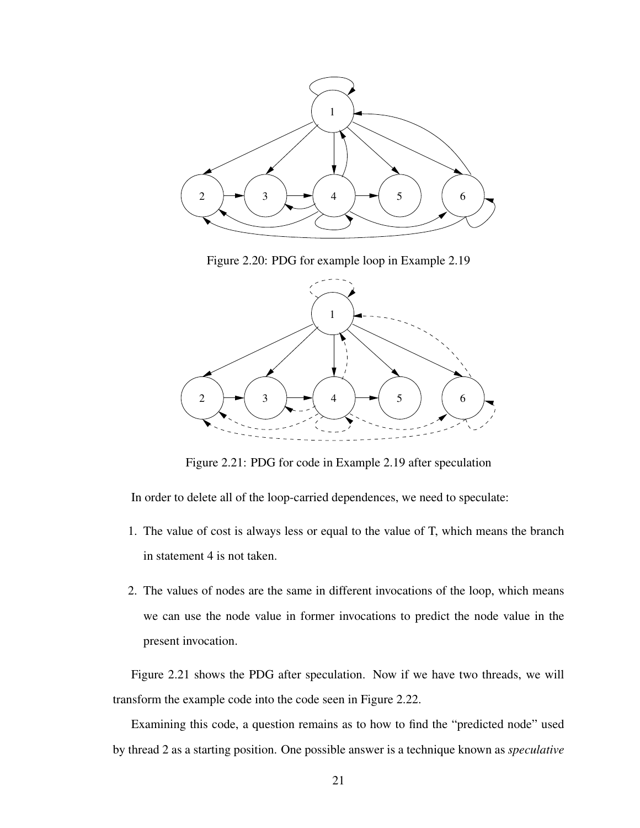

Figure 2.20: PDG for example loop in Example 2.19



Figure 2.21: PDG for code in Example 2.19 after speculation

In order to delete all of the loop-carried dependences, we need to speculate:

- 1. The value of cost is always less or equal to the value of T, which means the branch in statement 4 is not taken.
- 2. The values of nodes are the same in different invocations of the loop, which means we can use the node value in former invocations to predict the node value in the present invocation.

Figure 2.21 shows the PDG after speculation. Now if we have two threads, we will transform the example code into the code seen in Figure 2.22.

Examining this code, a question remains as to how to find the "predicted node" used by thread 2 as a starting position. One possible answer is a technique known as *speculative*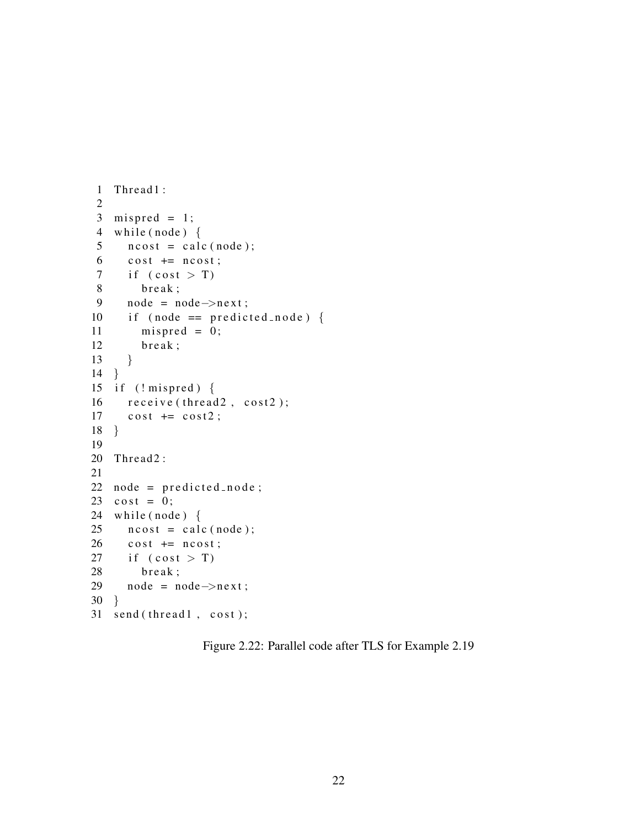```
1 Thread 1:
 2
 3 mispred = 1;
 4 while (node) \{5 n cost = calc (node);
 6 \qquad \text{cost} \text{ += } \text{ncost};
 7 if (cost > T)8 break;
 9 node = node \rightarrow next;10 if (node == predicted_node) {
11 mispred = 0;
12 break;
13 }
14 }
15 if (! mispred ) {
16 \text{receive}(\text{thread2}, \text{cost2});17 \quad \cosh + = \cosh 2;
18 }
19
20 Thread 2:
21
22 node = predicted_node;
23 \cosh = 0;
24 while (node) \{25 n c o st = c a l c (node);
26 \qquad \text{cost} \text{ += } \text{ncost};
27 if (cost > T)28 break;
29 node = node->next;
30 }
31 send (thread 1, cost);
```
Figure 2.22: Parallel code after TLS for Example 2.19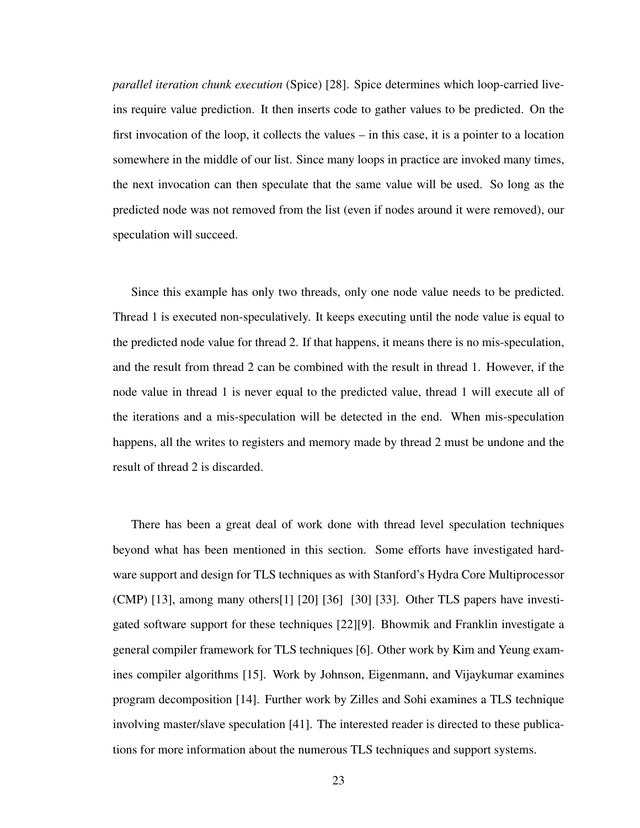*parallel iteration chunk execution* (Spice) [28]. Spice determines which loop-carried liveins require value prediction. It then inserts code to gather values to be predicted. On the first invocation of the loop, it collects the values – in this case, it is a pointer to a location somewhere in the middle of our list. Since many loops in practice are invoked many times, the next invocation can then speculate that the same value will be used. So long as the predicted node was not removed from the list (even if nodes around it were removed), our speculation will succeed.

Since this example has only two threads, only one node value needs to be predicted. Thread 1 is executed non-speculatively. It keeps executing until the node value is equal to the predicted node value for thread 2. If that happens, it means there is no mis-speculation, and the result from thread 2 can be combined with the result in thread 1. However, if the node value in thread 1 is never equal to the predicted value, thread 1 will execute all of the iterations and a mis-speculation will be detected in the end. When mis-speculation happens, all the writes to registers and memory made by thread 2 must be undone and the result of thread 2 is discarded.

There has been a great deal of work done with thread level speculation techniques beyond what has been mentioned in this section. Some efforts have investigated hardware support and design for TLS techniques as with Stanford's Hydra Core Multiprocessor (CMP) [13], among many others[1] [20] [36] [30] [33]. Other TLS papers have investigated software support for these techniques [22][9]. Bhowmik and Franklin investigate a general compiler framework for TLS techniques [6]. Other work by Kim and Yeung examines compiler algorithms [15]. Work by Johnson, Eigenmann, and Vijaykumar examines program decomposition [14]. Further work by Zilles and Sohi examines a TLS technique involving master/slave speculation [41]. The interested reader is directed to these publications for more information about the numerous TLS techniques and support systems.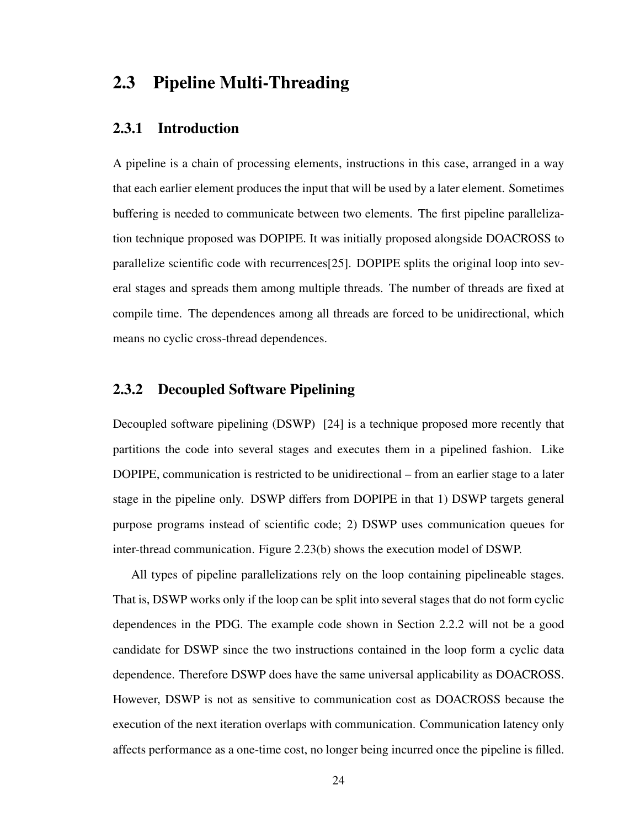## 2.3 Pipeline Multi-Threading

#### 2.3.1 Introduction

A pipeline is a chain of processing elements, instructions in this case, arranged in a way that each earlier element produces the input that will be used by a later element. Sometimes buffering is needed to communicate between two elements. The first pipeline parallelization technique proposed was DOPIPE. It was initially proposed alongside DOACROSS to parallelize scientific code with recurrences[25]. DOPIPE splits the original loop into several stages and spreads them among multiple threads. The number of threads are fixed at compile time. The dependences among all threads are forced to be unidirectional, which means no cyclic cross-thread dependences.

#### 2.3.2 Decoupled Software Pipelining

Decoupled software pipelining (DSWP) [24] is a technique proposed more recently that partitions the code into several stages and executes them in a pipelined fashion. Like DOPIPE, communication is restricted to be unidirectional – from an earlier stage to a later stage in the pipeline only. DSWP differs from DOPIPE in that 1) DSWP targets general purpose programs instead of scientific code; 2) DSWP uses communication queues for inter-thread communication. Figure 2.23(b) shows the execution model of DSWP.

All types of pipeline parallelizations rely on the loop containing pipelineable stages. That is, DSWP works only if the loop can be split into several stages that do not form cyclic dependences in the PDG. The example code shown in Section 2.2.2 will not be a good candidate for DSWP since the two instructions contained in the loop form a cyclic data dependence. Therefore DSWP does have the same universal applicability as DOACROSS. However, DSWP is not as sensitive to communication cost as DOACROSS because the execution of the next iteration overlaps with communication. Communication latency only affects performance as a one-time cost, no longer being incurred once the pipeline is filled.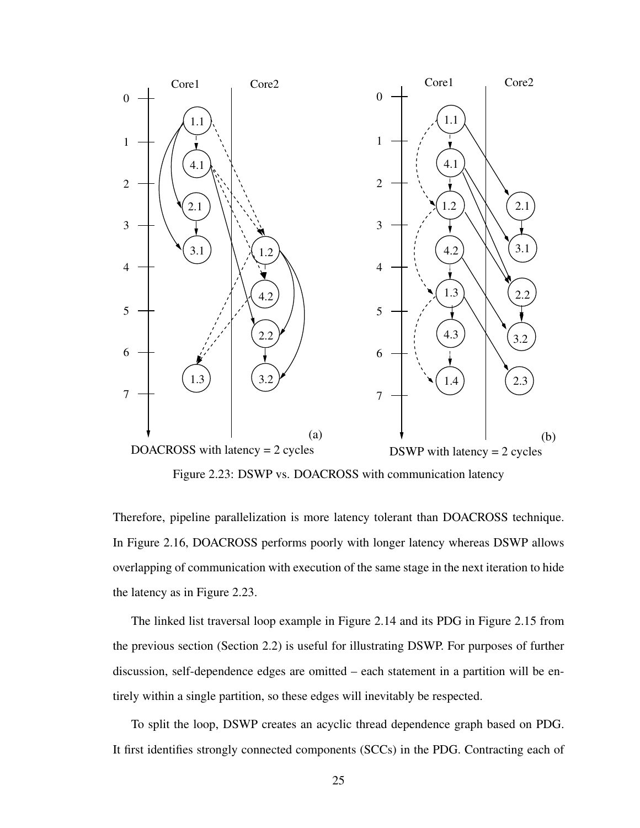

Figure 2.23: DSWP vs. DOACROSS with communication latency

Therefore, pipeline parallelization is more latency tolerant than DOACROSS technique. In Figure 2.16, DOACROSS performs poorly with longer latency whereas DSWP allows overlapping of communication with execution of the same stage in the next iteration to hide the latency as in Figure 2.23.

The linked list traversal loop example in Figure 2.14 and its PDG in Figure 2.15 from the previous section (Section 2.2) is useful for illustrating DSWP. For purposes of further discussion, self-dependence edges are omitted – each statement in a partition will be entirely within a single partition, so these edges will inevitably be respected.

To split the loop, DSWP creates an acyclic thread dependence graph based on PDG. It first identifies strongly connected components (SCCs) in the PDG. Contracting each of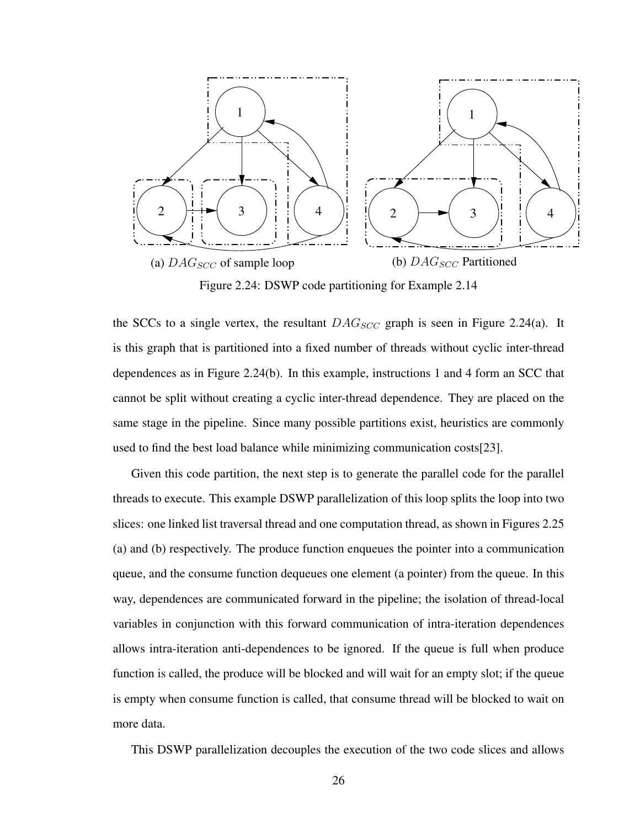

Figure 2.24: DSWP code partitioning for Example 2.14

the SCCs to a single vertex, the resultant  $DAG_{SCC}$  graph is seen in Figure 2.24(a). It is this graph that is partitioned into a fixed number of threads without cyclic inter-thread dependences as in Figure 2.24(b). In this example, instructions 1 and 4 form an SCC that cannot be split without creating a cyclic inter-thread dependence. They are placed on the same stage in the pipeline. Since many possible partitions exist, heuristics are commonly used to find the best load balance while minimizing communication costs[23].

Given this code partition, the next step is to generate the parallel code for the parallel threads to execute. This example DSWP parallelization of this loop splits the loop into two slices: one linked list traversal thread and one computation thread, as shown in Figures 2.25 (a) and (b) respectively. The produce function enqueues the pointer into a communication queue, and the consume function dequeues one element (a pointer) from the queue. In this way, dependences are communicated forward in the pipeline; the isolation of thread-local variables in conjunction with this forward communication of intra-iteration dependences allows intra-iteration anti-dependences to be ignored. If the queue is full when produce function is called, the produce will be blocked and will wait for an empty slot; if the queue is empty when consume function is called, that consume thread will be blocked to wait on more data.

This DSWP parallelization decouples the execution of the two code slices and allows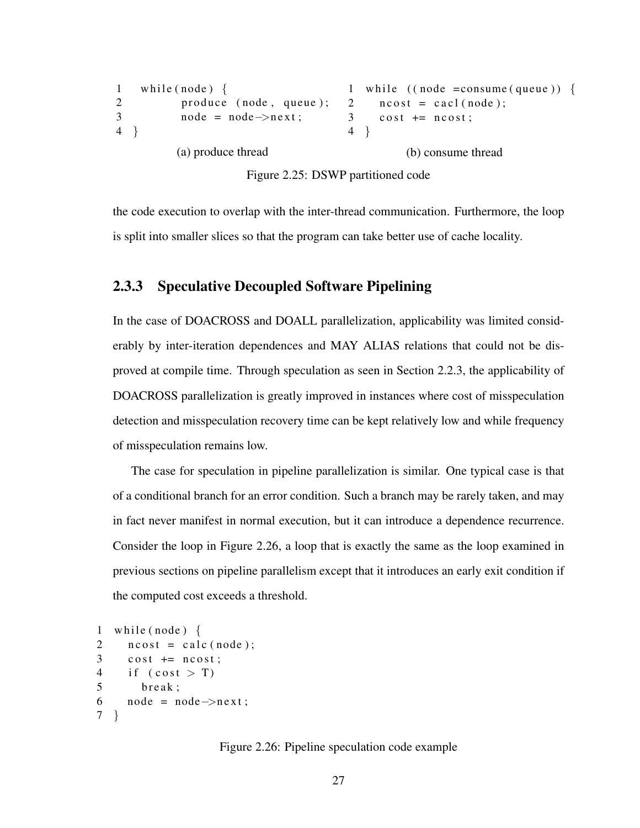```
1 while (node) \{2 produce (node, queue);
3 node = node \rightarrow next;4 }
           (a) produce thread
                                         1 while ((node = consume (queue)) {
                                         2 \text{ ncost} = \text{card}(\text{node});3 \cosh \theta = \text{ncost};
                                         4 }
                                                   (b) consume thread
```
Figure 2.25: DSWP partitioned code

the code execution to overlap with the inter-thread communication. Furthermore, the loop is split into smaller slices so that the program can take better use of cache locality.

#### 2.3.3 Speculative Decoupled Software Pipelining

In the case of DOACROSS and DOALL parallelization, applicability was limited considerably by inter-iteration dependences and MAY ALIAS relations that could not be disproved at compile time. Through speculation as seen in Section 2.2.3, the applicability of DOACROSS parallelization is greatly improved in instances where cost of misspeculation detection and misspeculation recovery time can be kept relatively low and while frequency of misspeculation remains low.

The case for speculation in pipeline parallelization is similar. One typical case is that of a conditional branch for an error condition. Such a branch may be rarely taken, and may in fact never manifest in normal execution, but it can introduce a dependence recurrence. Consider the loop in Figure 2.26, a loop that is exactly the same as the loop examined in previous sections on pipeline parallelism except that it introduces an early exit condition if the computed cost exceeds a threshold.

```
1 while (node) \{2 \text{ ncost} = \text{calc}(\text{node});3 \cosh \theta = \text{ncost};
4 if (cost > T)5 break:
6 node = node \rightarrownext;
7 }
```
Figure 2.26: Pipeline speculation code example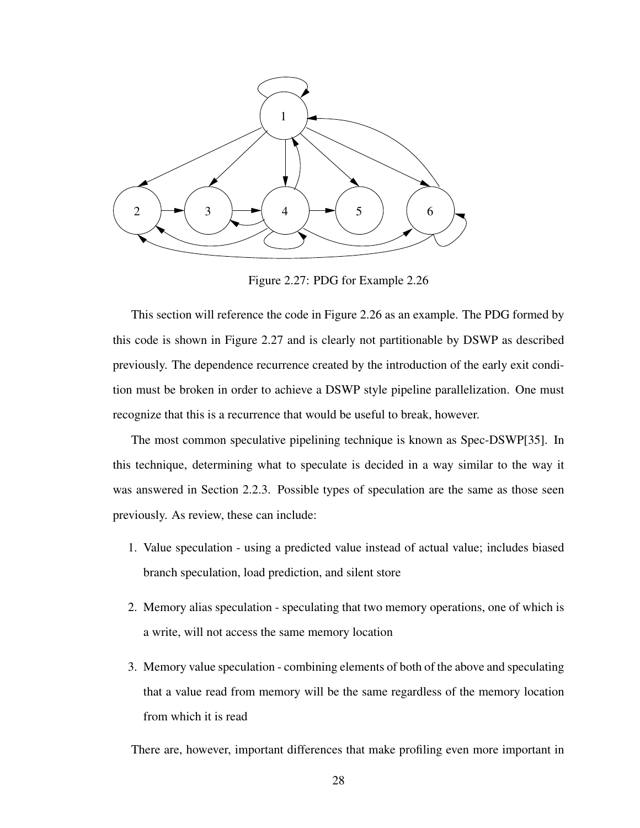

Figure 2.27: PDG for Example 2.26

This section will reference the code in Figure 2.26 as an example. The PDG formed by this code is shown in Figure 2.27 and is clearly not partitionable by DSWP as described previously. The dependence recurrence created by the introduction of the early exit condition must be broken in order to achieve a DSWP style pipeline parallelization. One must recognize that this is a recurrence that would be useful to break, however.

The most common speculative pipelining technique is known as Spec-DSWP[35]. In this technique, determining what to speculate is decided in a way similar to the way it was answered in Section 2.2.3. Possible types of speculation are the same as those seen previously. As review, these can include:

- 1. Value speculation using a predicted value instead of actual value; includes biased branch speculation, load prediction, and silent store
- 2. Memory alias speculation speculating that two memory operations, one of which is a write, will not access the same memory location
- 3. Memory value speculation combining elements of both of the above and speculating that a value read from memory will be the same regardless of the memory location from which it is read

There are, however, important differences that make profiling even more important in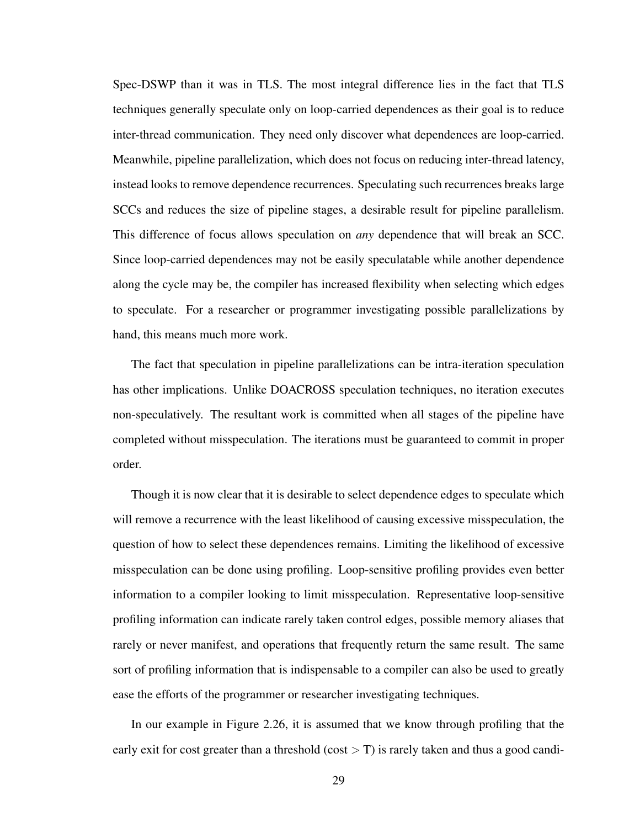Spec-DSWP than it was in TLS. The most integral difference lies in the fact that TLS techniques generally speculate only on loop-carried dependences as their goal is to reduce inter-thread communication. They need only discover what dependences are loop-carried. Meanwhile, pipeline parallelization, which does not focus on reducing inter-thread latency, instead looks to remove dependence recurrences. Speculating such recurrences breaks large SCCs and reduces the size of pipeline stages, a desirable result for pipeline parallelism. This difference of focus allows speculation on *any* dependence that will break an SCC. Since loop-carried dependences may not be easily speculatable while another dependence along the cycle may be, the compiler has increased flexibility when selecting which edges to speculate. For a researcher or programmer investigating possible parallelizations by hand, this means much more work.

The fact that speculation in pipeline parallelizations can be intra-iteration speculation has other implications. Unlike DOACROSS speculation techniques, no iteration executes non-speculatively. The resultant work is committed when all stages of the pipeline have completed without misspeculation. The iterations must be guaranteed to commit in proper order.

Though it is now clear that it is desirable to select dependence edges to speculate which will remove a recurrence with the least likelihood of causing excessive misspeculation, the question of how to select these dependences remains. Limiting the likelihood of excessive misspeculation can be done using profiling. Loop-sensitive profiling provides even better information to a compiler looking to limit misspeculation. Representative loop-sensitive profiling information can indicate rarely taken control edges, possible memory aliases that rarely or never manifest, and operations that frequently return the same result. The same sort of profiling information that is indispensable to a compiler can also be used to greatly ease the efforts of the programmer or researcher investigating techniques.

In our example in Figure 2.26, it is assumed that we know through profiling that the early exit for cost greater than a threshold (cost  $>$  T) is rarely taken and thus a good candi-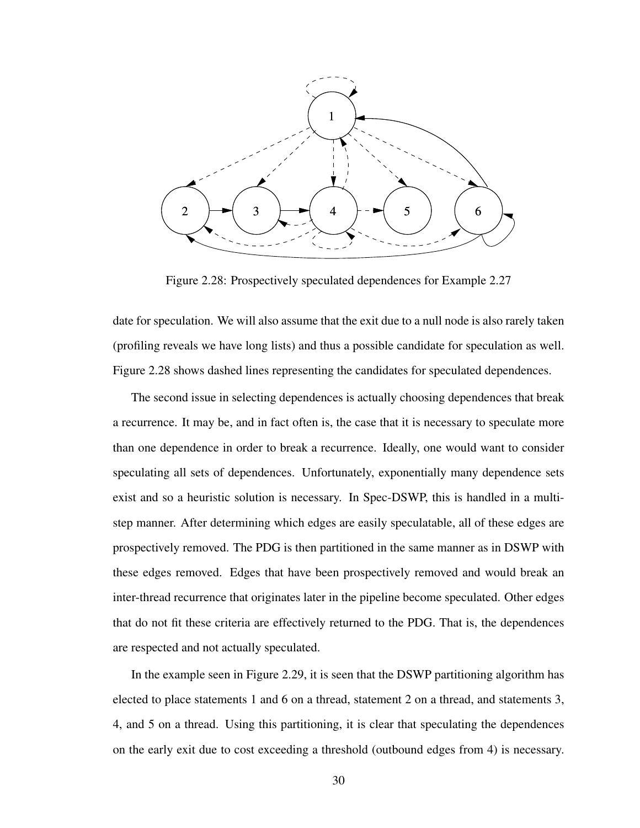

Figure 2.28: Prospectively speculated dependences for Example 2.27

date for speculation. We will also assume that the exit due to a null node is also rarely taken (profiling reveals we have long lists) and thus a possible candidate for speculation as well. Figure 2.28 shows dashed lines representing the candidates for speculated dependences.

The second issue in selecting dependences is actually choosing dependences that break a recurrence. It may be, and in fact often is, the case that it is necessary to speculate more than one dependence in order to break a recurrence. Ideally, one would want to consider speculating all sets of dependences. Unfortunately, exponentially many dependence sets exist and so a heuristic solution is necessary. In Spec-DSWP, this is handled in a multistep manner. After determining which edges are easily speculatable, all of these edges are prospectively removed. The PDG is then partitioned in the same manner as in DSWP with these edges removed. Edges that have been prospectively removed and would break an inter-thread recurrence that originates later in the pipeline become speculated. Other edges that do not fit these criteria are effectively returned to the PDG. That is, the dependences are respected and not actually speculated.

In the example seen in Figure 2.29, it is seen that the DSWP partitioning algorithm has elected to place statements 1 and 6 on a thread, statement 2 on a thread, and statements 3, 4, and 5 on a thread. Using this partitioning, it is clear that speculating the dependences on the early exit due to cost exceeding a threshold (outbound edges from 4) is necessary.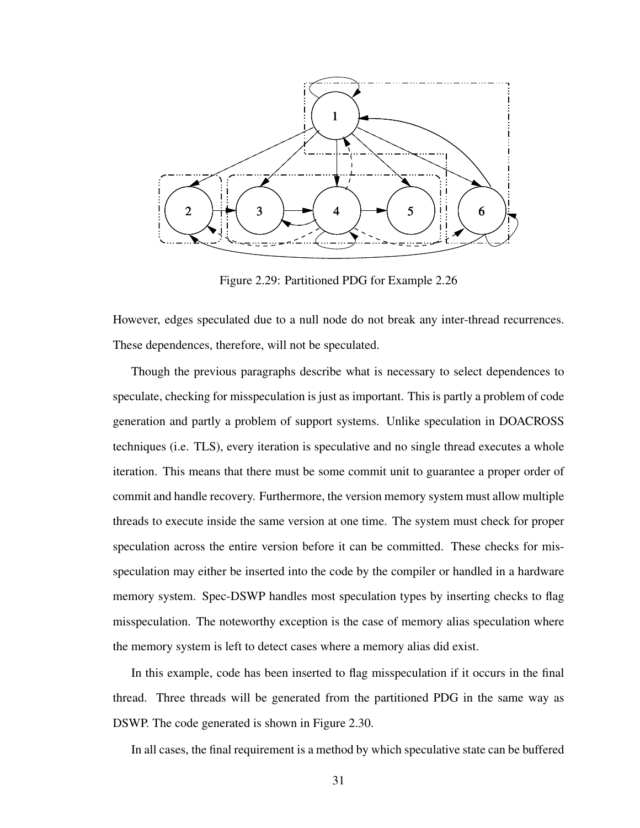

Figure 2.29: Partitioned PDG for Example 2.26

However, edges speculated due to a null node do not break any inter-thread recurrences. These dependences, therefore, will not be speculated.

Though the previous paragraphs describe what is necessary to select dependences to speculate, checking for misspeculation is just as important. This is partly a problem of code generation and partly a problem of support systems. Unlike speculation in DOACROSS techniques (i.e. TLS), every iteration is speculative and no single thread executes a whole iteration. This means that there must be some commit unit to guarantee a proper order of commit and handle recovery. Furthermore, the version memory system must allow multiple threads to execute inside the same version at one time. The system must check for proper speculation across the entire version before it can be committed. These checks for misspeculation may either be inserted into the code by the compiler or handled in a hardware memory system. Spec-DSWP handles most speculation types by inserting checks to flag misspeculation. The noteworthy exception is the case of memory alias speculation where the memory system is left to detect cases where a memory alias did exist.

In this example, code has been inserted to flag misspeculation if it occurs in the final thread. Three threads will be generated from the partitioned PDG in the same way as DSWP. The code generated is shown in Figure 2.30.

In all cases, the final requirement is a method by which speculative state can be buffered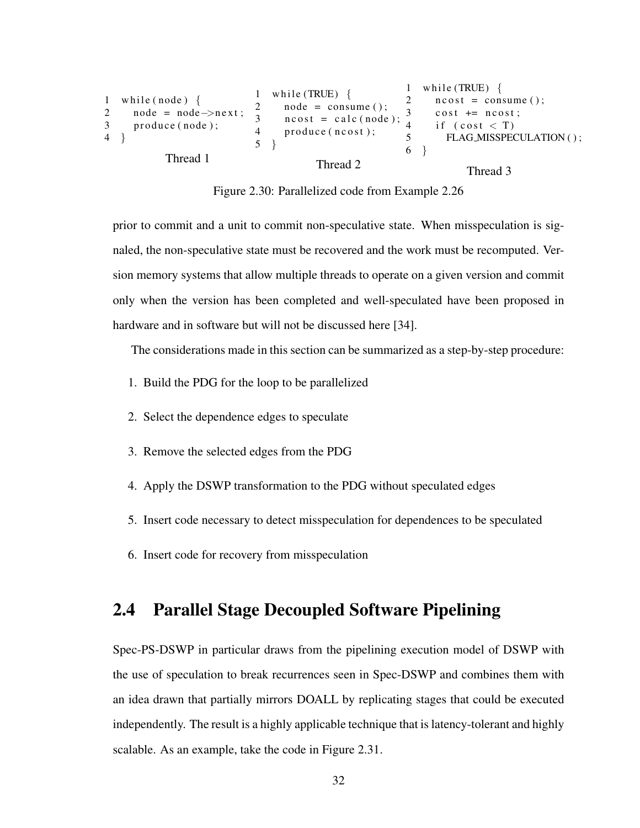```
1 while (node) \{2 node = node \rightarrow next;
3 produce (node);
4 }
             Thread 1
                                1 while (TRUE) \{2 \text{ node} = \text{ consume}();
                                3 \text{ ncost} = \text{calc}(\text{node});4 produce (ncost);
                                5 }
                                             Thread 2
                                                                1 while (TRUE) \{2 \text{ ncost} = \text{cosum}(t);
                                                                3 \cosh \theta = \text{ncost};
                                                                4 if ( cost < T)<br>5 FLAG_MISSPE(
                                                                         FLAG_MISSPECULATION();
                                                                6 }
                                                                             Thread 3
```
Figure 2.30: Parallelized code from Example 2.26

prior to commit and a unit to commit non-speculative state. When misspeculation is signaled, the non-speculative state must be recovered and the work must be recomputed. Version memory systems that allow multiple threads to operate on a given version and commit only when the version has been completed and well-speculated have been proposed in hardware and in software but will not be discussed here [34].

The considerations made in this section can be summarized as a step-by-step procedure:

- 1. Build the PDG for the loop to be parallelized
- 2. Select the dependence edges to speculate
- 3. Remove the selected edges from the PDG
- 4. Apply the DSWP transformation to the PDG without speculated edges
- 5. Insert code necessary to detect misspeculation for dependences to be speculated
- 6. Insert code for recovery from misspeculation

## 2.4 Parallel Stage Decoupled Software Pipelining

Spec-PS-DSWP in particular draws from the pipelining execution model of DSWP with the use of speculation to break recurrences seen in Spec-DSWP and combines them with an idea drawn that partially mirrors DOALL by replicating stages that could be executed independently. The result is a highly applicable technique that is latency-tolerant and highly scalable. As an example, take the code in Figure 2.31.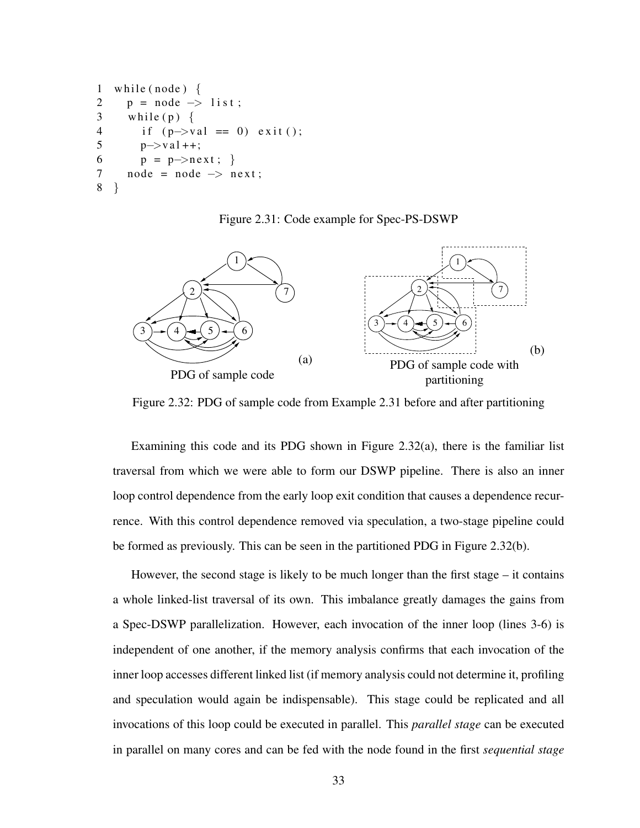```
1 while (node) \{2 p = node \rightarrow list;3 while (p) {
4 if (p \rightarrow val == 0) exit ();
5 p \rightarrow val++;6 p = p->next; }
7 \text{ node} = \text{node} \rightarrow \text{next};8 }
```
Figure 2.31: Code example for Spec-PS-DSWP



Figure 2.32: PDG of sample code from Example 2.31 before and after partitioning

Examining this code and its PDG shown in Figure 2.32(a), there is the familiar list traversal from which we were able to form our DSWP pipeline. There is also an inner loop control dependence from the early loop exit condition that causes a dependence recurrence. With this control dependence removed via speculation, a two-stage pipeline could be formed as previously. This can be seen in the partitioned PDG in Figure 2.32(b).

However, the second stage is likely to be much longer than the first stage – it contains a whole linked-list traversal of its own. This imbalance greatly damages the gains from a Spec-DSWP parallelization. However, each invocation of the inner loop (lines 3-6) is independent of one another, if the memory analysis confirms that each invocation of the inner loop accesses different linked list (if memory analysis could not determine it, profiling and speculation would again be indispensable). This stage could be replicated and all invocations of this loop could be executed in parallel. This *parallel stage* can be executed in parallel on many cores and can be fed with the node found in the first *sequential stage*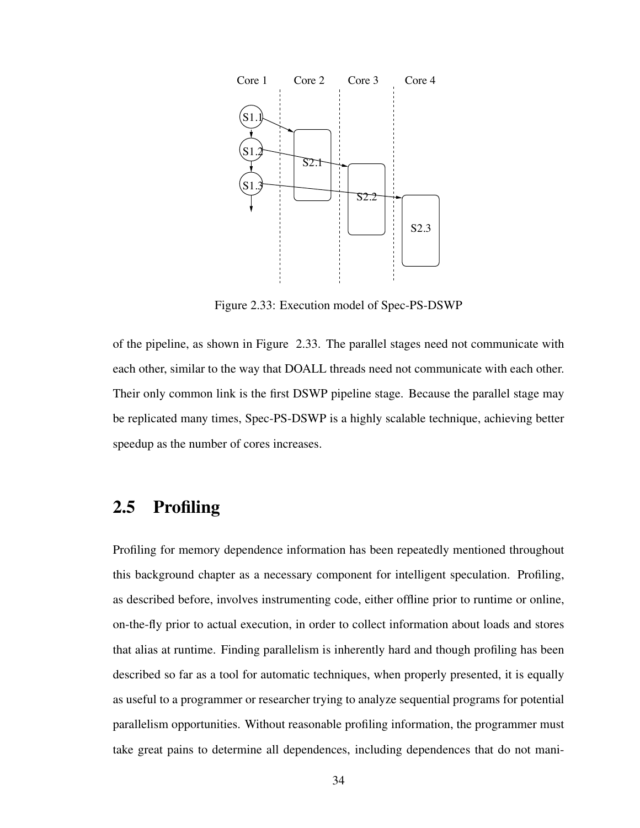

Figure 2.33: Execution model of Spec-PS-DSWP

of the pipeline, as shown in Figure 2.33. The parallel stages need not communicate with each other, similar to the way that DOALL threads need not communicate with each other. Their only common link is the first DSWP pipeline stage. Because the parallel stage may be replicated many times, Spec-PS-DSWP is a highly scalable technique, achieving better speedup as the number of cores increases.

## 2.5 Profiling

Profiling for memory dependence information has been repeatedly mentioned throughout this background chapter as a necessary component for intelligent speculation. Profiling, as described before, involves instrumenting code, either offline prior to runtime or online, on-the-fly prior to actual execution, in order to collect information about loads and stores that alias at runtime. Finding parallelism is inherently hard and though profiling has been described so far as a tool for automatic techniques, when properly presented, it is equally as useful to a programmer or researcher trying to analyze sequential programs for potential parallelism opportunities. Without reasonable profiling information, the programmer must take great pains to determine all dependences, including dependences that do not mani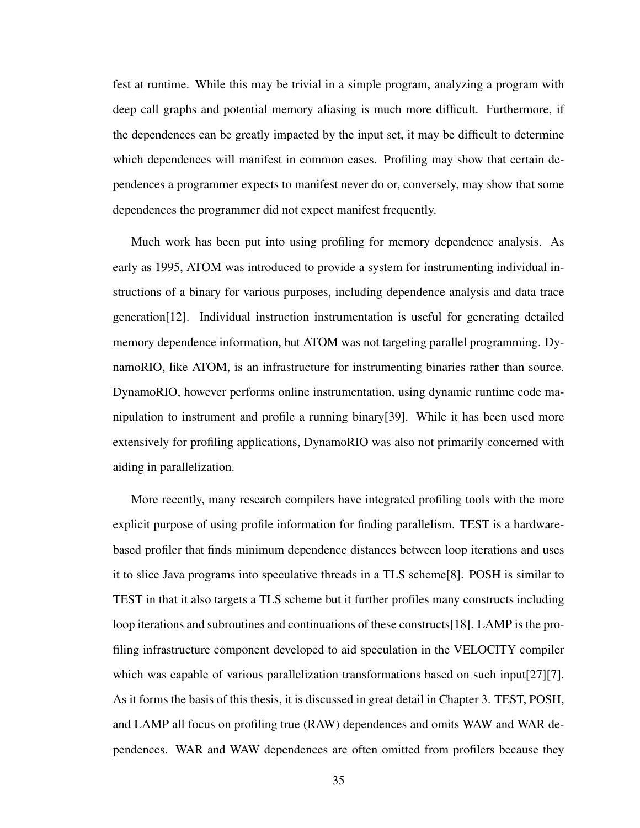fest at runtime. While this may be trivial in a simple program, analyzing a program with deep call graphs and potential memory aliasing is much more difficult. Furthermore, if the dependences can be greatly impacted by the input set, it may be difficult to determine which dependences will manifest in common cases. Profiling may show that certain dependences a programmer expects to manifest never do or, conversely, may show that some dependences the programmer did not expect manifest frequently.

Much work has been put into using profiling for memory dependence analysis. As early as 1995, ATOM was introduced to provide a system for instrumenting individual instructions of a binary for various purposes, including dependence analysis and data trace generation[12]. Individual instruction instrumentation is useful for generating detailed memory dependence information, but ATOM was not targeting parallel programming. DynamoRIO, like ATOM, is an infrastructure for instrumenting binaries rather than source. DynamoRIO, however performs online instrumentation, using dynamic runtime code manipulation to instrument and profile a running binary[39]. While it has been used more extensively for profiling applications, DynamoRIO was also not primarily concerned with aiding in parallelization.

More recently, many research compilers have integrated profiling tools with the more explicit purpose of using profile information for finding parallelism. TEST is a hardwarebased profiler that finds minimum dependence distances between loop iterations and uses it to slice Java programs into speculative threads in a TLS scheme[8]. POSH is similar to TEST in that it also targets a TLS scheme but it further profiles many constructs including loop iterations and subroutines and continuations of these constructs[18]. LAMP is the profiling infrastructure component developed to aid speculation in the VELOCITY compiler which was capable of various parallelization transformations based on such input [27][7]. As it forms the basis of this thesis, it is discussed in great detail in Chapter 3. TEST, POSH, and LAMP all focus on profiling true (RAW) dependences and omits WAW and WAR dependences. WAR and WAW dependences are often omitted from profilers because they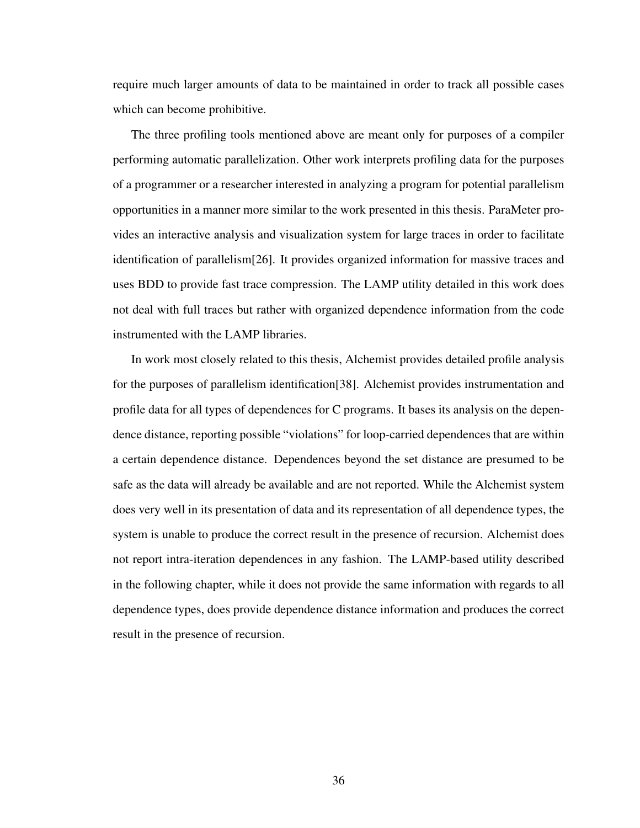require much larger amounts of data to be maintained in order to track all possible cases which can become prohibitive.

The three profiling tools mentioned above are meant only for purposes of a compiler performing automatic parallelization. Other work interprets profiling data for the purposes of a programmer or a researcher interested in analyzing a program for potential parallelism opportunities in a manner more similar to the work presented in this thesis. ParaMeter provides an interactive analysis and visualization system for large traces in order to facilitate identification of parallelism[26]. It provides organized information for massive traces and uses BDD to provide fast trace compression. The LAMP utility detailed in this work does not deal with full traces but rather with organized dependence information from the code instrumented with the LAMP libraries.

In work most closely related to this thesis, Alchemist provides detailed profile analysis for the purposes of parallelism identification[38]. Alchemist provides instrumentation and profile data for all types of dependences for C programs. It bases its analysis on the dependence distance, reporting possible "violations" for loop-carried dependences that are within a certain dependence distance. Dependences beyond the set distance are presumed to be safe as the data will already be available and are not reported. While the Alchemist system does very well in its presentation of data and its representation of all dependence types, the system is unable to produce the correct result in the presence of recursion. Alchemist does not report intra-iteration dependences in any fashion. The LAMP-based utility described in the following chapter, while it does not provide the same information with regards to all dependence types, does provide dependence distance information and produces the correct result in the presence of recursion.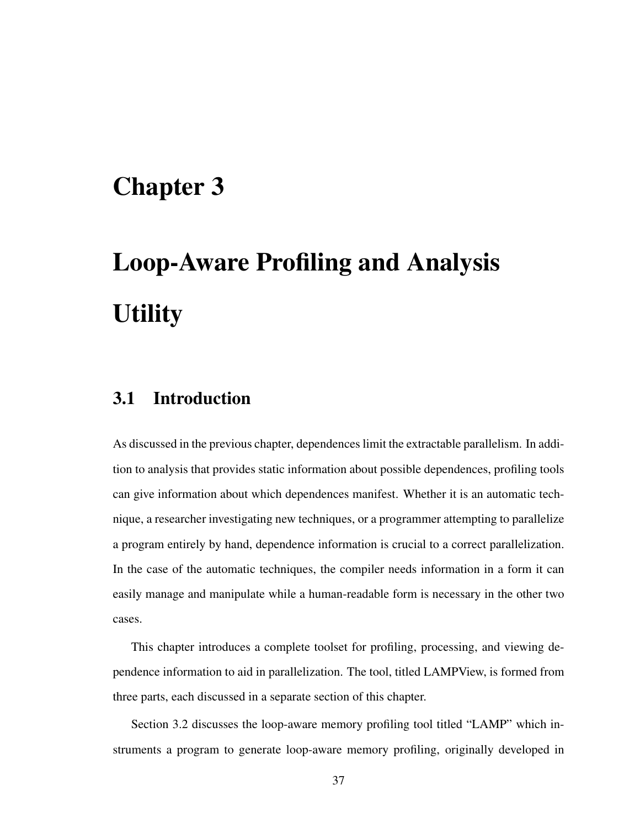## Chapter 3

# Loop-Aware Profiling and Analysis **Utility**

## 3.1 Introduction

As discussed in the previous chapter, dependences limit the extractable parallelism. In addition to analysis that provides static information about possible dependences, profiling tools can give information about which dependences manifest. Whether it is an automatic technique, a researcher investigating new techniques, or a programmer attempting to parallelize a program entirely by hand, dependence information is crucial to a correct parallelization. In the case of the automatic techniques, the compiler needs information in a form it can easily manage and manipulate while a human-readable form is necessary in the other two cases.

This chapter introduces a complete toolset for profiling, processing, and viewing dependence information to aid in parallelization. The tool, titled LAMPView, is formed from three parts, each discussed in a separate section of this chapter.

Section 3.2 discusses the loop-aware memory profiling tool titled "LAMP" which instruments a program to generate loop-aware memory profiling, originally developed in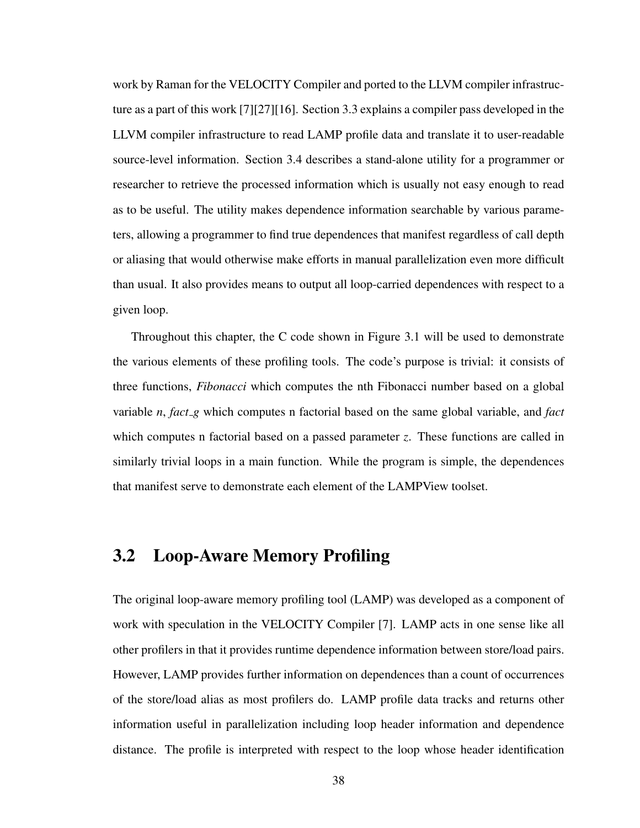work by Raman for the VELOCITY Compiler and ported to the LLVM compiler infrastructure as a part of this work [7][27][16]. Section 3.3 explains a compiler pass developed in the LLVM compiler infrastructure to read LAMP profile data and translate it to user-readable source-level information. Section 3.4 describes a stand-alone utility for a programmer or researcher to retrieve the processed information which is usually not easy enough to read as to be useful. The utility makes dependence information searchable by various parameters, allowing a programmer to find true dependences that manifest regardless of call depth or aliasing that would otherwise make efforts in manual parallelization even more difficult than usual. It also provides means to output all loop-carried dependences with respect to a given loop.

Throughout this chapter, the C code shown in Figure 3.1 will be used to demonstrate the various elements of these profiling tools. The code's purpose is trivial: it consists of three functions, *Fibonacci* which computes the nth Fibonacci number based on a global variable *n*, *fact g* which computes n factorial based on the same global variable, and *fact* which computes n factorial based on a passed parameter *z*. These functions are called in similarly trivial loops in a main function. While the program is simple, the dependences that manifest serve to demonstrate each element of the LAMPView toolset.

## 3.2 Loop-Aware Memory Profiling

The original loop-aware memory profiling tool (LAMP) was developed as a component of work with speculation in the VELOCITY Compiler [7]. LAMP acts in one sense like all other profilers in that it provides runtime dependence information between store/load pairs. However, LAMP provides further information on dependences than a count of occurrences of the store/load alias as most profilers do. LAMP profile data tracks and returns other information useful in parallelization including loop header information and dependence distance. The profile is interpreted with respect to the loop whose header identification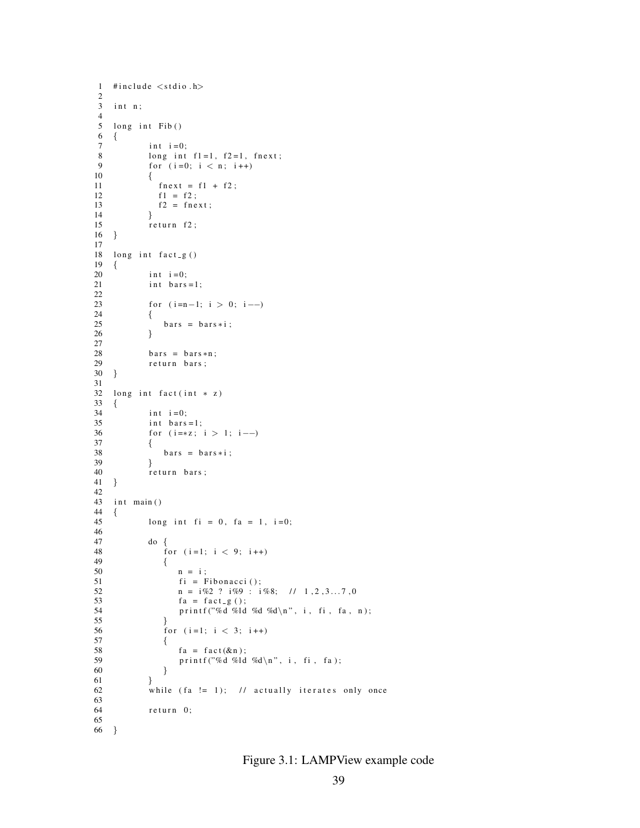```
1 #include \langlestdio.h\rangle\frac{2}{3}int n;\frac{4}{5}long int Fib()6 {
 7 int i = 0;<br>8 long int8 long int f1=1, f2=1, fnext;<br>9 for (i=0; i < n; i++)
              for (i=0; i < n; i++)\begin{array}{cc} 10 \\ 11 \end{array} {
                 fn e x t = f 1 + f 2;
f1 = f2;<br>13 f2 = fnef2 = \text{fnext};
14 }
15 r return f2;<br>16 }
16 }
\frac{17}{18}long int fact_g()
19 {
20 int i=0;<br>21 int bars
              int \, bar s = 1;
\frac{22}{23}for (i=n-1; i > 0; i--)24 {<br>25
              bars = bars * i ;26 }
27
28 bars = bars *n;<br>29 return bars;
              return bars;
30 }
31
32 long int fact(int * z)
33 \t {34}i \cdot n t i = 0;
35 int bars=1;
36 for (i = *z; i > 1; i --)37 {
38 bars = bars *i;<br>39 }
39<br>40return bars;
41 }
42
43 int main ()
44 \t{45}long int fi = 0, fa = 1, i=0;
\frac{46}{47}\begin{array}{ccc} 47 & \text{do} & \{ \\ 48 & & \text{f} \end{array}for (i=1; i < 9; i++)49 {
50 n = i;
51 f i = Fibonacci();<br>52 n = i\%2 ? i\%9 : in\ =\ i\%\ 2\ \ ?\ \ i\%\ 9\ \ :\ \ i\%\ 8;\ \ \ //\ \ 1\ ,2\ ,3\ldots\ 7\ ,053 fa = fact_{g}( );
54 printf ("%d %ld %d %d\n", i, fi, fa, n);<br>55 }
55 }
56 for (i=1; i < 3; i++)<br>57 {
57 {
58 f a = fact ( \& n ) ;<br>59 \text{print} f ( \text{"%d} \text{``} \& d )printf ("%d %ld %d\n", i, fi, fa);
60 }
\begin{array}{ccc}\n61 & & & \rightarrow \\
62 & & & \text{w}\n\end{array}while (fa := 1); // actually iterates only once
63
              return 0;65
66 }
```
Figure 3.1: LAMPView example code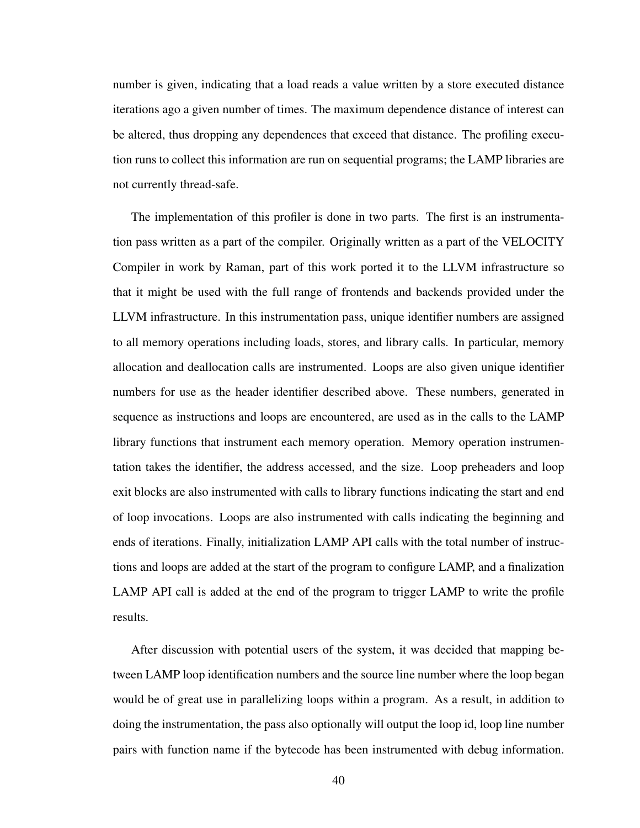number is given, indicating that a load reads a value written by a store executed distance iterations ago a given number of times. The maximum dependence distance of interest can be altered, thus dropping any dependences that exceed that distance. The profiling execution runs to collect this information are run on sequential programs; the LAMP libraries are not currently thread-safe.

The implementation of this profiler is done in two parts. The first is an instrumentation pass written as a part of the compiler. Originally written as a part of the VELOCITY Compiler in work by Raman, part of this work ported it to the LLVM infrastructure so that it might be used with the full range of frontends and backends provided under the LLVM infrastructure. In this instrumentation pass, unique identifier numbers are assigned to all memory operations including loads, stores, and library calls. In particular, memory allocation and deallocation calls are instrumented. Loops are also given unique identifier numbers for use as the header identifier described above. These numbers, generated in sequence as instructions and loops are encountered, are used as in the calls to the LAMP library functions that instrument each memory operation. Memory operation instrumentation takes the identifier, the address accessed, and the size. Loop preheaders and loop exit blocks are also instrumented with calls to library functions indicating the start and end of loop invocations. Loops are also instrumented with calls indicating the beginning and ends of iterations. Finally, initialization LAMP API calls with the total number of instructions and loops are added at the start of the program to configure LAMP, and a finalization LAMP API call is added at the end of the program to trigger LAMP to write the profile results.

After discussion with potential users of the system, it was decided that mapping between LAMP loop identification numbers and the source line number where the loop began would be of great use in parallelizing loops within a program. As a result, in addition to doing the instrumentation, the pass also optionally will output the loop id, loop line number pairs with function name if the bytecode has been instrumented with debug information.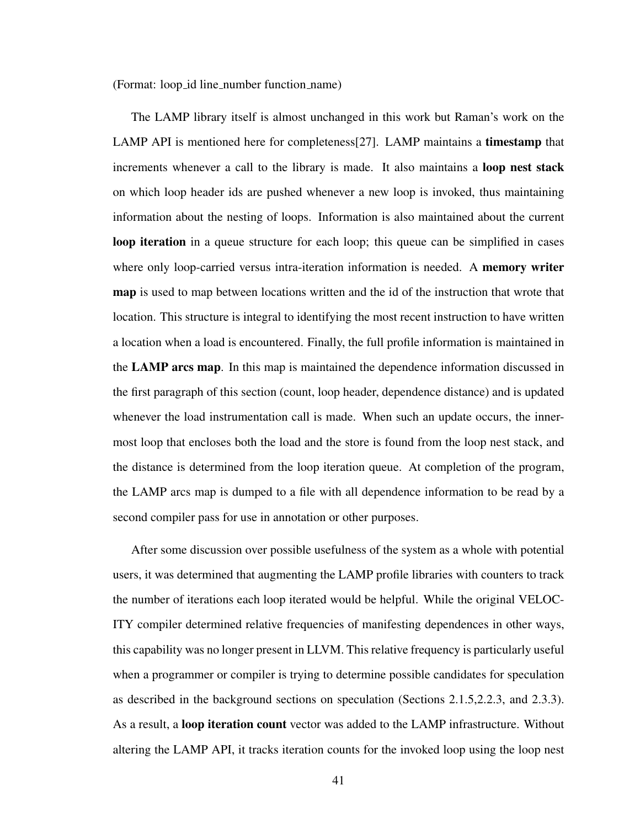(Format: loop id line number function name)

The LAMP library itself is almost unchanged in this work but Raman's work on the LAMP API is mentioned here for completeness[27]. LAMP maintains a timestamp that increments whenever a call to the library is made. It also maintains a **loop nest stack** on which loop header ids are pushed whenever a new loop is invoked, thus maintaining information about the nesting of loops. Information is also maintained about the current loop iteration in a queue structure for each loop; this queue can be simplified in cases where only loop-carried versus intra-iteration information is needed. A **memory writer** map is used to map between locations written and the id of the instruction that wrote that location. This structure is integral to identifying the most recent instruction to have written a location when a load is encountered. Finally, the full profile information is maintained in the LAMP arcs map. In this map is maintained the dependence information discussed in the first paragraph of this section (count, loop header, dependence distance) and is updated whenever the load instrumentation call is made. When such an update occurs, the innermost loop that encloses both the load and the store is found from the loop nest stack, and the distance is determined from the loop iteration queue. At completion of the program, the LAMP arcs map is dumped to a file with all dependence information to be read by a second compiler pass for use in annotation or other purposes.

After some discussion over possible usefulness of the system as a whole with potential users, it was determined that augmenting the LAMP profile libraries with counters to track the number of iterations each loop iterated would be helpful. While the original VELOC-ITY compiler determined relative frequencies of manifesting dependences in other ways, this capability was no longer present in LLVM. This relative frequency is particularly useful when a programmer or compiler is trying to determine possible candidates for speculation as described in the background sections on speculation (Sections 2.1.5,2.2.3, and 2.3.3). As a result, a loop iteration count vector was added to the LAMP infrastructure. Without altering the LAMP API, it tracks iteration counts for the invoked loop using the loop nest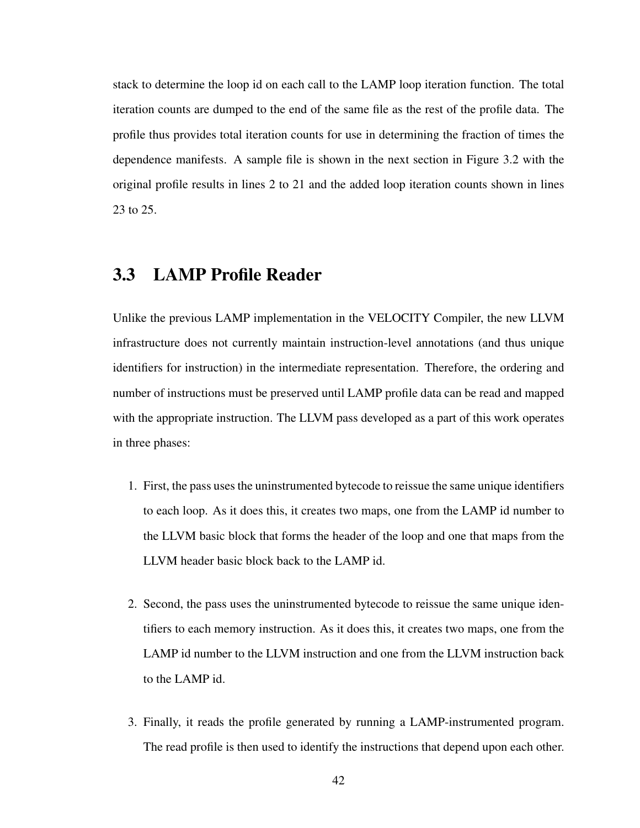stack to determine the loop id on each call to the LAMP loop iteration function. The total iteration counts are dumped to the end of the same file as the rest of the profile data. The profile thus provides total iteration counts for use in determining the fraction of times the dependence manifests. A sample file is shown in the next section in Figure 3.2 with the original profile results in lines 2 to 21 and the added loop iteration counts shown in lines 23 to 25.

## 3.3 LAMP Profile Reader

Unlike the previous LAMP implementation in the VELOCITY Compiler, the new LLVM infrastructure does not currently maintain instruction-level annotations (and thus unique identifiers for instruction) in the intermediate representation. Therefore, the ordering and number of instructions must be preserved until LAMP profile data can be read and mapped with the appropriate instruction. The LLVM pass developed as a part of this work operates in three phases:

- 1. First, the pass uses the uninstrumented bytecode to reissue the same unique identifiers to each loop. As it does this, it creates two maps, one from the LAMP id number to the LLVM basic block that forms the header of the loop and one that maps from the LLVM header basic block back to the LAMP id.
- 2. Second, the pass uses the uninstrumented bytecode to reissue the same unique identifiers to each memory instruction. As it does this, it creates two maps, one from the LAMP id number to the LLVM instruction and one from the LLVM instruction back to the LAMP id.
- 3. Finally, it reads the profile generated by running a LAMP-instrumented program. The read profile is then used to identify the instructions that depend upon each other.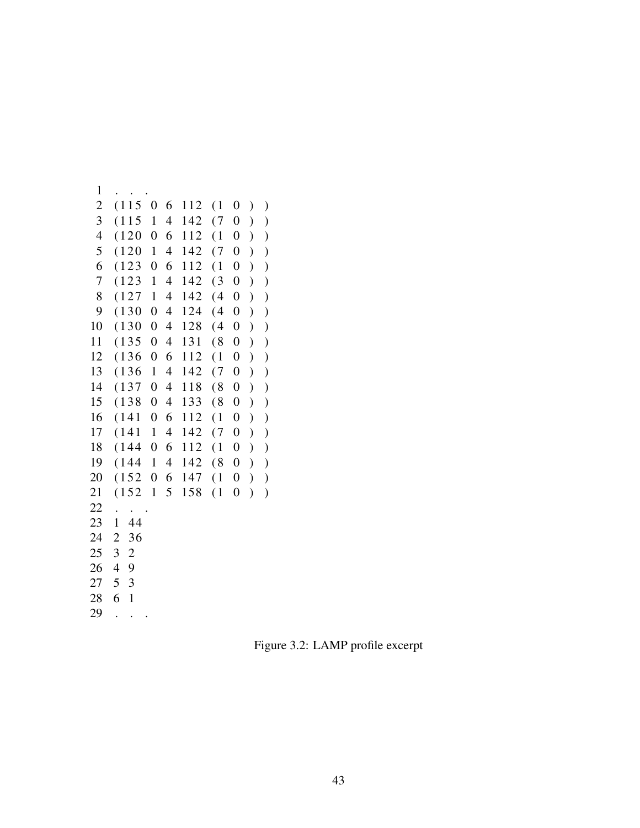```
1 . . .
2(11506112(10))3(11514142(70))4(12006112(10))5(12014142(70))6 (123 0 6 112 (1 0 ))
7(123 \t1 \t4 \t142 \t(3 \t0))8 ( 127 1 4 142 ( 4 0 ) )
9(13004124(40))10 ( 130 0 4 128 ( 4 0 ) )
11 ( 135 0 4 131 ( 8 0 ) )
12(13606112(10))13 ( 136 1 4 142 ( 7 0 ) )
14 ( 137 0 4 118 ( 8 0 ) )
15 ( 138 0 4 133 ( 8 0 ) )
16 ( 141 0 6 112 ( 1 0 ) )
17 (141 1 4 142 (7 0) )
18 ( 144  0 6 112 ( 1 0 ) )
19 ( 144 1 4 142 ( 8 0 ) )
20 ( 152 0 6 147 ( 1 0 ) )
21 ( 152 1 5 158 ( 1 0 ) )
22 . . .
23 1 44
24 2 36
25 3 2
26 4 9
27 5 3
28 6 1
29 . . .
```
Figure 3.2: LAMP profile excerpt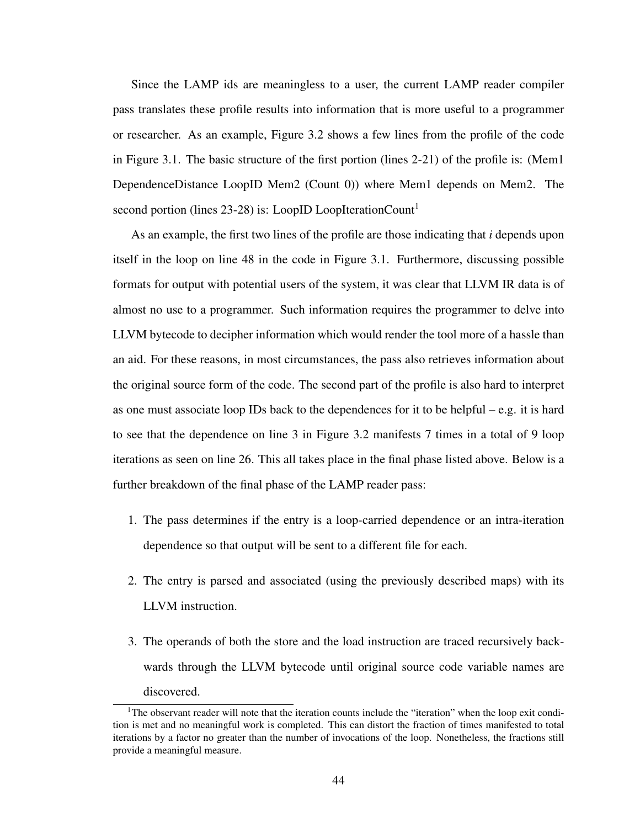Since the LAMP ids are meaningless to a user, the current LAMP reader compiler pass translates these profile results into information that is more useful to a programmer or researcher. As an example, Figure 3.2 shows a few lines from the profile of the code in Figure 3.1. The basic structure of the first portion (lines 2-21) of the profile is: (Mem1 DependenceDistance LoopID Mem2 (Count 0)) where Mem1 depends on Mem2. The second portion (lines 23-28) is: LoopID LoopIterationCount<sup>1</sup>

As an example, the first two lines of the profile are those indicating that *i* depends upon itself in the loop on line 48 in the code in Figure 3.1. Furthermore, discussing possible formats for output with potential users of the system, it was clear that LLVM IR data is of almost no use to a programmer. Such information requires the programmer to delve into LLVM bytecode to decipher information which would render the tool more of a hassle than an aid. For these reasons, in most circumstances, the pass also retrieves information about the original source form of the code. The second part of the profile is also hard to interpret as one must associate loop IDs back to the dependences for it to be helpful – e.g. it is hard to see that the dependence on line 3 in Figure 3.2 manifests 7 times in a total of 9 loop iterations as seen on line 26. This all takes place in the final phase listed above. Below is a further breakdown of the final phase of the LAMP reader pass:

- 1. The pass determines if the entry is a loop-carried dependence or an intra-iteration dependence so that output will be sent to a different file for each.
- 2. The entry is parsed and associated (using the previously described maps) with its LLVM instruction.
- 3. The operands of both the store and the load instruction are traced recursively backwards through the LLVM bytecode until original source code variable names are discovered.

<sup>&</sup>lt;sup>1</sup>The observant reader will note that the iteration counts include the "iteration" when the loop exit condition is met and no meaningful work is completed. This can distort the fraction of times manifested to total iterations by a factor no greater than the number of invocations of the loop. Nonetheless, the fractions still provide a meaningful measure.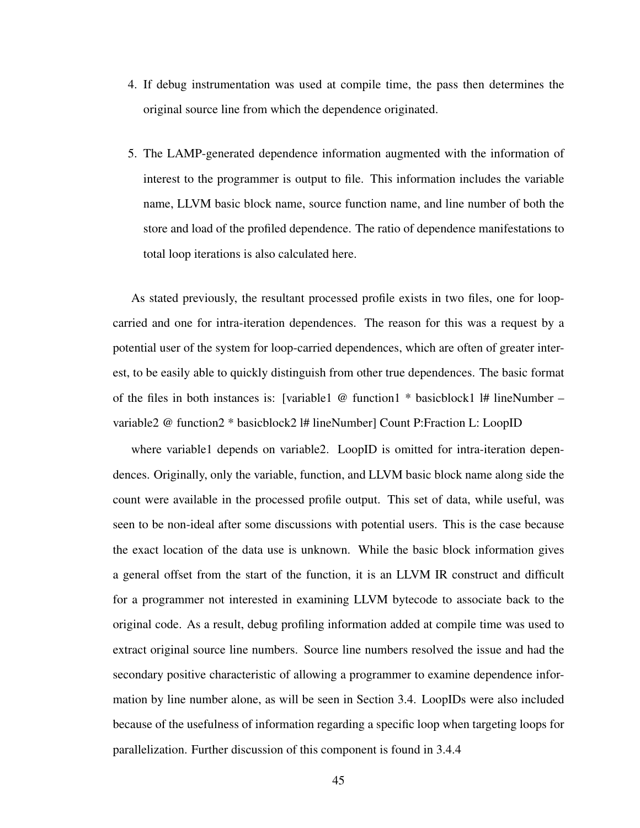- 4. If debug instrumentation was used at compile time, the pass then determines the original source line from which the dependence originated.
- 5. The LAMP-generated dependence information augmented with the information of interest to the programmer is output to file. This information includes the variable name, LLVM basic block name, source function name, and line number of both the store and load of the profiled dependence. The ratio of dependence manifestations to total loop iterations is also calculated here.

As stated previously, the resultant processed profile exists in two files, one for loopcarried and one for intra-iteration dependences. The reason for this was a request by a potential user of the system for loop-carried dependences, which are often of greater interest, to be easily able to quickly distinguish from other true dependences. The basic format of the files in both instances is: [variable1 @ function1 \* basicblock1 l# lineNumber – variable2 @ function2 \* basicblock2 l# lineNumber] Count P:Fraction L: LoopID

where variable1 depends on variable2. LoopID is omitted for intra-iteration dependences. Originally, only the variable, function, and LLVM basic block name along side the count were available in the processed profile output. This set of data, while useful, was seen to be non-ideal after some discussions with potential users. This is the case because the exact location of the data use is unknown. While the basic block information gives a general offset from the start of the function, it is an LLVM IR construct and difficult for a programmer not interested in examining LLVM bytecode to associate back to the original code. As a result, debug profiling information added at compile time was used to extract original source line numbers. Source line numbers resolved the issue and had the secondary positive characteristic of allowing a programmer to examine dependence information by line number alone, as will be seen in Section 3.4. LoopIDs were also included because of the usefulness of information regarding a specific loop when targeting loops for parallelization. Further discussion of this component is found in 3.4.4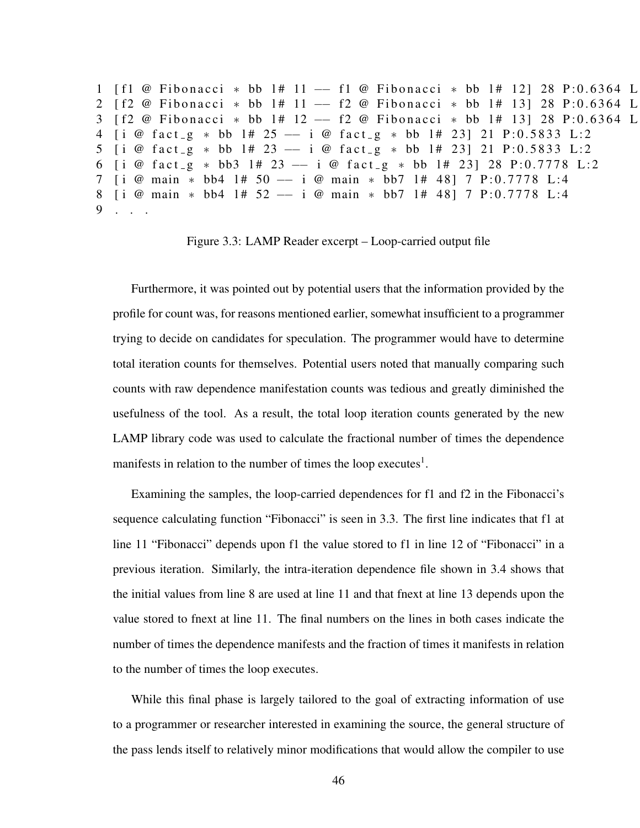1 [ f 1 @ Fibonacci \* bb 1# 11 -- f 1 @ Fibonacci \* bb 1# 12] 28 P:0.6364 L 2 [ f 2 @ Fibonacci \* bb 1# 11 -- f 2 @ Fibonacci \* bb 1# 13] 28 P:0.6364 L: 3 [ f 2 @ Fibonacci \* bb 1# 12 -- f 2 @ Fibonacci \* bb 1# 13] 28 P:0.6364 L: 4  $\begin{bmatrix} i & \mathcal{Q} & \text{fact}_g & * & \text{bb} & 1\# & 25 & -\end{bmatrix}$   $\begin{bmatrix} \mathcal{Q} & \text{fact}_g & * & \text{bb} & 1\# & 23 \end{bmatrix}$  21 P:0.5833 L:2 5 [i @ fact\_g \* bb 1# 23 -- i @ fact\_g \* bb 1# 23] 21 P:0.5833 L:2 6  $\begin{bmatrix} i & \mathcal{Q} & \text{fact}_g & * & \text{bb3} & 1\# & 23 & -1 & i & \mathcal{Q} & \text{fact}_g & * & \text{bb} & 1\# & 23 \\ 20 & \mathcal{Q} & 2 & 2 & 2 & 2 & 2 \end{bmatrix}$ 7 [ i @ main \* bb4 1# 50 -- i @ main \* bb7 1# 48] 7 P:0.7778 L:4 8 [i @ main \* bb4 1# 52 -- i @ main \* bb7 1# 48] 7 P:0.7778 L:4 9 . . .

Figure 3.3: LAMP Reader excerpt – Loop-carried output file

Furthermore, it was pointed out by potential users that the information provided by the profile for count was, for reasons mentioned earlier, somewhat insufficient to a programmer trying to decide on candidates for speculation. The programmer would have to determine total iteration counts for themselves. Potential users noted that manually comparing such counts with raw dependence manifestation counts was tedious and greatly diminished the usefulness of the tool. As a result, the total loop iteration counts generated by the new LAMP library code was used to calculate the fractional number of times the dependence manifests in relation to the number of times the loop executes<sup>1</sup>.

Examining the samples, the loop-carried dependences for f1 and f2 in the Fibonacci's sequence calculating function "Fibonacci" is seen in 3.3. The first line indicates that f1 at line 11 "Fibonacci" depends upon f1 the value stored to f1 in line 12 of "Fibonacci" in a previous iteration. Similarly, the intra-iteration dependence file shown in 3.4 shows that the initial values from line 8 are used at line 11 and that fnext at line 13 depends upon the value stored to fnext at line 11. The final numbers on the lines in both cases indicate the number of times the dependence manifests and the fraction of times it manifests in relation to the number of times the loop executes.

While this final phase is largely tailored to the goal of extracting information of use to a programmer or researcher interested in examining the source, the general structure of the pass lends itself to relatively minor modifications that would allow the compiler to use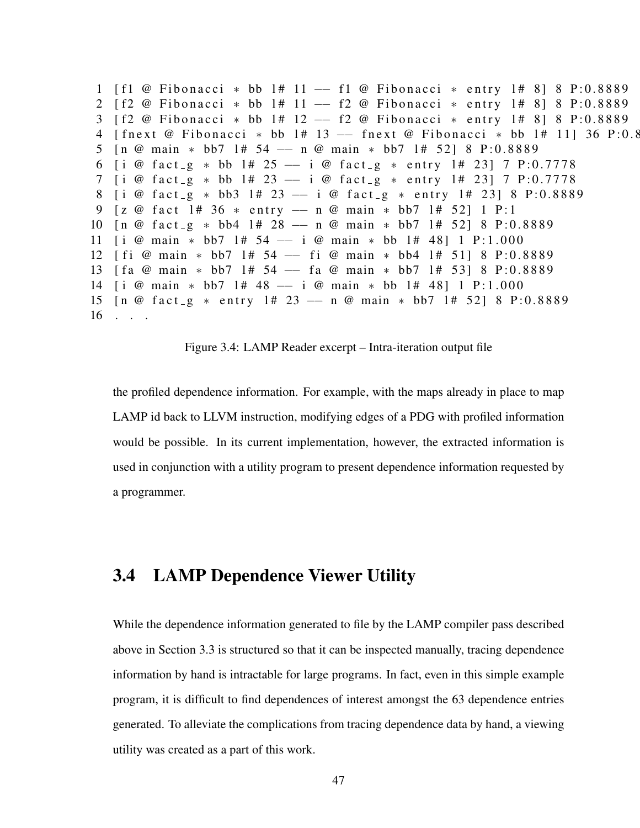1 [ f 1 @ Fibonacci \* bb 1# 11 -- f 1 @ Fibonacci \* entry 1# 8 | 8 P:0.8889 2 [ f 2 @ Fibonacci \* bb 1# 11 -- f 2 @ Fibonacci \* entry 1# 8] 8 P:0.8889 3 [ f 2 @ Fibonacci \* bb 1# 12 -- f 2 @ Fibonacci \* entry 1# 8] 8 P:0.8889 4 [fnext @ Fibonacci \* bb 1# 13 -- fnext @ Fibonacci \* bb 1# 11] 36 P:0.8 5 [n @ main \* bb7 1# 54 -- n @ main \* bb7 1# 52] 8 P:0.8889 6 [ i @ f a c t \_ g \* bb 1 # 25 -- i @ f a c t \_ g \* e n try 1 # 23 | 7 P : 0.7778 7 [i @ fact\_g \* bb 1# 23 -- i @ fact\_g \* entry 1# 23] 7 P:0.7778 8 [ i @ f a c t \_ g \* bb3 1# 23 -- i @ f a c t \_ g \* e n t r y 1# 23] 8 P: 0.8889 9 [z @ fact 1# 36 \* entry -- n @ main \* bb7 1# 52] 1 P:1 10  $\lceil n \pmod{4} \rceil$  + 28 −− n @ main \* bb7 1# 52] 8 P:0.8889 11 [ i @ main \* bb7 1# 54 -- i @ main \* bb 1# 48] 1 P:1.000 12 [ fi @ main \* bb7 1# 54 -- fi @ main \* bb4 1# 51] 8 P:0.8889 13 [ f a @ main \* bb7 1# 54 -- f a @ main \* bb7 1# 53] 8 P:0.8889 14 [i @ main \* bb7 1# 48 -- i @ main \* bb 1# 48] 1 P:1.000 15  $\lceil n \pmod{2} \rceil$  \* entry  $1 \# 23 \text{ -- } n \pmod{2}$  main \* bb7  $1 \# 52 \}$  8 P:0.8889 16 . . .

Figure 3.4: LAMP Reader excerpt – Intra-iteration output file

the profiled dependence information. For example, with the maps already in place to map LAMP id back to LLVM instruction, modifying edges of a PDG with profiled information would be possible. In its current implementation, however, the extracted information is used in conjunction with a utility program to present dependence information requested by a programmer.

## 3.4 LAMP Dependence Viewer Utility

While the dependence information generated to file by the LAMP compiler pass described above in Section 3.3 is structured so that it can be inspected manually, tracing dependence information by hand is intractable for large programs. In fact, even in this simple example program, it is difficult to find dependences of interest amongst the 63 dependence entries generated. To alleviate the complications from tracing dependence data by hand, a viewing utility was created as a part of this work.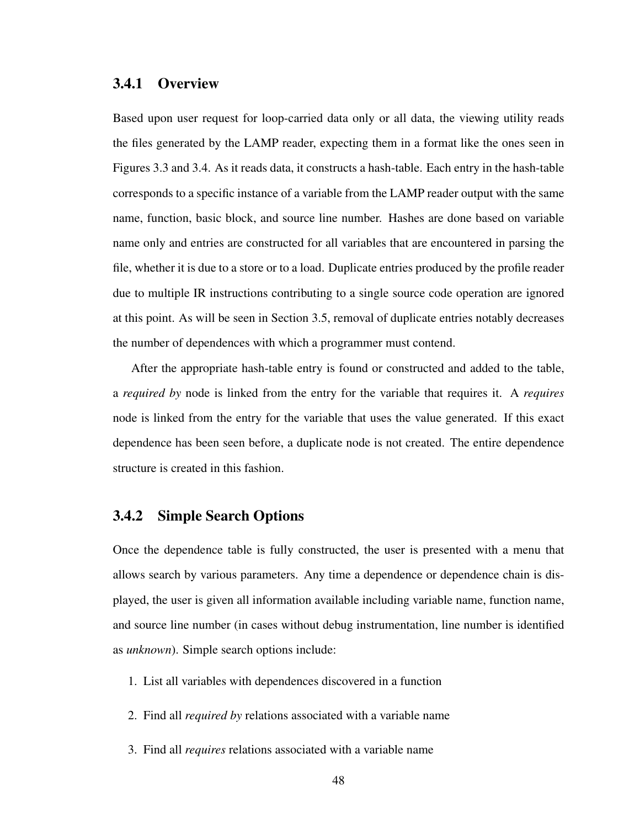#### 3.4.1 Overview

Based upon user request for loop-carried data only or all data, the viewing utility reads the files generated by the LAMP reader, expecting them in a format like the ones seen in Figures 3.3 and 3.4. As it reads data, it constructs a hash-table. Each entry in the hash-table corresponds to a specific instance of a variable from the LAMP reader output with the same name, function, basic block, and source line number. Hashes are done based on variable name only and entries are constructed for all variables that are encountered in parsing the file, whether it is due to a store or to a load. Duplicate entries produced by the profile reader due to multiple IR instructions contributing to a single source code operation are ignored at this point. As will be seen in Section 3.5, removal of duplicate entries notably decreases the number of dependences with which a programmer must contend.

After the appropriate hash-table entry is found or constructed and added to the table, a *required by* node is linked from the entry for the variable that requires it. A *requires* node is linked from the entry for the variable that uses the value generated. If this exact dependence has been seen before, a duplicate node is not created. The entire dependence structure is created in this fashion.

#### 3.4.2 Simple Search Options

Once the dependence table is fully constructed, the user is presented with a menu that allows search by various parameters. Any time a dependence or dependence chain is displayed, the user is given all information available including variable name, function name, and source line number (in cases without debug instrumentation, line number is identified as *unknown*). Simple search options include:

- 1. List all variables with dependences discovered in a function
- 2. Find all *required by* relations associated with a variable name
- 3. Find all *requires* relations associated with a variable name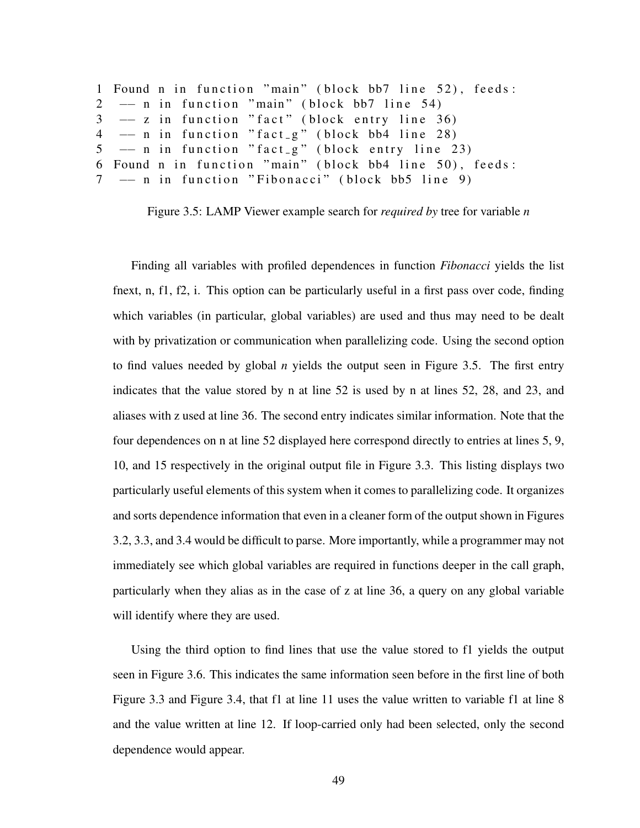```
1 Found n in function "main" (block bb7 line 52), feeds:
2 -- n in function "main" (block bb7 line 54)
3 \rightarrow z in function "fact" (block entry line 36)
4 \rightarrow -n in function "fact_g" (block bb4 line 28)
5 - n in function "fact g" (block entry line 23)
6 Found n in function "main" (block bb4 line 50), feeds:
7 - n in function "Fibonacci" (block bb5 line 9)
```
Figure 3.5: LAMP Viewer example search for *required by* tree for variable *n*

Finding all variables with profiled dependences in function *Fibonacci* yields the list fnext, n, f1, f2, i. This option can be particularly useful in a first pass over code, finding which variables (in particular, global variables) are used and thus may need to be dealt with by privatization or communication when parallelizing code. Using the second option to find values needed by global *n* yields the output seen in Figure 3.5. The first entry indicates that the value stored by n at line 52 is used by n at lines 52, 28, and 23, and aliases with z used at line 36. The second entry indicates similar information. Note that the four dependences on n at line 52 displayed here correspond directly to entries at lines 5, 9, 10, and 15 respectively in the original output file in Figure 3.3. This listing displays two particularly useful elements of this system when it comes to parallelizing code. It organizes and sorts dependence information that even in a cleaner form of the output shown in Figures 3.2, 3.3, and 3.4 would be difficult to parse. More importantly, while a programmer may not immediately see which global variables are required in functions deeper in the call graph, particularly when they alias as in the case of z at line 36, a query on any global variable will identify where they are used.

Using the third option to find lines that use the value stored to f1 yields the output seen in Figure 3.6. This indicates the same information seen before in the first line of both Figure 3.3 and Figure 3.4, that f1 at line 11 uses the value written to variable f1 at line 8 and the value written at line 12. If loop-carried only had been selected, only the second dependence would appear.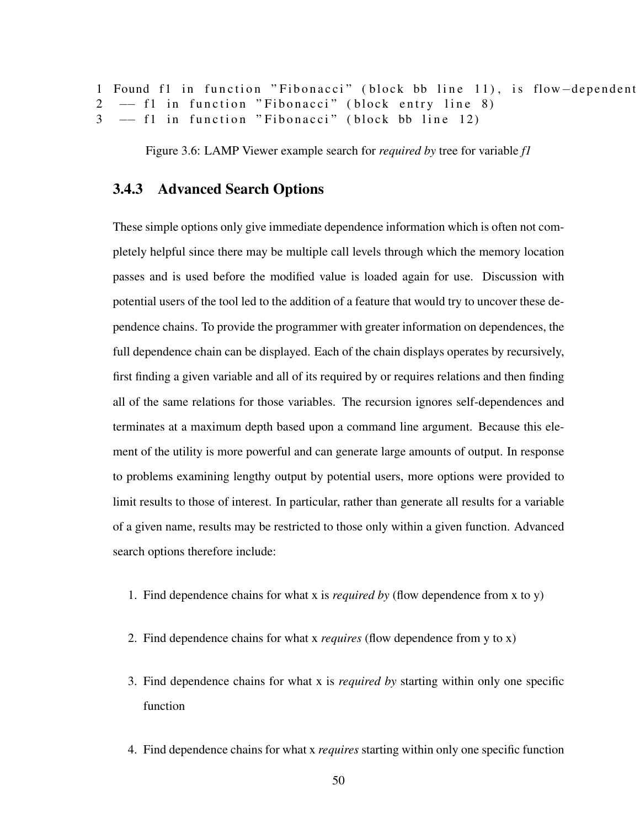```
1 Found f1 in function "Fibonacci" (block bb line 11), is flow-dependent
2 - f1 in function "Fibonacci" (block entry line 8)
3 - f1 in function "Fibonacci" (block bb line 12)
```
Figure 3.6: LAMP Viewer example search for *required by* tree for variable *f1*

#### 3.4.3 Advanced Search Options

These simple options only give immediate dependence information which is often not completely helpful since there may be multiple call levels through which the memory location passes and is used before the modified value is loaded again for use. Discussion with potential users of the tool led to the addition of a feature that would try to uncover these dependence chains. To provide the programmer with greater information on dependences, the full dependence chain can be displayed. Each of the chain displays operates by recursively, first finding a given variable and all of its required by or requires relations and then finding all of the same relations for those variables. The recursion ignores self-dependences and terminates at a maximum depth based upon a command line argument. Because this element of the utility is more powerful and can generate large amounts of output. In response to problems examining lengthy output by potential users, more options were provided to limit results to those of interest. In particular, rather than generate all results for a variable of a given name, results may be restricted to those only within a given function. Advanced search options therefore include:

- 1. Find dependence chains for what x is *required by* (flow dependence from x to y)
- 2. Find dependence chains for what x *requires* (flow dependence from y to x)
- 3. Find dependence chains for what x is *required by* starting within only one specific function
- 4. Find dependence chains for what x *requires* starting within only one specific function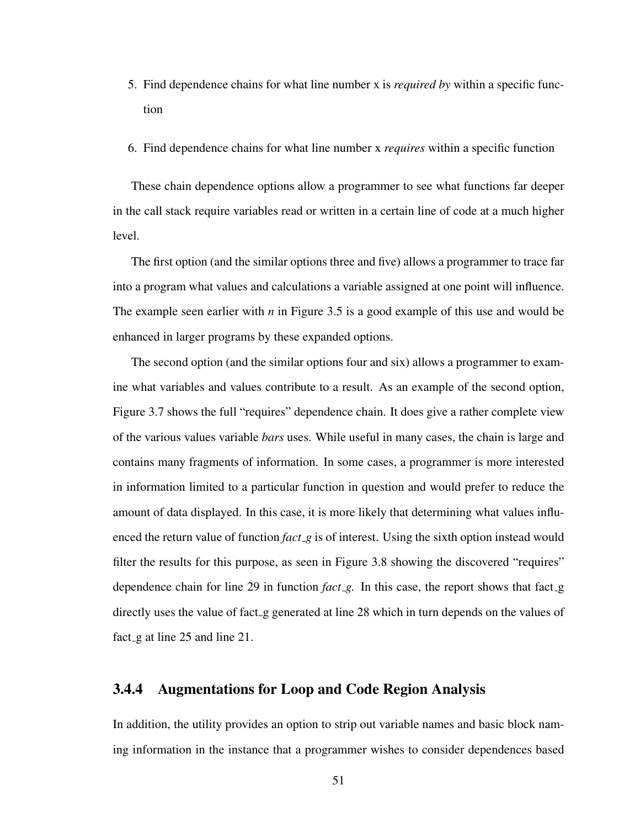- 5. Find dependence chains for what line number x is *required by* within a specific function
- 6. Find dependence chains for what line number x *requires* within a specific function

These chain dependence options allow a programmer to see what functions far deeper in the call stack require variables read or written in a certain line of code at a much higher level.

The first option (and the similar options three and five) allows a programmer to trace far into a program what values and calculations a variable assigned at one point will influence. The example seen earlier with *n* in Figure 3.5 is a good example of this use and would be enhanced in larger programs by these expanded options.

The second option (and the similar options four and six) allows a programmer to examine what variables and values contribute to a result. As an example of the second option, Figure 3.7 shows the full "requires" dependence chain. It does give a rather complete view of the various values variable *bars* uses. While useful in many cases, the chain is large and contains many fragments of information. In some cases, a programmer is more interested in information limited to a particular function in question and would prefer to reduce the amount of data displayed. In this case, it is more likely that determining what values influenced the return value of function *fact g* is of interest. Using the sixth option instead would filter the results for this purpose, as seen in Figure 3.8 showing the discovered "requires" dependence chain for line 29 in function *fact\_g*. In this case, the report shows that fact\_g directly uses the value of fact g generated at line 28 which in turn depends on the values of fact\_g at line 25 and line 21.

#### 3.4.4 Augmentations for Loop and Code Region Analysis

In addition, the utility provides an option to strip out variable names and basic block naming information in the instance that a programmer wishes to consider dependences based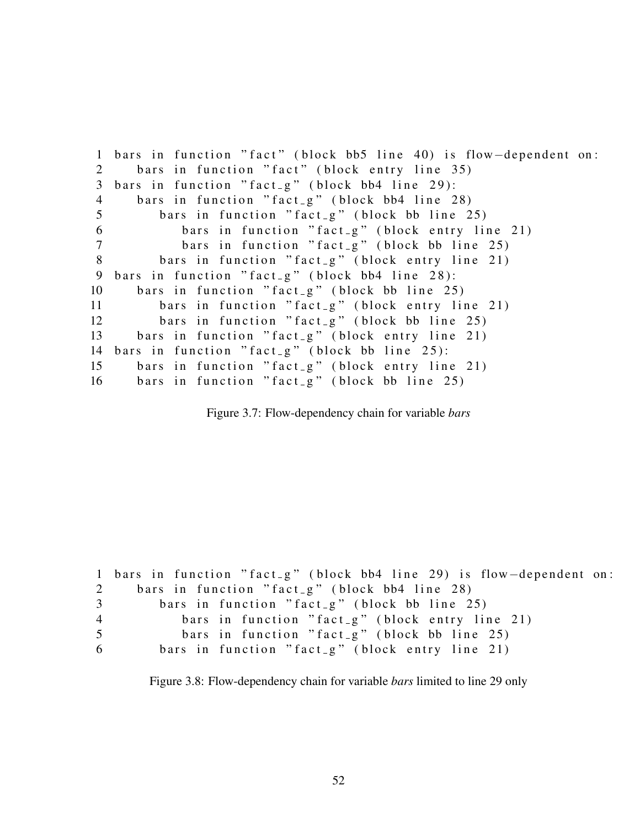1 bars in function "fact" (block bb5 line 40) is flow-dependent on: 2 bars in function "fact" (block entry line 35)  $3$  bars in function "fact<sub>-g</sub>" (block bb4 line 29): 4 bars in function "fact\_g" (block bb4 line 28) 5 bars in function "fact\_g" (block bb line 25) 6 bars in function "fact\_g" (block entry line 21) 7 bars in function "fact\_g" (block bb line 25) 8 bars in function "fact\_g" (block entry line 21) 9 bars in function "fact-g" (block bb4 line  $28$ ):  $10$  bars in function "fact\_g" (block bb line 25) 11 bars in function "fact\_g" (block entry line 21)  $12$  bars in function "fact  $g$ " (block bb line 25) 13 bars in function "fact\_g" (block entry line 21) 14 bars in function "fact\_g" (block bb line  $25$ ): 15 bars in function "fact\_g" (block entry line 21) 16 bars in function "fact  $g$ " (block bb line 25)

Figure 3.7: Flow-dependency chain for variable *bars*

```
1 bars in function "fact_g" (block bb4 line 29) is flow-dependent on:
2 bars in function "fact_g" (block bb4 line 28)
3 bars in function "fact_g" (block bb line 25)
4 bars in function "fact_g" (block entry line 21)
5 bars in function "fact<sub>-g</sub>" (block bb line 25)
6 bars in function "fact_g" (block entry line 21)
```
Figure 3.8: Flow-dependency chain for variable *bars* limited to line 29 only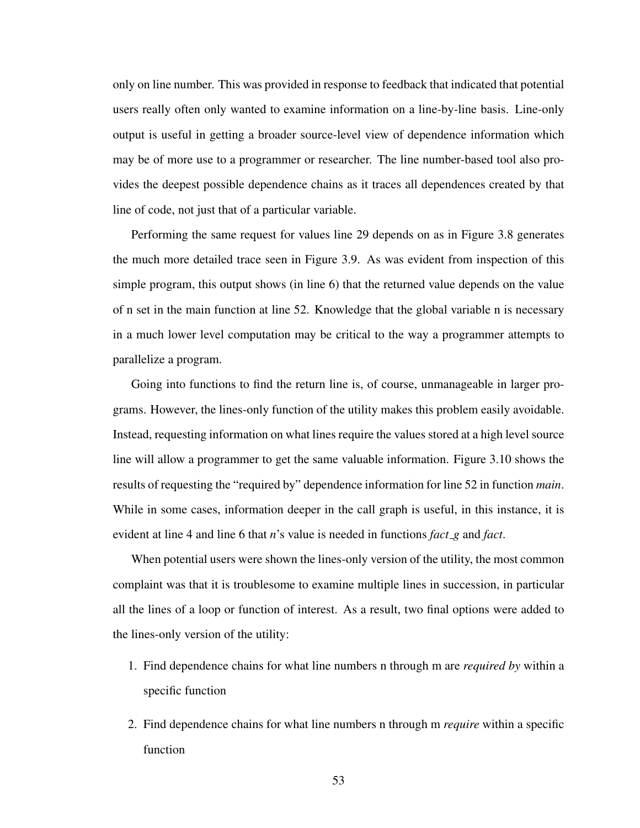only on line number. This was provided in response to feedback that indicated that potential users really often only wanted to examine information on a line-by-line basis. Line-only output is useful in getting a broader source-level view of dependence information which may be of more use to a programmer or researcher. The line number-based tool also provides the deepest possible dependence chains as it traces all dependences created by that line of code, not just that of a particular variable.

Performing the same request for values line 29 depends on as in Figure 3.8 generates the much more detailed trace seen in Figure 3.9. As was evident from inspection of this simple program, this output shows (in line 6) that the returned value depends on the value of n set in the main function at line 52. Knowledge that the global variable n is necessary in a much lower level computation may be critical to the way a programmer attempts to parallelize a program.

Going into functions to find the return line is, of course, unmanageable in larger programs. However, the lines-only function of the utility makes this problem easily avoidable. Instead, requesting information on what lines require the values stored at a high level source line will allow a programmer to get the same valuable information. Figure 3.10 shows the results of requesting the "required by" dependence information for line 52 in function *main*. While in some cases, information deeper in the call graph is useful, in this instance, it is evident at line 4 and line 6 that *n*'s value is needed in functions *fact g* and *fact*.

When potential users were shown the lines-only version of the utility, the most common complaint was that it is troublesome to examine multiple lines in succession, in particular all the lines of a loop or function of interest. As a result, two final options were added to the lines-only version of the utility:

- 1. Find dependence chains for what line numbers n through m are *required by* within a specific function
- 2. Find dependence chains for what line numbers n through m *require* within a specific function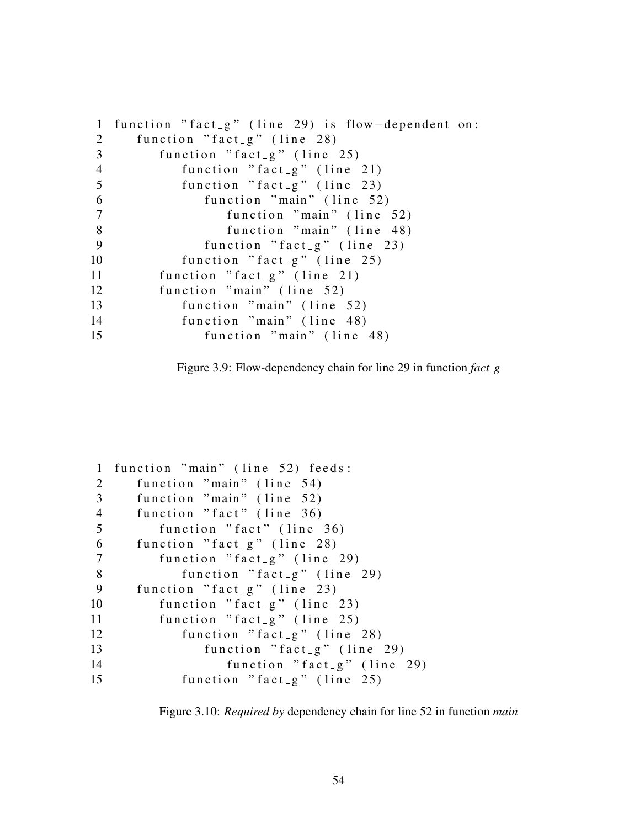```
1 function "fact_g" (line 29) is flow-dependent on:
2 function "fact_{g}" (line 28)
3 function "fact_g" (line 25)
4 function "fact_{-}g" (line 21)
5 function "fact_g" (line 23)
6 function "main" (line 52)
7 function "main" (line 52)
8 function "main" (line 48)
9 function "fact_g" (line 23)
10 function "fact_{g}" (line 25)
11 function "fact_g" (line 21)
12 function "main" (line 52)
13 function "main" (line 52)
14 function "main" (line 48)
15 function "main" (line 48)
```
Figure 3.9: Flow-dependency chain for line 29 in function *fact g*

```
1 function "main" (line 52) feeds:
2 function "main" (line 54)
3 function "main" (line 52)
4 function "fact" (line 36)
5 function "fact" (line 36)
6 function "fact_{g}" (line 28)
7 function "fact_g" (line 29)
8 function "fact_{g}" (line 29)
9 function "fact_{g}" (line 23)
10 function "fact_{g}" (line 23)
11 function "fact_{g}" (line 25)
12 function "fact_g" (line 28)
13 function "fact_{.}g" (line 29)
14 function "fact_g" (line 29)
15 function "fact_g" (line 25)
```
Figure 3.10: *Required by* dependency chain for line 52 in function *main*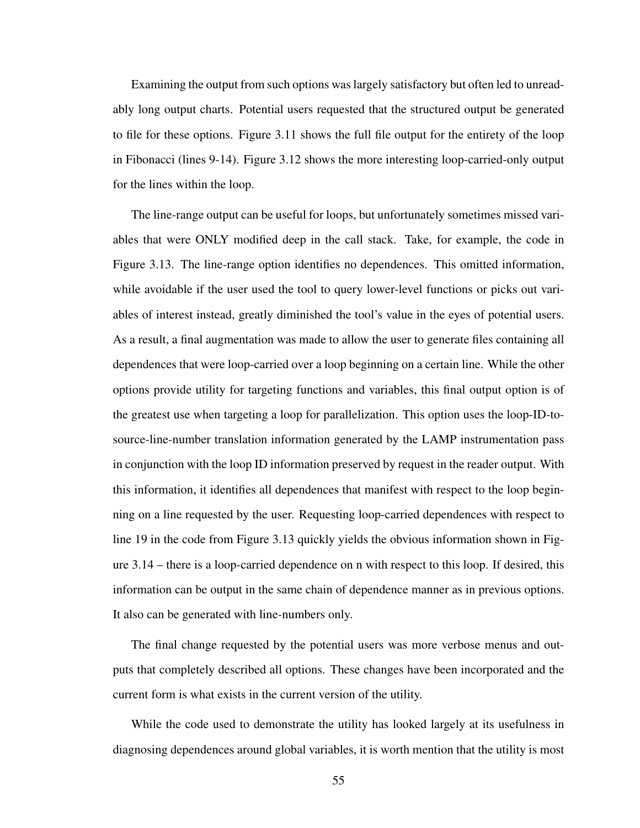Examining the output from such options was largely satisfactory but often led to unreadably long output charts. Potential users requested that the structured output be generated to file for these options. Figure 3.11 shows the full file output for the entirety of the loop in Fibonacci (lines 9-14). Figure 3.12 shows the more interesting loop-carried-only output for the lines within the loop.

The line-range output can be useful for loops, but unfortunately sometimes missed variables that were ONLY modified deep in the call stack. Take, for example, the code in Figure 3.13. The line-range option identifies no dependences. This omitted information, while avoidable if the user used the tool to query lower-level functions or picks out variables of interest instead, greatly diminished the tool's value in the eyes of potential users. As a result, a final augmentation was made to allow the user to generate files containing all dependences that were loop-carried over a loop beginning on a certain line. While the other options provide utility for targeting functions and variables, this final output option is of the greatest use when targeting a loop for parallelization. This option uses the loop-ID-tosource-line-number translation information generated by the LAMP instrumentation pass in conjunction with the loop ID information preserved by request in the reader output. With this information, it identifies all dependences that manifest with respect to the loop beginning on a line requested by the user. Requesting loop-carried dependences with respect to line 19 in the code from Figure 3.13 quickly yields the obvious information shown in Figure 3.14 – there is a loop-carried dependence on n with respect to this loop. If desired, this information can be output in the same chain of dependence manner as in previous options. It also can be generated with line-numbers only.

The final change requested by the potential users was more verbose menus and outputs that completely described all options. These changes have been incorporated and the current form is what exists in the current version of the utility.

While the code used to demonstrate the utility has looked largely at its usefulness in diagnosing dependences around global variables, it is worth mention that the utility is most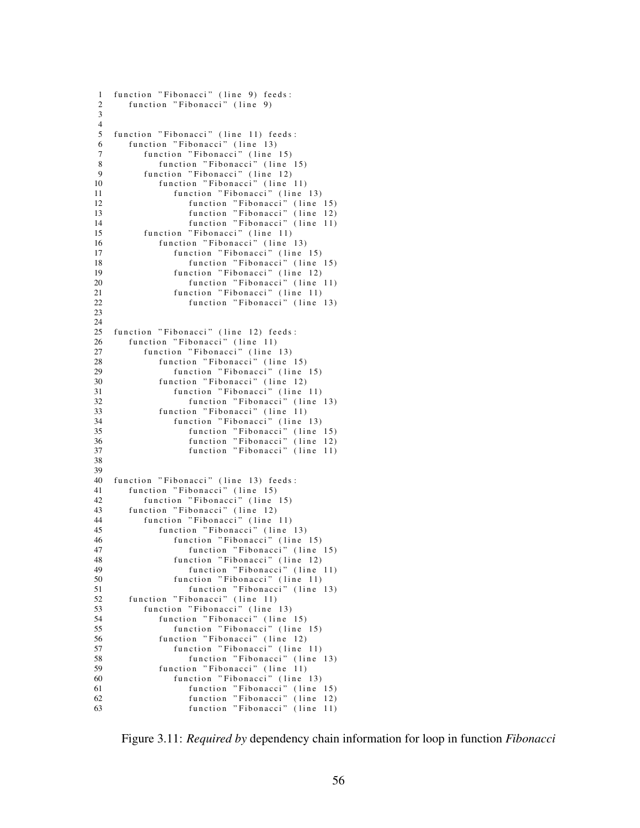```
1 function "Fibonacci" (line 9) feeds:
 2 function "Fibonacci" (line 9)
 3
 4
 5 function "Fibonacci" (line 11) feeds:<br>6 function "Fibonacci" (line 13)
 6 function "Fibonacci" (line 13)<br>7 function "Fibonacci" (line
           function "Fibonacci" (line 15)
 8 function "Fibonacci" (line 15)<br>9 function "Fibonacci" (line 12)
9 function "Fibonacci" (line 12)<br>10 function "Fibonacci" (line
               function "Fibonacci" (line 11)
11 function "Fibonacci" (line 13)
12 function "Fibonacci" (line 15)
13 function "Fibonacci" (line 12)<br>14 function "Fibonacci" (line 12)
                      function "Fibonacci" (line 11)
15 function "Fibonacci" (line 11)
16 function "Fibonacci" (line 13)<br>17 function "Fibonacci" (line
                  function "Fibonacci" (line (15)18 function "Fibonacci" (line 15)
19 function "Fibonacci" (line 12)<br>20 function "Fibonacci" (line
20 function "Fibonacci" (line 11)<br>21 function "Fibonacci" (line 11)
21 function "Fibonacci" (line 11)<br>22 function "Fibonacci" (line
                      function "Fibonacci" (line 13)
23
\frac{24}{25}function "Fibonacci" (line 12) feeds:
26 function "Fibonacci" (line 11)<br>27 function "Fibonacci" (line
27 function "Fibonacci" (line 13)<br>28 function "Fibonacci" (line
               function "Fibonacci" (line 15)
29 function "Fibonacci" (line 15)<br>30 function "Fibonacci" (line 12)
               function "Fibonacci" (line 12)
31 function "Fibonacci" (line 11)
32 function "Fibonacci" (line 13)<br>33 function "Fibonacci" (line 11)
               function "Fibonacci" (line 11)
34 function "Fibonacci" (line 13)<br>35 function "Fibonacci" (line
35 function "Fibonacci" (line 15)
36 function "Fibonacci" (line 12)
\overline{37} function "Fibonacci" (line 11)
38
39
40 function "Fibonacci" (line 13) feeds:
41 function "Fibonacci" (line 15)<br>42 function "Fibonacci" (line
42 function "Fibonacci" (line 15)<br>43 function "Fibonacci" (line 12)
        function "Fibonacci" (line 12)
44 function "Fibonacci" (line 11)
45 function "Fibonacci" (line 13)<br>46 function "Fibonacci" (line
                  function "Fibonacci" (line 15)
47 function "Fibonacci" (line 15)
48 function "Fibonacci" (line 12)<br>49 function "Fibonacci" (line
49 function "Fibonacci" (line 11)<br>50 function "Fibonacci" (line 11)
50 function "Fibonacci" (line 11)<br>51 function "Fibonacci" (line
                      function "Fibonacci" (line 13)
52 function "Fibonacci" (line 11)
53 function "Fibonacci" (line 13)<br>54 function "Fibonacci" (line
               function "Fibonacci" (line 15)
55 function "Fibonacci" (line 15)<br>56 function "Fibonacci" (line 12)
56 function "Fibonacci" (line 12)<br>57 function "Fibonacci" (line
                   function "Fibonacci" (line 11)
58 function "Fibonacci" (line 13)<br>59 function "Fibonacci" (line 11)
               function "Fibonacci" (line 11)
60 function "Fibonacci" (line 13)
61 function "Fibonacci" (line 15)
62 function "Fibonacci" (line 12)
63 function "Fibonacci" (line 11)
```
Figure 3.11: *Required by* dependency chain information for loop in function *Fibonacci*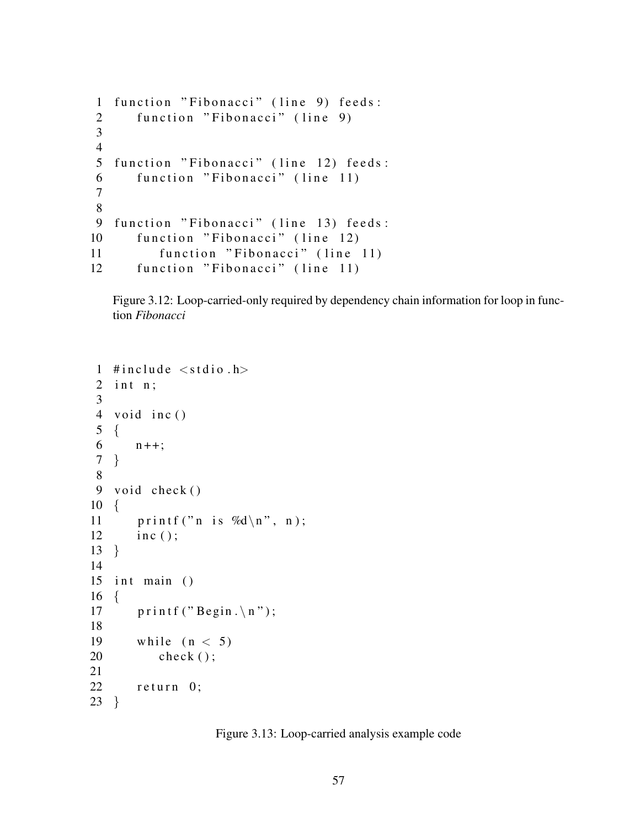```
1 function "Fibonacci" (line 9) feeds:
2 function "Fibonacci" (line 9)
3
4
5 function "Fibonacci" (line 12) feeds:
6 function "Fibonacci" (line 11)
7
8
9 function "Fibonacci" (line 13) feeds:
10 function "Fibonacci" (line 12)
11 function "Fibonacci" (line 11)
12 function "Fibonacci" (line 11)
```
Figure 3.12: Loop-carried-only required by dependency chain information for loop in function *Fibonacci*

```
1 # include \langle stdio.h \rangle2 int n;
 3
 4 void inc()
 5 {
 6 n_{++};7 }
 8
9 void check ()
10 {
11 printf ("n is %d\n", n);
12 inc();
13 }
14
15 int main ()
16 \quad \{17 printf ("Begin . \n");
18
19 while (n < 5)20 check ();
21
22 return 0;
23 }
```
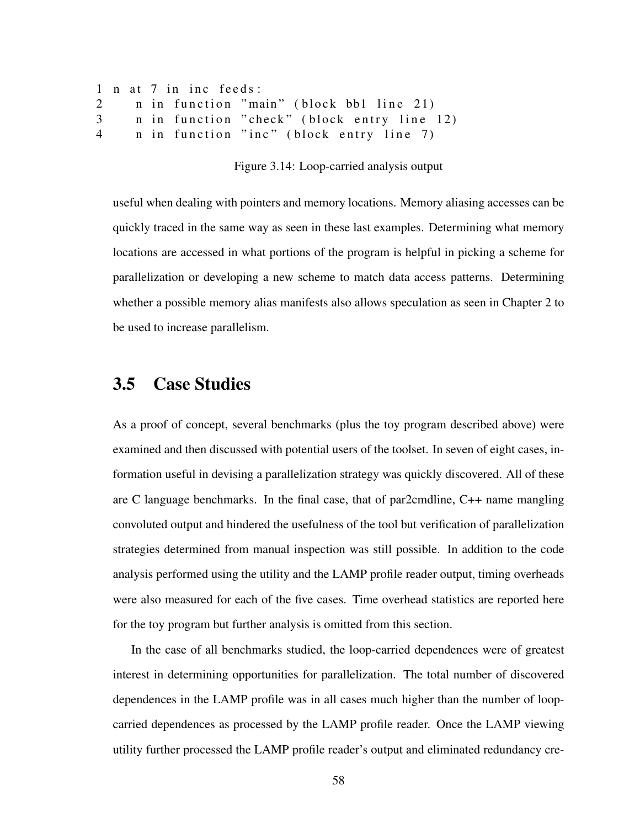```
1 n at 7 in inc feeds:
2 n in function "main" (block bb1 line 21)
3 n in function "check" (block entry line 12)
4 n in function "inc" (block entry line 7)
```
Figure 3.14: Loop-carried analysis output

useful when dealing with pointers and memory locations. Memory aliasing accesses can be quickly traced in the same way as seen in these last examples. Determining what memory locations are accessed in what portions of the program is helpful in picking a scheme for parallelization or developing a new scheme to match data access patterns. Determining whether a possible memory alias manifests also allows speculation as seen in Chapter 2 to be used to increase parallelism.

### 3.5 Case Studies

As a proof of concept, several benchmarks (plus the toy program described above) were examined and then discussed with potential users of the toolset. In seven of eight cases, information useful in devising a parallelization strategy was quickly discovered. All of these are C language benchmarks. In the final case, that of par2cmdline, C++ name mangling convoluted output and hindered the usefulness of the tool but verification of parallelization strategies determined from manual inspection was still possible. In addition to the code analysis performed using the utility and the LAMP profile reader output, timing overheads were also measured for each of the five cases. Time overhead statistics are reported here for the toy program but further analysis is omitted from this section.

In the case of all benchmarks studied, the loop-carried dependences were of greatest interest in determining opportunities for parallelization. The total number of discovered dependences in the LAMP profile was in all cases much higher than the number of loopcarried dependences as processed by the LAMP profile reader. Once the LAMP viewing utility further processed the LAMP profile reader's output and eliminated redundancy cre-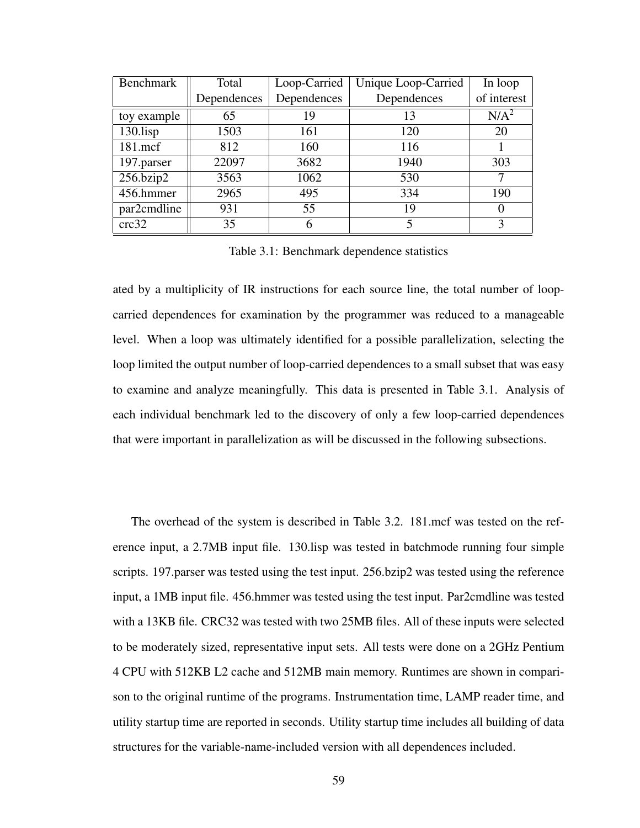| <b>Benchmark</b> | Total       | Loop-Carried | Unique Loop-Carried     | In loop          |
|------------------|-------------|--------------|-------------------------|------------------|
|                  | Dependences | Dependences  | Dependences             | of interest      |
| toy example      | 65          | 19           | 13                      | N/A <sup>2</sup> |
| $130$ .lisp      | 1503        | 161          | 120                     | 20               |
| 181.mcf          | 812         | 160          | 116                     |                  |
| 197.parser       | 22097       | 3682         | 1940                    | 303              |
| 256.bzip2        | 3563        | 1062         | 530                     |                  |
| 456.hmmer        | 2965        | 495          | 334                     | 190              |
| par2cmdline      | 931         | 55           | 19                      |                  |
| crc32            | 35          |              | $\overline{\mathbf{S}}$ | 3                |

Table 3.1: Benchmark dependence statistics

ated by a multiplicity of IR instructions for each source line, the total number of loopcarried dependences for examination by the programmer was reduced to a manageable level. When a loop was ultimately identified for a possible parallelization, selecting the loop limited the output number of loop-carried dependences to a small subset that was easy to examine and analyze meaningfully. This data is presented in Table 3.1. Analysis of each individual benchmark led to the discovery of only a few loop-carried dependences that were important in parallelization as will be discussed in the following subsections.

The overhead of the system is described in Table 3.2. 181.mcf was tested on the reference input, a 2.7MB input file. 130.lisp was tested in batchmode running four simple scripts. 197.parser was tested using the test input. 256.bzip2 was tested using the reference input, a 1MB input file. 456.hmmer was tested using the test input. Par2cmdline was tested with a 13KB file. CRC32 was tested with two 25MB files. All of these inputs were selected to be moderately sized, representative input sets. All tests were done on a 2GHz Pentium 4 CPU with 512KB L2 cache and 512MB main memory. Runtimes are shown in comparison to the original runtime of the programs. Instrumentation time, LAMP reader time, and utility startup time are reported in seconds. Utility startup time includes all building of data structures for the variable-name-included version with all dependences included.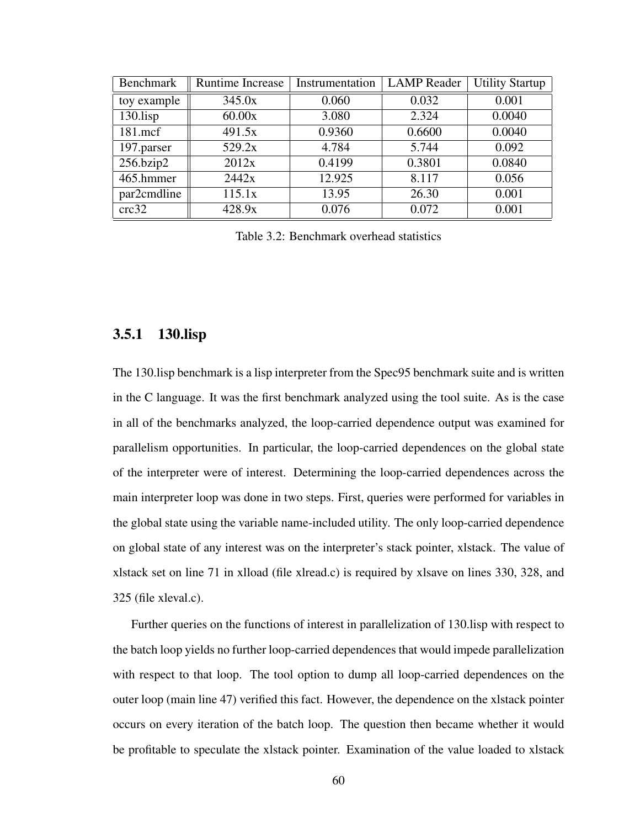| Benchmark   | Runtime Increase | Instrumentation | <b>LAMP</b> Reader | <b>Utility Startup</b> |
|-------------|------------------|-----------------|--------------------|------------------------|
| toy example | 345.0x           | 0.060           | 0.032              | 0.001                  |
| $130$ .lisp | 60.00x           | 3.080           | 2.324              | 0.0040                 |
| 181.mcf     | 491.5x           | 0.9360          | 0.6600             | 0.0040                 |
| 197.parser  | 529.2x           | 4.784           | 5.744              | 0.092                  |
| 256.bzip2   | 2012x            | 0.4199          | 0.3801             | 0.0840                 |
| 465.hmmer   | 2442x            | 12.925          | 8.117              | 0.056                  |
| par2cmdline | 115.1x           | 13.95           | 26.30              | 0.001                  |
| crc32       | 428.9x           | 0.076           | 0.072              | 0.001                  |

Table 3.2: Benchmark overhead statistics

#### 3.5.1 130.lisp

The 130.lisp benchmark is a lisp interpreter from the Spec95 benchmark suite and is written in the C language. It was the first benchmark analyzed using the tool suite. As is the case in all of the benchmarks analyzed, the loop-carried dependence output was examined for parallelism opportunities. In particular, the loop-carried dependences on the global state of the interpreter were of interest. Determining the loop-carried dependences across the main interpreter loop was done in two steps. First, queries were performed for variables in the global state using the variable name-included utility. The only loop-carried dependence on global state of any interest was on the interpreter's stack pointer, xlstack. The value of xlstack set on line 71 in xlload (file xlread.c) is required by xlsave on lines 330, 328, and 325 (file xleval.c).

Further queries on the functions of interest in parallelization of 130.lisp with respect to the batch loop yields no further loop-carried dependences that would impede parallelization with respect to that loop. The tool option to dump all loop-carried dependences on the outer loop (main line 47) verified this fact. However, the dependence on the xlstack pointer occurs on every iteration of the batch loop. The question then became whether it would be profitable to speculate the xlstack pointer. Examination of the value loaded to xlstack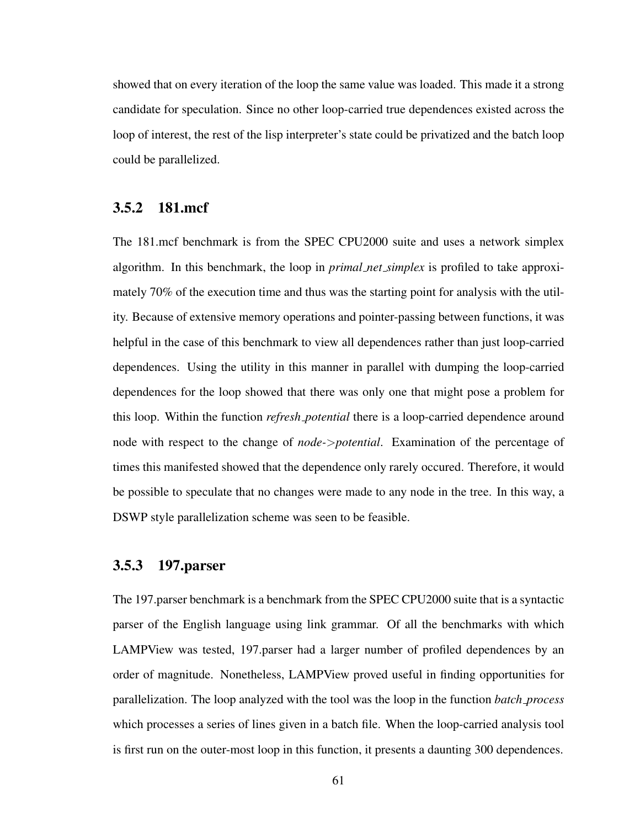showed that on every iteration of the loop the same value was loaded. This made it a strong candidate for speculation. Since no other loop-carried true dependences existed across the loop of interest, the rest of the lisp interpreter's state could be privatized and the batch loop could be parallelized.

#### 3.5.2 181.mcf

The 181.mcf benchmark is from the SPEC CPU2000 suite and uses a network simplex algorithm. In this benchmark, the loop in *primal net simplex* is profiled to take approximately 70% of the execution time and thus was the starting point for analysis with the utility. Because of extensive memory operations and pointer-passing between functions, it was helpful in the case of this benchmark to view all dependences rather than just loop-carried dependences. Using the utility in this manner in parallel with dumping the loop-carried dependences for the loop showed that there was only one that might pose a problem for this loop. Within the function *refresh potential* there is a loop-carried dependence around node with respect to the change of *node-*>*potential*. Examination of the percentage of times this manifested showed that the dependence only rarely occured. Therefore, it would be possible to speculate that no changes were made to any node in the tree. In this way, a DSWP style parallelization scheme was seen to be feasible.

#### 3.5.3 197.parser

The 197.parser benchmark is a benchmark from the SPEC CPU2000 suite that is a syntactic parser of the English language using link grammar. Of all the benchmarks with which LAMPView was tested, 197.parser had a larger number of profiled dependences by an order of magnitude. Nonetheless, LAMPView proved useful in finding opportunities for parallelization. The loop analyzed with the tool was the loop in the function *batch process* which processes a series of lines given in a batch file. When the loop-carried analysis tool is first run on the outer-most loop in this function, it presents a daunting 300 dependences.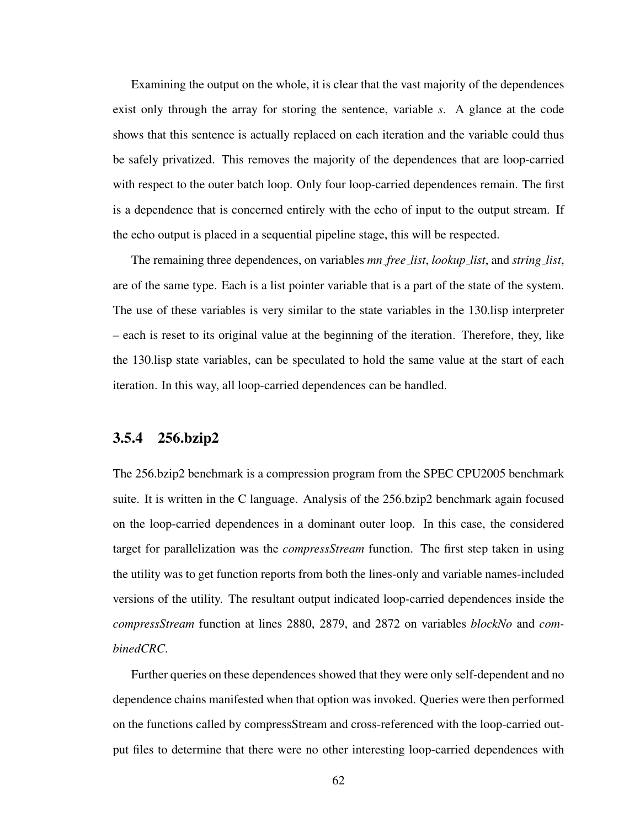Examining the output on the whole, it is clear that the vast majority of the dependences exist only through the array for storing the sentence, variable *s*. A glance at the code shows that this sentence is actually replaced on each iteration and the variable could thus be safely privatized. This removes the majority of the dependences that are loop-carried with respect to the outer batch loop. Only four loop-carried dependences remain. The first is a dependence that is concerned entirely with the echo of input to the output stream. If the echo output is placed in a sequential pipeline stage, this will be respected.

The remaining three dependences, on variables *mn free list*, *lookup list*, and *string list*, are of the same type. Each is a list pointer variable that is a part of the state of the system. The use of these variables is very similar to the state variables in the 130.lisp interpreter – each is reset to its original value at the beginning of the iteration. Therefore, they, like the 130.lisp state variables, can be speculated to hold the same value at the start of each iteration. In this way, all loop-carried dependences can be handled.

#### 3.5.4 256.bzip2

The 256.bzip2 benchmark is a compression program from the SPEC CPU2005 benchmark suite. It is written in the C language. Analysis of the 256.bzip2 benchmark again focused on the loop-carried dependences in a dominant outer loop. In this case, the considered target for parallelization was the *compressStream* function. The first step taken in using the utility was to get function reports from both the lines-only and variable names-included versions of the utility. The resultant output indicated loop-carried dependences inside the *compressStream* function at lines 2880, 2879, and 2872 on variables *blockNo* and *combinedCRC*.

Further queries on these dependences showed that they were only self-dependent and no dependence chains manifested when that option was invoked. Queries were then performed on the functions called by compressStream and cross-referenced with the loop-carried output files to determine that there were no other interesting loop-carried dependences with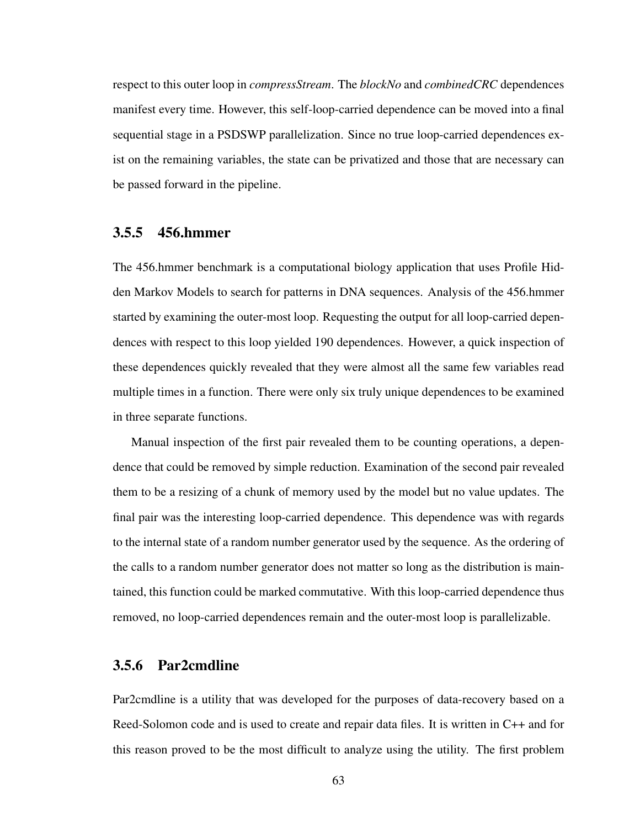respect to this outer loop in *compressStream*. The *blockNo* and *combinedCRC* dependences manifest every time. However, this self-loop-carried dependence can be moved into a final sequential stage in a PSDSWP parallelization. Since no true loop-carried dependences exist on the remaining variables, the state can be privatized and those that are necessary can be passed forward in the pipeline.

### 3.5.5 456.hmmer

The 456.hmmer benchmark is a computational biology application that uses Profile Hidden Markov Models to search for patterns in DNA sequences. Analysis of the 456.hmmer started by examining the outer-most loop. Requesting the output for all loop-carried dependences with respect to this loop yielded 190 dependences. However, a quick inspection of these dependences quickly revealed that they were almost all the same few variables read multiple times in a function. There were only six truly unique dependences to be examined in three separate functions.

Manual inspection of the first pair revealed them to be counting operations, a dependence that could be removed by simple reduction. Examination of the second pair revealed them to be a resizing of a chunk of memory used by the model but no value updates. The final pair was the interesting loop-carried dependence. This dependence was with regards to the internal state of a random number generator used by the sequence. As the ordering of the calls to a random number generator does not matter so long as the distribution is maintained, this function could be marked commutative. With this loop-carried dependence thus removed, no loop-carried dependences remain and the outer-most loop is parallelizable.

#### 3.5.6 Par2cmdline

Par2cmdline is a utility that was developed for the purposes of data-recovery based on a Reed-Solomon code and is used to create and repair data files. It is written in C++ and for this reason proved to be the most difficult to analyze using the utility. The first problem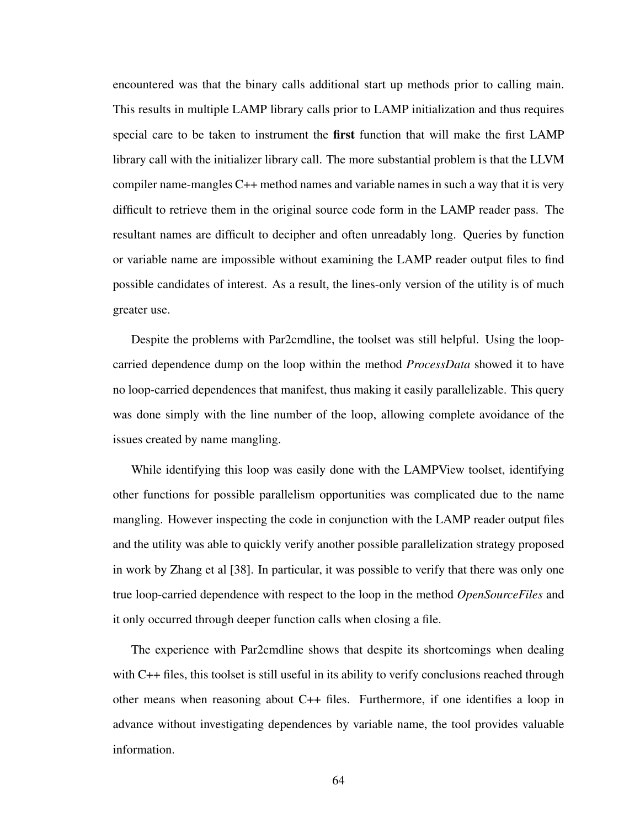encountered was that the binary calls additional start up methods prior to calling main. This results in multiple LAMP library calls prior to LAMP initialization and thus requires special care to be taken to instrument the **first** function that will make the first LAMP library call with the initializer library call. The more substantial problem is that the LLVM compiler name-mangles C++ method names and variable names in such a way that it is very difficult to retrieve them in the original source code form in the LAMP reader pass. The resultant names are difficult to decipher and often unreadably long. Queries by function or variable name are impossible without examining the LAMP reader output files to find possible candidates of interest. As a result, the lines-only version of the utility is of much greater use.

Despite the problems with Par2cmdline, the toolset was still helpful. Using the loopcarried dependence dump on the loop within the method *ProcessData* showed it to have no loop-carried dependences that manifest, thus making it easily parallelizable. This query was done simply with the line number of the loop, allowing complete avoidance of the issues created by name mangling.

While identifying this loop was easily done with the LAMPView toolset, identifying other functions for possible parallelism opportunities was complicated due to the name mangling. However inspecting the code in conjunction with the LAMP reader output files and the utility was able to quickly verify another possible parallelization strategy proposed in work by Zhang et al [38]. In particular, it was possible to verify that there was only one true loop-carried dependence with respect to the loop in the method *OpenSourceFiles* and it only occurred through deeper function calls when closing a file.

The experience with Par2cmdline shows that despite its shortcomings when dealing with C++ files, this toolset is still useful in its ability to verify conclusions reached through other means when reasoning about C++ files. Furthermore, if one identifies a loop in advance without investigating dependences by variable name, the tool provides valuable information.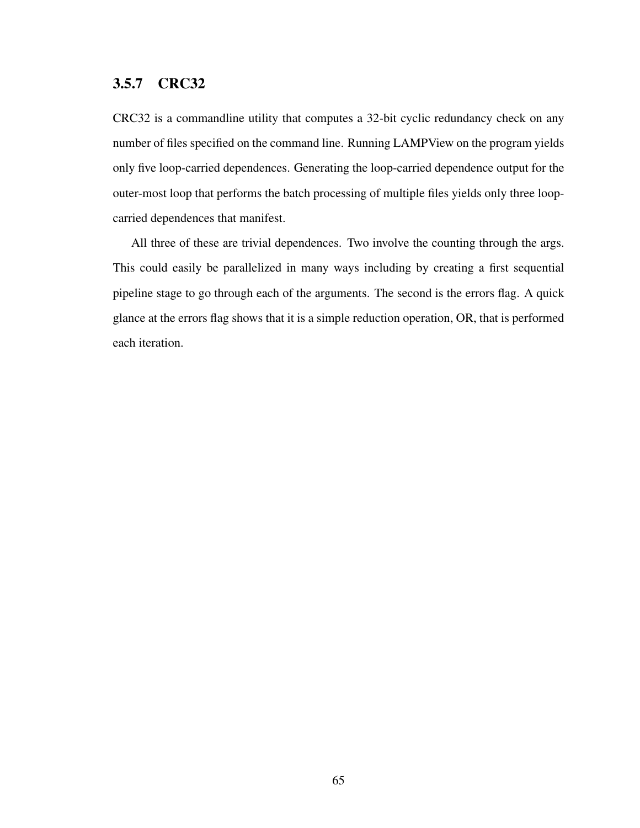### 3.5.7 CRC32

CRC32 is a commandline utility that computes a 32-bit cyclic redundancy check on any number of files specified on the command line. Running LAMPView on the program yields only five loop-carried dependences. Generating the loop-carried dependence output for the outer-most loop that performs the batch processing of multiple files yields only three loopcarried dependences that manifest.

All three of these are trivial dependences. Two involve the counting through the args. This could easily be parallelized in many ways including by creating a first sequential pipeline stage to go through each of the arguments. The second is the errors flag. A quick glance at the errors flag shows that it is a simple reduction operation, OR, that is performed each iteration.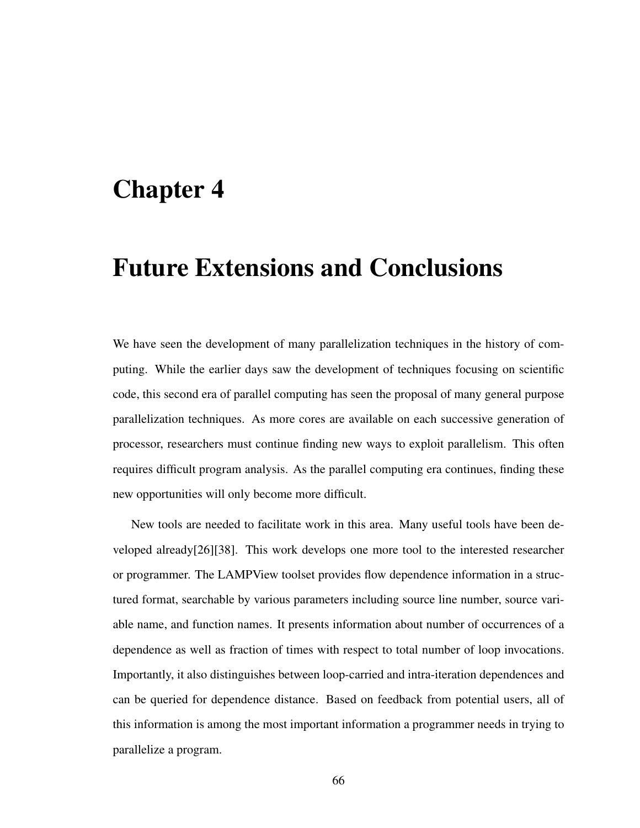## Chapter 4

## Future Extensions and Conclusions

We have seen the development of many parallelization techniques in the history of computing. While the earlier days saw the development of techniques focusing on scientific code, this second era of parallel computing has seen the proposal of many general purpose parallelization techniques. As more cores are available on each successive generation of processor, researchers must continue finding new ways to exploit parallelism. This often requires difficult program analysis. As the parallel computing era continues, finding these new opportunities will only become more difficult.

New tools are needed to facilitate work in this area. Many useful tools have been developed already[26][38]. This work develops one more tool to the interested researcher or programmer. The LAMPView toolset provides flow dependence information in a structured format, searchable by various parameters including source line number, source variable name, and function names. It presents information about number of occurrences of a dependence as well as fraction of times with respect to total number of loop invocations. Importantly, it also distinguishes between loop-carried and intra-iteration dependences and can be queried for dependence distance. Based on feedback from potential users, all of this information is among the most important information a programmer needs in trying to parallelize a program.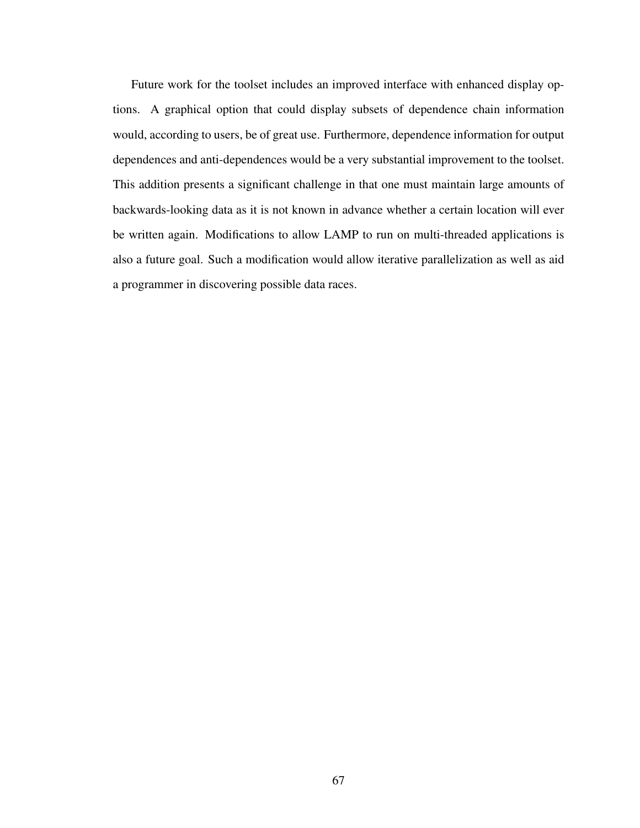Future work for the toolset includes an improved interface with enhanced display options. A graphical option that could display subsets of dependence chain information would, according to users, be of great use. Furthermore, dependence information for output dependences and anti-dependences would be a very substantial improvement to the toolset. This addition presents a significant challenge in that one must maintain large amounts of backwards-looking data as it is not known in advance whether a certain location will ever be written again. Modifications to allow LAMP to run on multi-threaded applications is also a future goal. Such a modification would allow iterative parallelization as well as aid a programmer in discovering possible data races.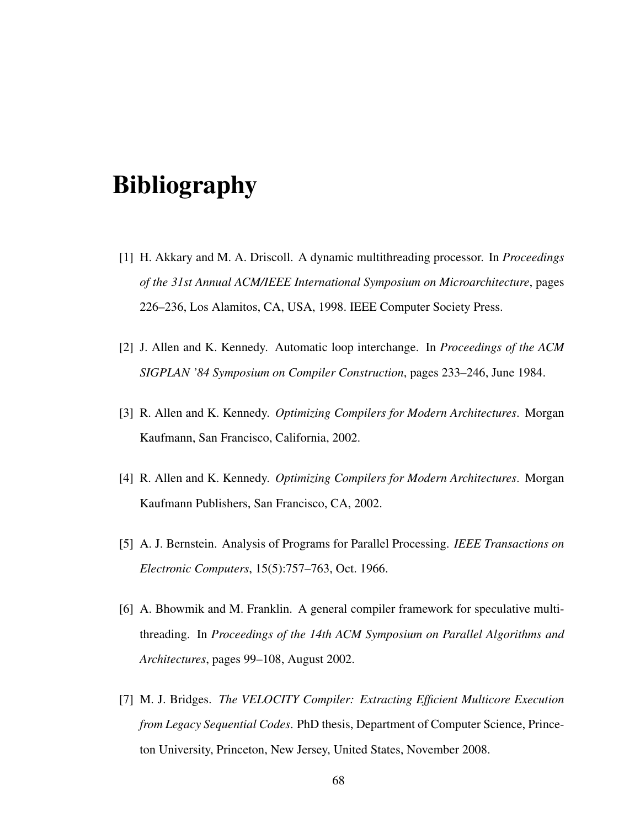# Bibliography

- [1] H. Akkary and M. A. Driscoll. A dynamic multithreading processor. In *Proceedings of the 31st Annual ACM/IEEE International Symposium on Microarchitecture*, pages 226–236, Los Alamitos, CA, USA, 1998. IEEE Computer Society Press.
- [2] J. Allen and K. Kennedy. Automatic loop interchange. In *Proceedings of the ACM SIGPLAN '84 Symposium on Compiler Construction*, pages 233–246, June 1984.
- [3] R. Allen and K. Kennedy. *Optimizing Compilers for Modern Architectures*. Morgan Kaufmann, San Francisco, California, 2002.
- [4] R. Allen and K. Kennedy. *Optimizing Compilers for Modern Architectures*. Morgan Kaufmann Publishers, San Francisco, CA, 2002.
- [5] A. J. Bernstein. Analysis of Programs for Parallel Processing. *IEEE Transactions on Electronic Computers*, 15(5):757–763, Oct. 1966.
- [6] A. Bhowmik and M. Franklin. A general compiler framework for speculative multithreading. In *Proceedings of the 14th ACM Symposium on Parallel Algorithms and Architectures*, pages 99–108, August 2002.
- [7] M. J. Bridges. *The VELOCITY Compiler: Extracting Efficient Multicore Execution from Legacy Sequential Codes*. PhD thesis, Department of Computer Science, Princeton University, Princeton, New Jersey, United States, November 2008.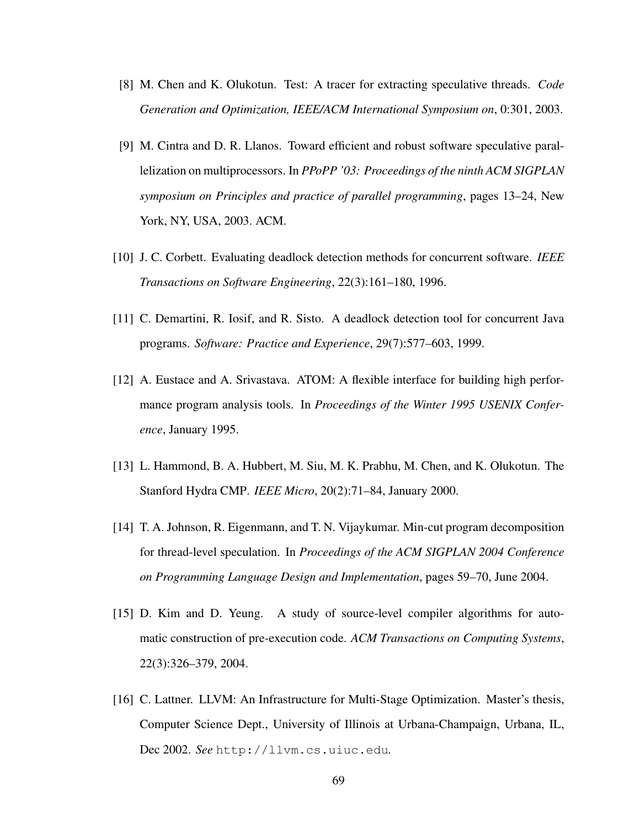- [8] M. Chen and K. Olukotun. Test: A tracer for extracting speculative threads. *Code Generation and Optimization, IEEE/ACM International Symposium on*, 0:301, 2003.
- [9] M. Cintra and D. R. Llanos. Toward efficient and robust software speculative parallelization on multiprocessors. In *PPoPP '03: Proceedings of the ninth ACM SIGPLAN symposium on Principles and practice of parallel programming*, pages 13–24, New York, NY, USA, 2003. ACM.
- [10] J. C. Corbett. Evaluating deadlock detection methods for concurrent software. *IEEE Transactions on Software Engineering*, 22(3):161–180, 1996.
- [11] C. Demartini, R. Iosif, and R. Sisto. A deadlock detection tool for concurrent Java programs. *Software: Practice and Experience*, 29(7):577–603, 1999.
- [12] A. Eustace and A. Srivastava. ATOM: A flexible interface for building high performance program analysis tools. In *Proceedings of the Winter 1995 USENIX Conference*, January 1995.
- [13] L. Hammond, B. A. Hubbert, M. Siu, M. K. Prabhu, M. Chen, and K. Olukotun. The Stanford Hydra CMP. *IEEE Micro*, 20(2):71–84, January 2000.
- [14] T. A. Johnson, R. Eigenmann, and T. N. Vijaykumar. Min-cut program decomposition for thread-level speculation. In *Proceedings of the ACM SIGPLAN 2004 Conference on Programming Language Design and Implementation*, pages 59–70, June 2004.
- [15] D. Kim and D. Yeung. A study of source-level compiler algorithms for automatic construction of pre-execution code. *ACM Transactions on Computing Systems*, 22(3):326–379, 2004.
- [16] C. Lattner. LLVM: An Infrastructure for Multi-Stage Optimization. Master's thesis, Computer Science Dept., University of Illinois at Urbana-Champaign, Urbana, IL, Dec 2002. *See* http://llvm.cs.uiuc.edu*.*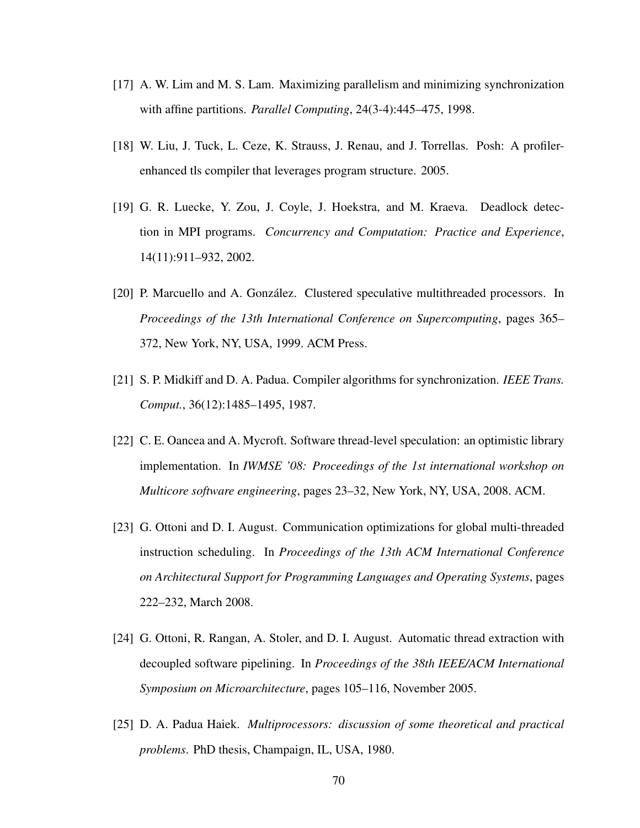- [17] A. W. Lim and M. S. Lam. Maximizing parallelism and minimizing synchronization with affine partitions. *Parallel Computing*, 24(3-4):445–475, 1998.
- [18] W. Liu, J. Tuck, L. Ceze, K. Strauss, J. Renau, and J. Torrellas. Posh: A profilerenhanced tls compiler that leverages program structure. 2005.
- [19] G. R. Luecke, Y. Zou, J. Coyle, J. Hoekstra, and M. Kraeva. Deadlock detection in MPI programs. *Concurrency and Computation: Practice and Experience*, 14(11):911–932, 2002.
- [20] P. Marcuello and A. González. Clustered speculative multithreaded processors. In *Proceedings of the 13th International Conference on Supercomputing*, pages 365– 372, New York, NY, USA, 1999. ACM Press.
- [21] S. P. Midkiff and D. A. Padua. Compiler algorithms for synchronization. *IEEE Trans. Comput.*, 36(12):1485–1495, 1987.
- [22] C. E. Oancea and A. Mycroft. Software thread-level speculation: an optimistic library implementation. In *IWMSE '08: Proceedings of the 1st international workshop on Multicore software engineering*, pages 23–32, New York, NY, USA, 2008. ACM.
- [23] G. Ottoni and D. I. August. Communication optimizations for global multi-threaded instruction scheduling. In *Proceedings of the 13th ACM International Conference on Architectural Support for Programming Languages and Operating Systems*, pages 222–232, March 2008.
- [24] G. Ottoni, R. Rangan, A. Stoler, and D. I. August. Automatic thread extraction with decoupled software pipelining. In *Proceedings of the 38th IEEE/ACM International Symposium on Microarchitecture*, pages 105–116, November 2005.
- [25] D. A. Padua Haiek. *Multiprocessors: discussion of some theoretical and practical problems*. PhD thesis, Champaign, IL, USA, 1980.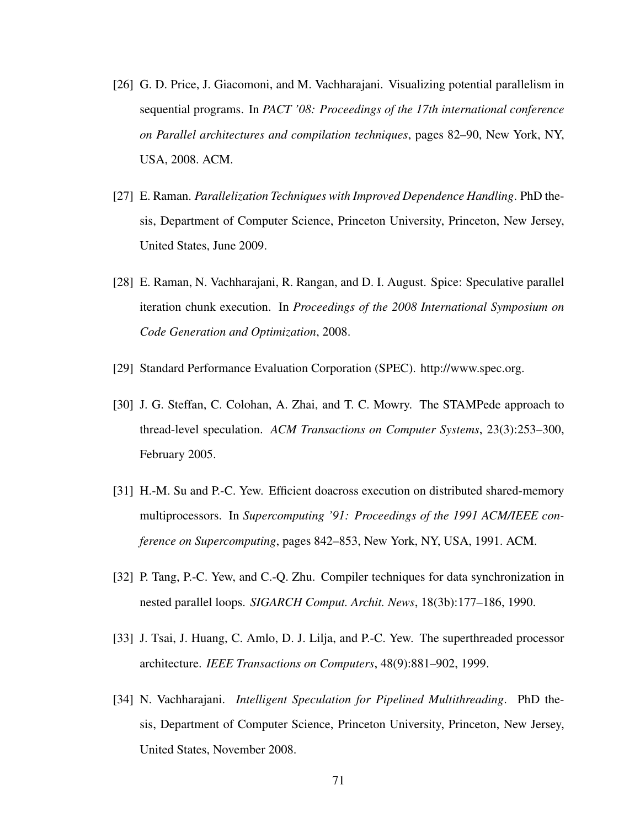- [26] G. D. Price, J. Giacomoni, and M. Vachharajani. Visualizing potential parallelism in sequential programs. In *PACT '08: Proceedings of the 17th international conference on Parallel architectures and compilation techniques*, pages 82–90, New York, NY, USA, 2008. ACM.
- [27] E. Raman. *Parallelization Techniques with Improved Dependence Handling*. PhD thesis, Department of Computer Science, Princeton University, Princeton, New Jersey, United States, June 2009.
- [28] E. Raman, N. Vachharajani, R. Rangan, and D. I. August. Spice: Speculative parallel iteration chunk execution. In *Proceedings of the 2008 International Symposium on Code Generation and Optimization*, 2008.
- [29] Standard Performance Evaluation Corporation (SPEC). http://www.spec.org.
- [30] J. G. Steffan, C. Colohan, A. Zhai, and T. C. Mowry. The STAMPede approach to thread-level speculation. *ACM Transactions on Computer Systems*, 23(3):253–300, February 2005.
- [31] H.-M. Su and P.-C. Yew. Efficient doacross execution on distributed shared-memory multiprocessors. In *Supercomputing '91: Proceedings of the 1991 ACM/IEEE conference on Supercomputing*, pages 842–853, New York, NY, USA, 1991. ACM.
- [32] P. Tang, P.-C. Yew, and C.-Q. Zhu. Compiler techniques for data synchronization in nested parallel loops. *SIGARCH Comput. Archit. News*, 18(3b):177–186, 1990.
- [33] J. Tsai, J. Huang, C. Amlo, D. J. Lilja, and P.-C. Yew. The superthreaded processor architecture. *IEEE Transactions on Computers*, 48(9):881–902, 1999.
- [34] N. Vachharajani. *Intelligent Speculation for Pipelined Multithreading*. PhD thesis, Department of Computer Science, Princeton University, Princeton, New Jersey, United States, November 2008.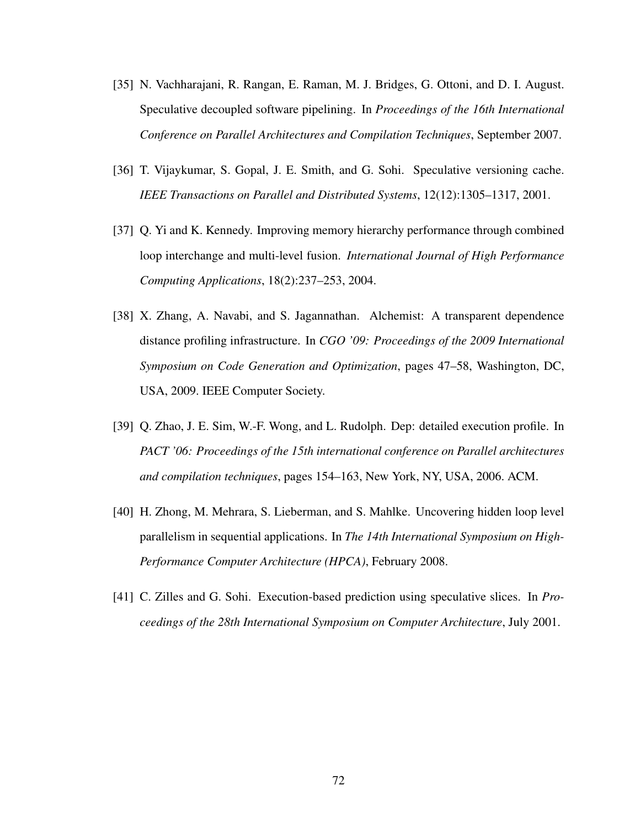- [35] N. Vachharajani, R. Rangan, E. Raman, M. J. Bridges, G. Ottoni, and D. I. August. Speculative decoupled software pipelining. In *Proceedings of the 16th International Conference on Parallel Architectures and Compilation Techniques*, September 2007.
- [36] T. Vijaykumar, S. Gopal, J. E. Smith, and G. Sohi. Speculative versioning cache. *IEEE Transactions on Parallel and Distributed Systems*, 12(12):1305–1317, 2001.
- [37] Q. Yi and K. Kennedy. Improving memory hierarchy performance through combined loop interchange and multi-level fusion. *International Journal of High Performance Computing Applications*, 18(2):237–253, 2004.
- [38] X. Zhang, A. Navabi, and S. Jagannathan. Alchemist: A transparent dependence distance profiling infrastructure. In *CGO '09: Proceedings of the 2009 International Symposium on Code Generation and Optimization*, pages 47–58, Washington, DC, USA, 2009. IEEE Computer Society.
- [39] Q. Zhao, J. E. Sim, W.-F. Wong, and L. Rudolph. Dep: detailed execution profile. In *PACT '06: Proceedings of the 15th international conference on Parallel architectures and compilation techniques*, pages 154–163, New York, NY, USA, 2006. ACM.
- [40] H. Zhong, M. Mehrara, S. Lieberman, and S. Mahlke. Uncovering hidden loop level parallelism in sequential applications. In *The 14th International Symposium on High-Performance Computer Architecture (HPCA)*, February 2008.
- [41] C. Zilles and G. Sohi. Execution-based prediction using speculative slices. In *Proceedings of the 28th International Symposium on Computer Architecture*, July 2001.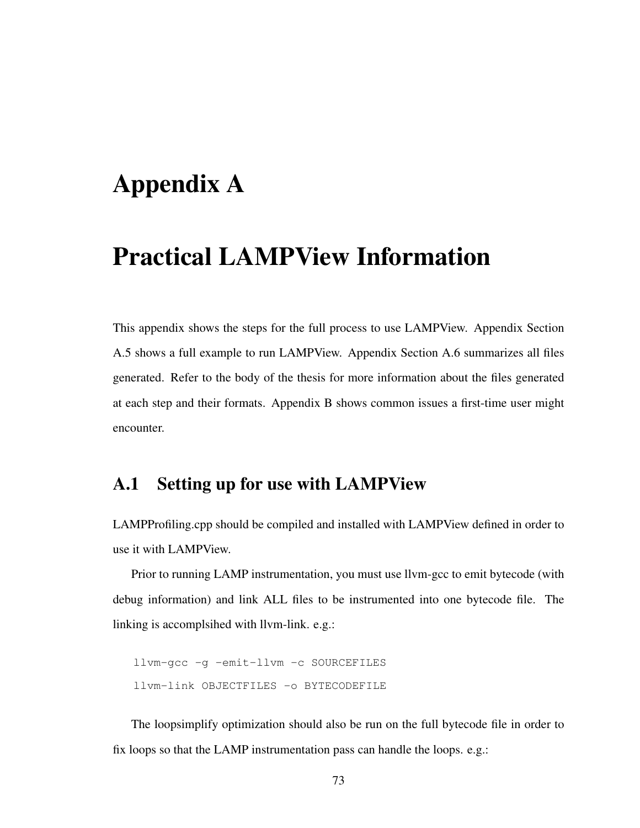# Appendix A

## Practical LAMPView Information

This appendix shows the steps for the full process to use LAMPView. Appendix Section A.5 shows a full example to run LAMPView. Appendix Section A.6 summarizes all files generated. Refer to the body of the thesis for more information about the files generated at each step and their formats. Appendix B shows common issues a first-time user might encounter.

## A.1 Setting up for use with LAMPView

LAMPProfiling.cpp should be compiled and installed with LAMPView defined in order to use it with LAMPView.

Prior to running LAMP instrumentation, you must use llvm-gcc to emit bytecode (with debug information) and link ALL files to be instrumented into one bytecode file. The linking is accomplsihed with llvm-link. e.g.:

```
llvm-gcc -g -emit-llvm -c SOURCEFILES
llvm-link OBJECTFILES -o BYTECODEFILE
```
The loopsimplify optimization should also be run on the full bytecode file in order to fix loops so that the LAMP instrumentation pass can handle the loops. e.g.: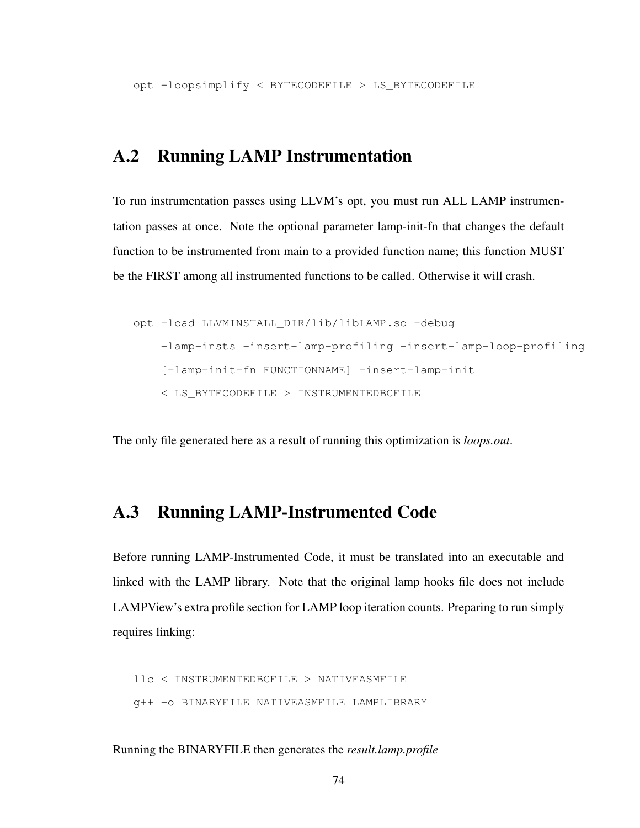opt -loopsimplify < BYTECODEFILE > LS\_BYTECODEFILE

## A.2 Running LAMP Instrumentation

To run instrumentation passes using LLVM's opt, you must run ALL LAMP instrumentation passes at once. Note the optional parameter lamp-init-fn that changes the default function to be instrumented from main to a provided function name; this function MUST be the FIRST among all instrumented functions to be called. Otherwise it will crash.

```
opt -load LLVMINSTALL_DIR/lib/libLAMP.so -debug
    -lamp-insts -insert-lamp-profiling -insert-lamp-loop-profiling
    [-lamp-init-fn FUNCTIONNAME] -insert-lamp-init
    < LS_BYTECODEFILE > INSTRUMENTEDBCFILE
```
The only file generated here as a result of running this optimization is *loops.out*.

## A.3 Running LAMP-Instrumented Code

Before running LAMP-Instrumented Code, it must be translated into an executable and linked with the LAMP library. Note that the original lamp hooks file does not include LAMPView's extra profile section for LAMP loop iteration counts. Preparing to run simply requires linking:

```
llc < INSTRUMENTEDBCFILE > NATIVEASMFILE
g++ -o BINARYFILE NATIVEASMFILE LAMPLIBRARY
```
Running the BINARYFILE then generates the *result.lamp.profile*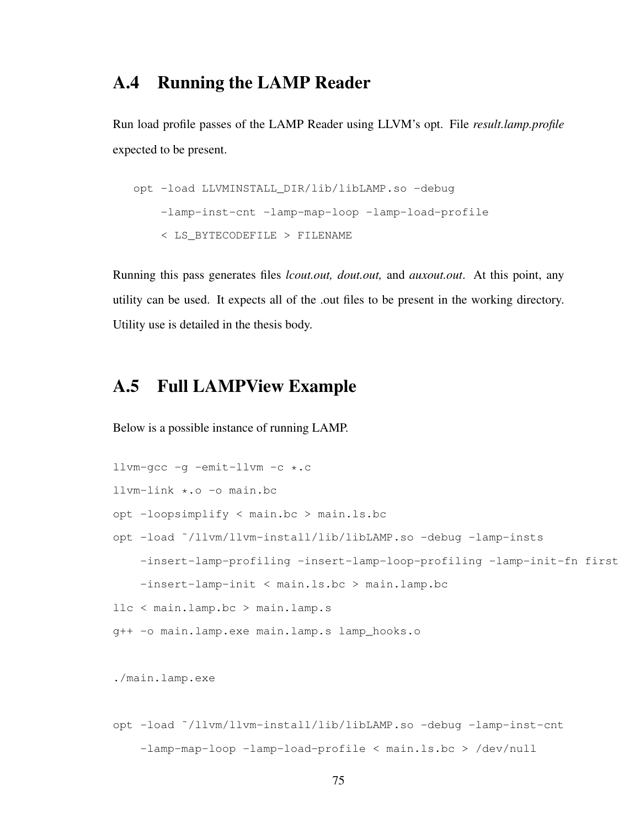## A.4 Running the LAMP Reader

Run load profile passes of the LAMP Reader using LLVM's opt. File *result.lamp.profile* expected to be present.

```
opt -load LLVMINSTALL_DIR/lib/libLAMP.so -debug
    -lamp-inst-cnt -lamp-map-loop -lamp-load-profile
    < LS_BYTECODEFILE > FILENAME
```
Running this pass generates files *lcout.out, dout.out,* and *auxout.out*. At this point, any utility can be used. It expects all of the .out files to be present in the working directory. Utility use is detailed in the thesis body.

## A.5 Full LAMPView Example

Below is a possible instance of running LAMP.

```
llvm-gcc -g -emit-llvm -c *.c
llvm-link *.o -o main.bc
opt -loopsimplify < main.bc > main.ls.bc
opt -load ˜/llvm/llvm-install/lib/libLAMP.so -debug -lamp-insts
    -insert-lamp-profiling -insert-lamp-loop-profiling -lamp-init-fn first
    -insert-lamp-init < main.ls.bc > main.lamp.bc
llc < main.lamp.bc > main.lamp.s
g++ -o main.lamp.exe main.lamp.s lamp_hooks.o
```
./main.lamp.exe

```
opt -load ˜/llvm/llvm-install/lib/libLAMP.so -debug -lamp-inst-cnt
    -lamp-map-loop -lamp-load-profile < main.ls.bc > /dev/null
```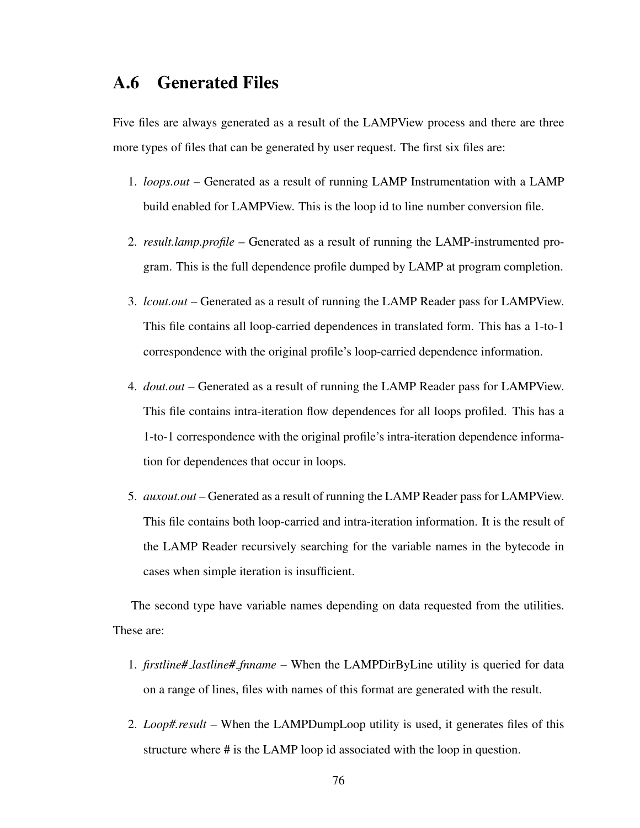## A.6 Generated Files

Five files are always generated as a result of the LAMPView process and there are three more types of files that can be generated by user request. The first six files are:

- 1. *loops.out* Generated as a result of running LAMP Instrumentation with a LAMP build enabled for LAMPView. This is the loop id to line number conversion file.
- 2. *result.lamp.profile* Generated as a result of running the LAMP-instrumented program. This is the full dependence profile dumped by LAMP at program completion.
- 3. *lcout.out* Generated as a result of running the LAMP Reader pass for LAMPView. This file contains all loop-carried dependences in translated form. This has a 1-to-1 correspondence with the original profile's loop-carried dependence information.
- 4. *dout.out* Generated as a result of running the LAMP Reader pass for LAMPView. This file contains intra-iteration flow dependences for all loops profiled. This has a 1-to-1 correspondence with the original profile's intra-iteration dependence information for dependences that occur in loops.
- 5. *auxout.out* Generated as a result of running the LAMP Reader pass for LAMPView. This file contains both loop-carried and intra-iteration information. It is the result of the LAMP Reader recursively searching for the variable names in the bytecode in cases when simple iteration is insufficient.

The second type have variable names depending on data requested from the utilities. These are:

- 1. *firstline# lastline# fnname* When the LAMPDirByLine utility is queried for data on a range of lines, files with names of this format are generated with the result.
- 2. *Loop#.result* When the LAMPDumpLoop utility is used, it generates files of this structure where # is the LAMP loop id associated with the loop in question.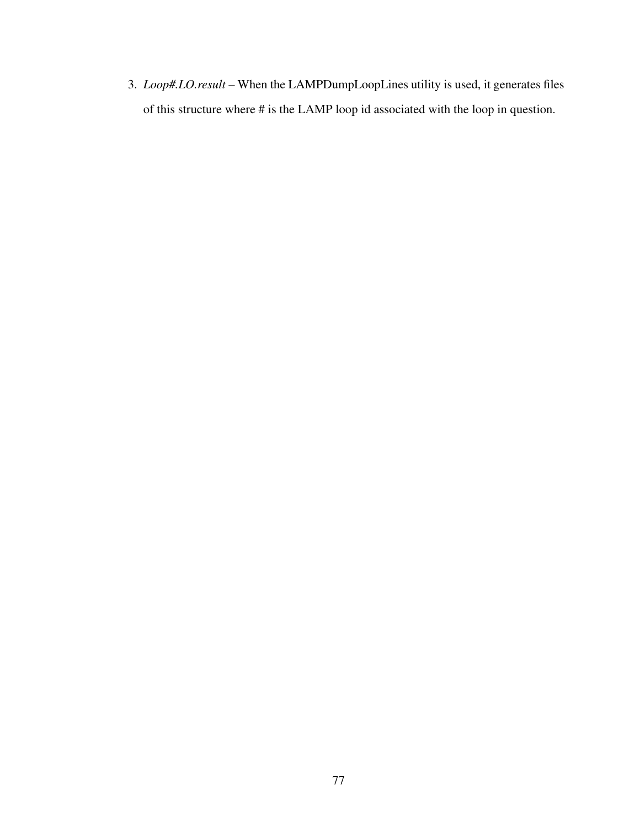3. *Loop#.LO.result* – When the LAMPDumpLoopLines utility is used, it generates files of this structure where # is the LAMP loop id associated with the loop in question.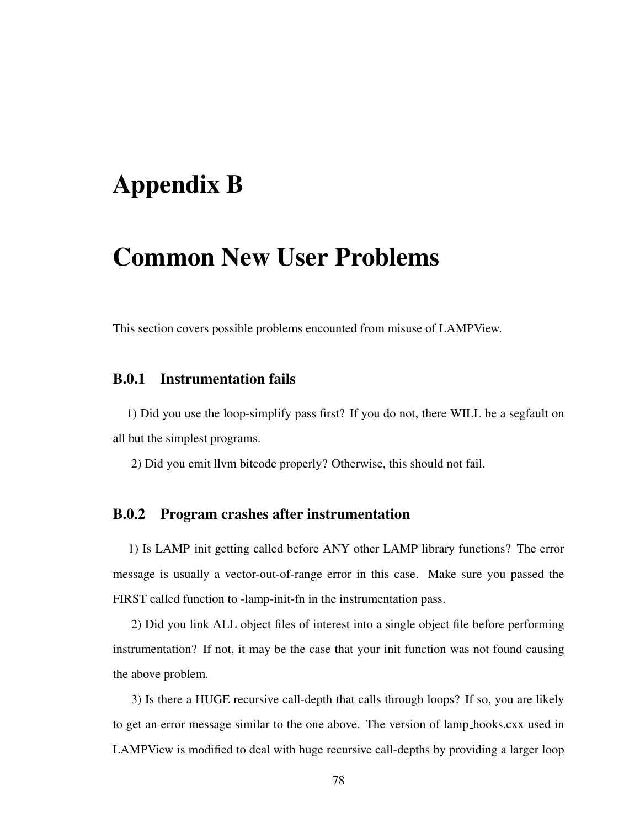# Appendix B

## Common New User Problems

This section covers possible problems encounted from misuse of LAMPView.

### B.0.1 Instrumentation fails

1) Did you use the loop-simplify pass first? If you do not, there WILL be a segfault on all but the simplest programs.

2) Did you emit llvm bitcode properly? Otherwise, this should not fail.

#### B.0.2 Program crashes after instrumentation

1) Is LAMP init getting called before ANY other LAMP library functions? The error message is usually a vector-out-of-range error in this case. Make sure you passed the FIRST called function to -lamp-init-fn in the instrumentation pass.

2) Did you link ALL object files of interest into a single object file before performing instrumentation? If not, it may be the case that your init function was not found causing the above problem.

3) Is there a HUGE recursive call-depth that calls through loops? If so, you are likely to get an error message similar to the one above. The version of lamp hooks.cxx used in LAMPView is modified to deal with huge recursive call-depths by providing a larger loop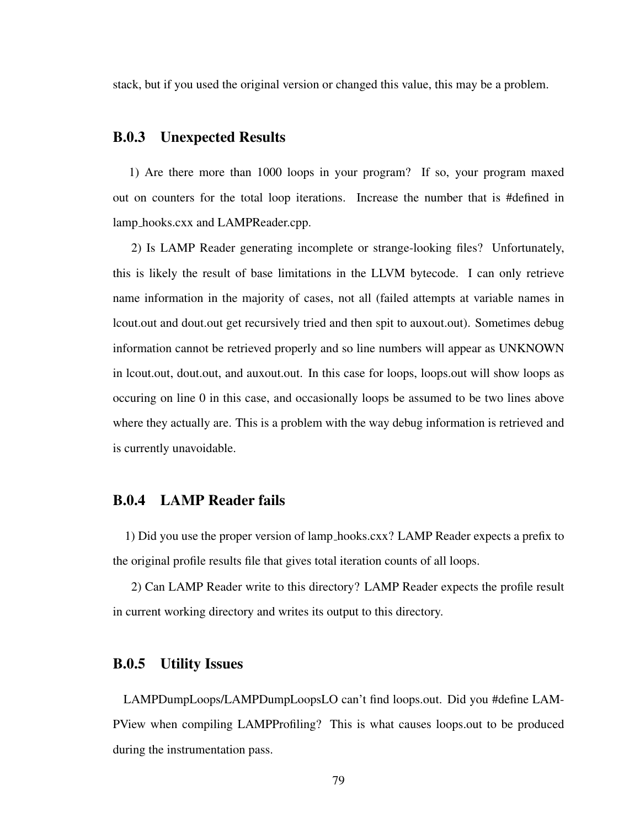stack, but if you used the original version or changed this value, this may be a problem.

#### B.0.3 Unexpected Results

1) Are there more than 1000 loops in your program? If so, your program maxed out on counters for the total loop iterations. Increase the number that is #defined in lamp hooks.cxx and LAMPReader.cpp.

2) Is LAMP Reader generating incomplete or strange-looking files? Unfortunately, this is likely the result of base limitations in the LLVM bytecode. I can only retrieve name information in the majority of cases, not all (failed attempts at variable names in lcout.out and dout.out get recursively tried and then spit to auxout.out). Sometimes debug information cannot be retrieved properly and so line numbers will appear as UNKNOWN in lcout.out, dout.out, and auxout.out. In this case for loops, loops.out will show loops as occuring on line 0 in this case, and occasionally loops be assumed to be two lines above where they actually are. This is a problem with the way debug information is retrieved and is currently unavoidable.

### B.0.4 LAMP Reader fails

1) Did you use the proper version of lamp hooks.cxx? LAMP Reader expects a prefix to the original profile results file that gives total iteration counts of all loops.

2) Can LAMP Reader write to this directory? LAMP Reader expects the profile result in current working directory and writes its output to this directory.

#### B.0.5 Utility Issues

LAMPDumpLoops/LAMPDumpLoopsLO can't find loops.out. Did you #define LAM-PView when compiling LAMPProfiling? This is what causes loops.out to be produced during the instrumentation pass.